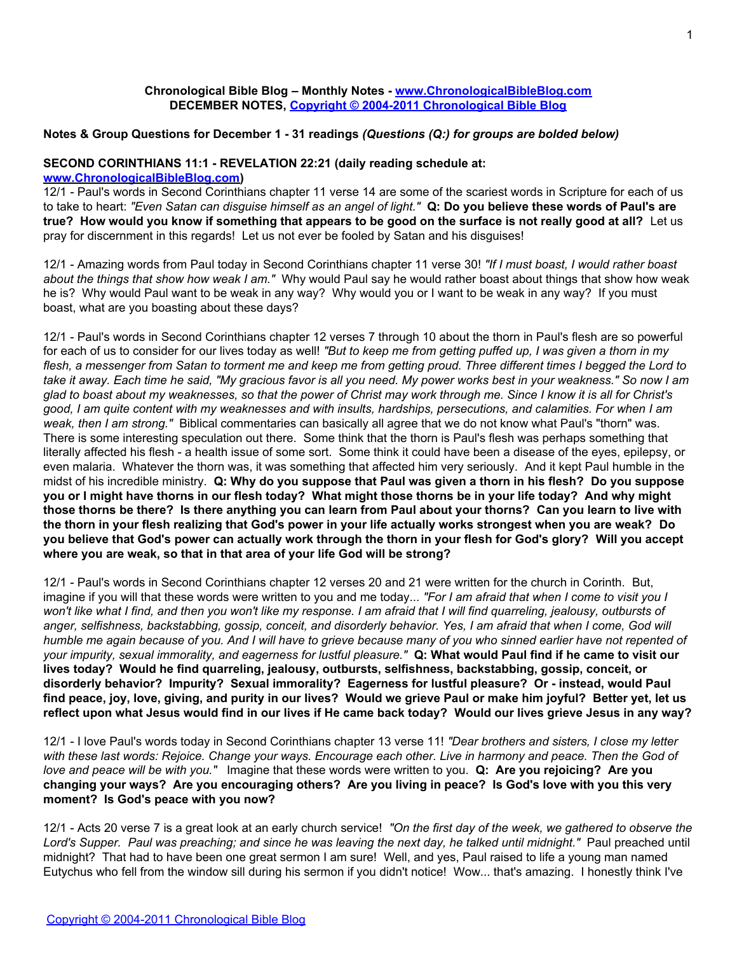### **Chronological Bible Blog – Monthly Notes - [www.ChronologicalBibleBlog.com](http://www.chronologicalbibleblog.com/) DECEMBER NOTES, [Copyright © 2004-2011 Chronological Bible Blog](http://www.chronologicalbibleblog.com/)**

### **Notes & Group Questions for December 1 - 31 readings** *(Questions (Q:) for groups are bolded below)*

### **SECOND CORINTHIANS 11:1 - REVELATION 22:21 (daily reading schedule at:**

# **[www.ChronologicalBibleBlog.com](http://www.chronologicalbibleblog.com/))**

12/1 - Paul's words in Second Corinthians chapter 11 verse 14 are some of the scariest words in Scripture for each of us to take to heart: *"Even Satan can disguise himself as an angel of light."* **Q: Do you believe these words of Paul's are true? How would you know if something that appears to be good on the surface is not really good at all?** Let us pray for discernment in this regards! Let us not ever be fooled by Satan and his disguises!

12/1 - Amazing words from Paul today in Second Corinthians chapter 11 verse 30! *"If I must boast, I would rather boast about the things that show how weak I am."* Why would Paul say he would rather boast about things that show how weak he is? Why would Paul want to be weak in any way? Why would you or I want to be weak in any way? If you must boast, what are you boasting about these days?

12/1 - Paul's words in Second Corinthians chapter 12 verses 7 through 10 about the thorn in Paul's flesh are so powerful for each of us to consider for our lives today as well! *"But to keep me from getting puffed up, I was given a thorn in my flesh, a messenger from Satan to torment me and keep me from getting proud. Three different times I begged the Lord to take it away. Each time he said, "My gracious favor is all you need. My power works best in your weakness." So now I am glad to boast about my weaknesses, so that the power of Christ may work through me. Since I know it is all for Christ's good, I am quite content with my weaknesses and with insults, hardships, persecutions, and calamities. For when I am weak, then I am strong."* Biblical commentaries can basically all agree that we do not know what Paul's "thorn" was. There is some interesting speculation out there. Some think that the thorn is Paul's flesh was perhaps something that literally affected his flesh - a health issue of some sort. Some think it could have been a disease of the eyes, epilepsy, or even malaria. Whatever the thorn was, it was something that affected him very seriously. And it kept Paul humble in the midst of his incredible ministry. **Q: Why do you suppose that Paul was given a thorn in his flesh? Do you suppose you or I might have thorns in our flesh today? What might those thorns be in your life today? And why might those thorns be there? Is there anything you can learn from Paul about your thorns? Can you learn to live with the thorn in your flesh realizing that God's power in your life actually works strongest when you are weak? Do you believe that God's power can actually work through the thorn in your flesh for God's glory? Will you accept where you are weak, so that in that area of your life God will be strong?**

12/1 - Paul's words in Second Corinthians chapter 12 verses 20 and 21 were written for the church in Corinth. But, imagine if you will that these words were written to you and me today... *"For I am afraid that when I come to visit you I won't like what I find, and then you won't like my response. I am afraid that I will find quarreling, jealousy, outbursts of anger, selfishness, backstabbing, gossip, conceit, and disorderly behavior. Yes, I am afraid that when I come, God will humble me again because of you. And I will have to grieve because many of you who sinned earlier have not repented of your impurity, sexual immorality, and eagerness for lustful pleasure."* **Q: What would Paul find if he came to visit our lives today? Would he find quarreling, jealousy, outbursts, selfishness, backstabbing, gossip, conceit, or disorderly behavior? Impurity? Sexual immorality? Eagerness for lustful pleasure? Or - instead, would Paul find peace, joy, love, giving, and purity in our lives? Would we grieve Paul or make him joyful? Better yet, let us reflect upon what Jesus would find in our lives if He came back today? Would our lives grieve Jesus in any way?**

12/1 - I love Paul's words today in Second Corinthians chapter 13 verse 11! *"Dear brothers and sisters, I close my letter with these last words: Rejoice. Change your ways. Encourage each other. Live in harmony and peace. Then the God of love and peace will be with you."* Imagine that these words were written to you. **Q: Are you rejoicing? Are you changing your ways? Are you encouraging others? Are you living in peace? Is God's love with you this very moment? Is God's peace with you now?**

12/1 - Acts 20 verse 7 is a great look at an early church service! *"On the first day of the week, we gathered to observe the Lord's Supper. Paul was preaching; and since he was leaving the next day, he talked until midnight."* Paul preached until midnight? That had to have been one great sermon I am sure! Well, and yes, Paul raised to life a young man named Eutychus who fell from the window sill during his sermon if you didn't notice! Wow... that's amazing. I honestly think I've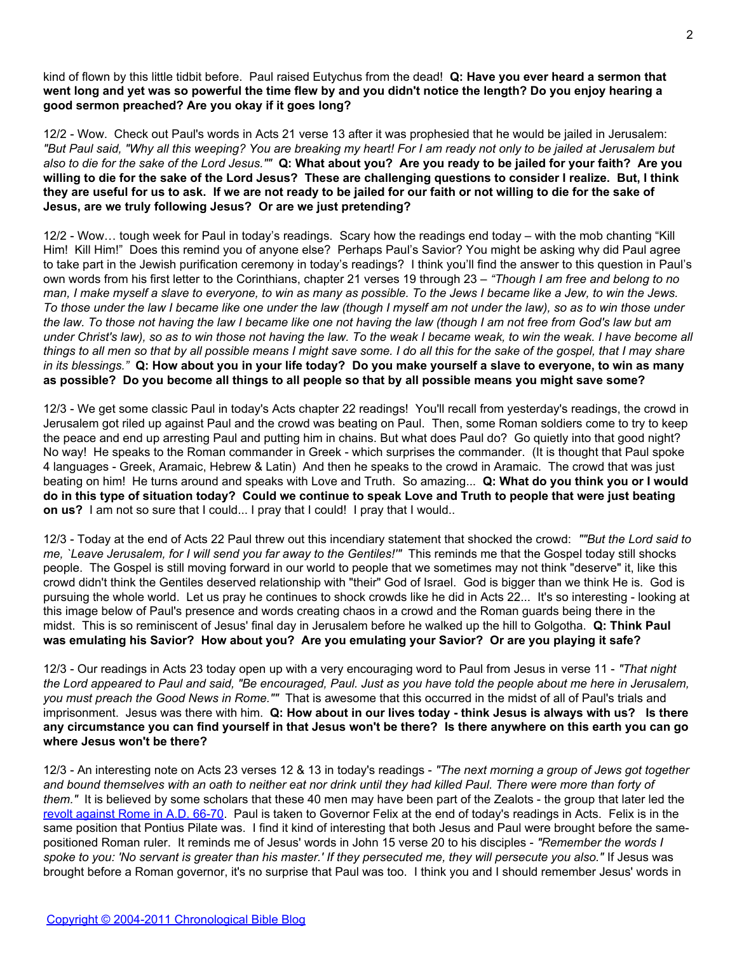kind of flown by this little tidbit before. Paul raised Eutychus from the dead! **Q: Have you ever heard a sermon that went long and yet was so powerful the time flew by and you didn't notice the length? Do you enjoy hearing a good sermon preached? Are you okay if it goes long?**

12/2 - Wow. Check out Paul's words in Acts 21 verse 13 after it was prophesied that he would be jailed in Jerusalem: *"But Paul said, "Why all this weeping? You are breaking my heart! For I am ready not only to be jailed at Jerusalem but also to die for the sake of the Lord Jesus.""* **Q: What about you? Are you ready to be jailed for your faith? Are you willing to die for the sake of the Lord Jesus? These are challenging questions to consider I realize. But, I think they are useful for us to ask. If we are not ready to be jailed for our faith or not willing to die for the sake of Jesus, are we truly following Jesus? Or are we just pretending?**

12/2 - Wow… tough week for Paul in today's readings. Scary how the readings end today – with the mob chanting "Kill Him! Kill Him!" Does this remind you of anyone else? Perhaps Paul's Savior? You might be asking why did Paul agree to take part in the Jewish purification ceremony in today's readings? I think you'll find the answer to this question in Paul's own words from his first letter to the Corinthians, chapter 21 verses 19 through 23 – *"Though I am free and belong to no man, I make myself a slave to everyone, to win as many as possible. To the Jews I became like a Jew, to win the Jews. To those under the law I became like one under the law (though I myself am not under the law), so as to win those under the law. To those not having the law I became like one not having the law (though I am not free from God's law but am under Christ's law), so as to win those not having the law. To the weak I became weak, to win the weak. I have become all things to all men so that by all possible means I might save some. I do all this for the sake of the gospel, that I may share in its blessings."* **Q: How about you in your life today? Do you make yourself a slave to everyone, to win as many as possible? Do you become all things to all people so that by all possible means you might save some?**

12/3 - We get some classic Paul in today's Acts chapter 22 readings! You'll recall from yesterday's readings, the crowd in Jerusalem got riled up against Paul and the crowd was beating on Paul. Then, some Roman soldiers come to try to keep the peace and end up arresting Paul and putting him in chains. But what does Paul do? Go quietly into that good night? No way! He speaks to the Roman commander in Greek - which surprises the commander. (It is thought that Paul spoke 4 languages - Greek, Aramaic, Hebrew & Latin) And then he speaks to the crowd in Aramaic. The crowd that was just beating on him! He turns around and speaks with Love and Truth. So amazing... **Q: What do you think you or I would do in this type of situation today? Could we continue to speak Love and Truth to people that were just beating on us?** I am not so sure that I could... I pray that I could! I pray that I would..

12/3 - Today at the end of Acts 22 Paul threw out this incendiary statement that shocked the crowd: *""But the Lord said to me, `Leave Jerusalem, for I will send you far away to the Gentiles!'"* This reminds me that the Gospel today still shocks people. The Gospel is still moving forward in our world to people that we sometimes may not think "deserve" it, like this crowd didn't think the Gentiles deserved relationship with "their" God of Israel. God is bigger than we think He is. God is pursuing the whole world. Let us pray he continues to shock crowds like he did in Acts 22... It's so interesting - looking at this image below of Paul's presence and words creating chaos in a crowd and the Roman guards being there in the midst. This is so reminiscent of Jesus' final day in Jerusalem before he walked up the hill to Golgotha. **Q: Think Paul was emulating his Savior? How about you? Are you emulating your Savior? Or are you playing it safe?**

12/3 - Our readings in Acts 23 today open up with a very encouraging word to Paul from Jesus in verse 11 - *"That night the Lord appeared to Paul and said, "Be encouraged, Paul. Just as you have told the people about me here in Jerusalem, you must preach the Good News in Rome.""* That is awesome that this occurred in the midst of all of Paul's trials and imprisonment. Jesus was there with him. **Q: How about in our lives today - think Jesus is always with us? Is there any circumstance you can find yourself in that Jesus won't be there? Is there anywhere on this earth you can go where Jesus won't be there?**

12/3 - An interesting note on Acts 23 verses 12 & 13 in today's readings - *"The next morning a group of Jews got together and bound themselves with an oath to neither eat nor drink until they had killed Paul. There were more than forty of them."* It is believed by some scholars that these 40 men may have been part of the Zealots - the group that later led the [revolt against Rome in A.D. 66-70](http://www.jewishvirtuallibrary.org/jsource/Judaism/revolt.html). Paul is taken to Governor Felix at the end of today's readings in Acts. Felix is in the same position that Pontius Pilate was. I find it kind of interesting that both Jesus and Paul were brought before the samepositioned Roman ruler. It reminds me of Jesus' words in John 15 verse 20 to his disciples - *"Remember the words I spoke to you: 'No servant is greater than his master.' If they persecuted me, they will persecute you also."* If Jesus was brought before a Roman governor, it's no surprise that Paul was too. I think you and I should remember Jesus' words in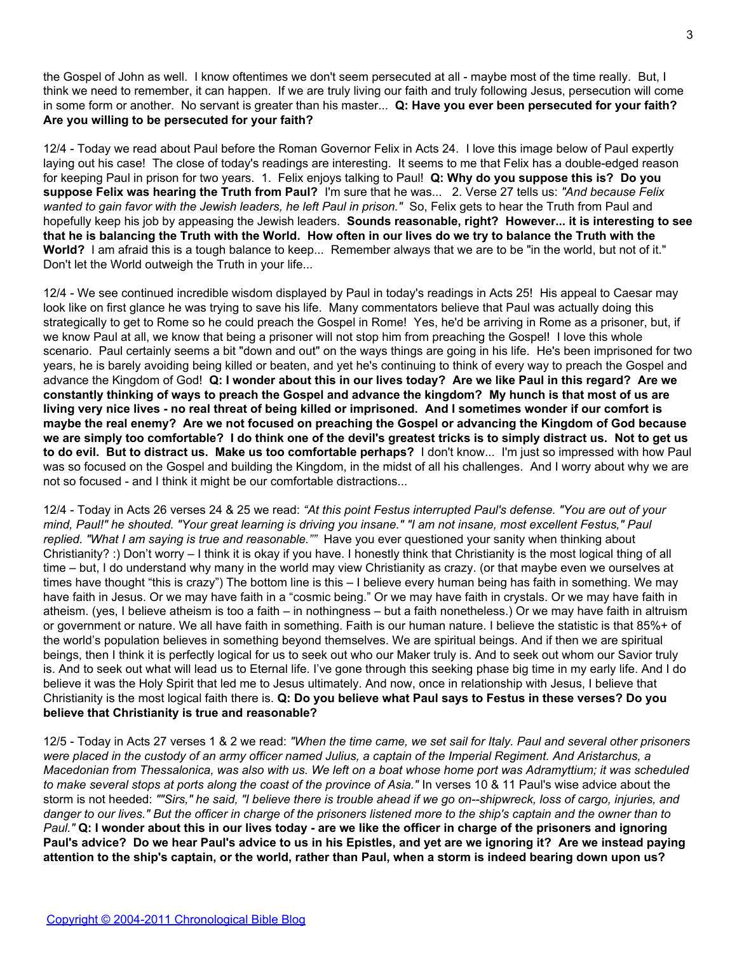the Gospel of John as well. I know oftentimes we don't seem persecuted at all - maybe most of the time really. But, I think we need to remember, it can happen. If we are truly living our faith and truly following Jesus, persecution will come in some form or another. No servant is greater than his master... **Q: Have you ever been persecuted for your faith? Are you willing to be persecuted for your faith?**

12/4 - Today we read about Paul before the Roman Governor Felix in Acts 24. I love this image below of Paul expertly laying out his case! The close of today's readings are interesting. It seems to me that Felix has a double-edged reason for keeping Paul in prison for two years. 1. Felix enjoys talking to Paul! **Q: Why do you suppose this is? Do you suppose Felix was hearing the Truth from Paul?** I'm sure that he was... 2. Verse 27 tells us: *"And because Felix wanted to gain favor with the Jewish leaders, he left Paul in prison."* So, Felix gets to hear the Truth from Paul and hopefully keep his job by appeasing the Jewish leaders. **Sounds reasonable, right? However... it is interesting to see that he is balancing the Truth with the World. How often in our lives do we try to balance the Truth with the World?** I am afraid this is a tough balance to keep... Remember always that we are to be "in the world, but not of it." Don't let the World outweigh the Truth in your life...

12/4 - We see continued incredible wisdom displayed by Paul in today's readings in Acts 25! His appeal to Caesar may look like on first glance he was trying to save his life. Many commentators believe that Paul was actually doing this strategically to get to Rome so he could preach the Gospel in Rome! Yes, he'd be arriving in Rome as a prisoner, but, if we know Paul at all, we know that being a prisoner will not stop him from preaching the Gospel! I love this whole scenario. Paul certainly seems a bit "down and out" on the ways things are going in his life. He's been imprisoned for two years, he is barely avoiding being killed or beaten, and yet he's continuing to think of every way to preach the Gospel and advance the Kingdom of God! **Q: I wonder about this in our lives today? Are we like Paul in this regard? Are we constantly thinking of ways to preach the Gospel and advance the kingdom? My hunch is that most of us are living very nice lives - no real threat of being killed or imprisoned. And I sometimes wonder if our comfort is maybe the real enemy? Are we not focused on preaching the Gospel or advancing the Kingdom of God because we are simply too comfortable? I do think one of the devil's greatest tricks is to simply distract us. Not to get us to do evil. But to distract us. Make us too comfortable perhaps?** I don't know... I'm just so impressed with how Paul was so focused on the Gospel and building the Kingdom, in the midst of all his challenges. And I worry about why we are not so focused - and I think it might be our comfortable distractions...

12/4 - Today in Acts 26 verses 24 & 25 we read: *"At this point Festus interrupted Paul's defense. "You are out of your mind, Paul!" he shouted. "Your great learning is driving you insane." "I am not insane, most excellent Festus," Paul replied. "What I am saying is true and reasonable.""* Have you ever questioned your sanity when thinking about Christianity? :) Don't worry – I think it is okay if you have. I honestly think that Christianity is the most logical thing of all time – but, I do understand why many in the world may view Christianity as crazy. (or that maybe even we ourselves at times have thought "this is crazy") The bottom line is this – I believe every human being has faith in something. We may have faith in Jesus. Or we may have faith in a "cosmic being." Or we may have faith in crystals. Or we may have faith in atheism. (yes, I believe atheism is too a faith – in nothingness – but a faith nonetheless.) Or we may have faith in altruism or government or nature. We all have faith in something. Faith is our human nature. I believe the statistic is that 85%+ of the world's population believes in something beyond themselves. We are spiritual beings. And if then we are spiritual beings, then I think it is perfectly logical for us to seek out who our Maker truly is. And to seek out whom our Savior truly is. And to seek out what will lead us to Eternal life. I've gone through this seeking phase big time in my early life. And I do believe it was the Holy Spirit that led me to Jesus ultimately. And now, once in relationship with Jesus, I believe that Christianity is the most logical faith there is. **Q: Do you believe what Paul says to Festus in these verses? Do you believe that Christianity is true and reasonable?**

12/5 - Today in Acts 27 verses 1 & 2 we read: *"When the time came, we set sail for Italy. Paul and several other prisoners were placed in the custody of an army officer named Julius, a captain of the Imperial Regiment. And Aristarchus, a Macedonian from Thessalonica, was also with us. We left on a boat whose home port was Adramyttium; it was scheduled to make several stops at ports along the coast of the province of Asia."* In verses 10 & 11 Paul's wise advice about the storm is not heeded: *""Sirs," he said, "I believe there is trouble ahead if we go on--shipwreck, loss of cargo, injuries, and danger to our lives." But the officer in charge of the prisoners listened more to the ship's captain and the owner than to Paul."* **Q: I wonder about this in our lives today - are we like the officer in charge of the prisoners and ignoring Paul's advice? Do we hear Paul's advice to us in his Epistles, and yet are we ignoring it? Are we instead paying attention to the ship's captain, or the world, rather than Paul, when a storm is indeed bearing down upon us?**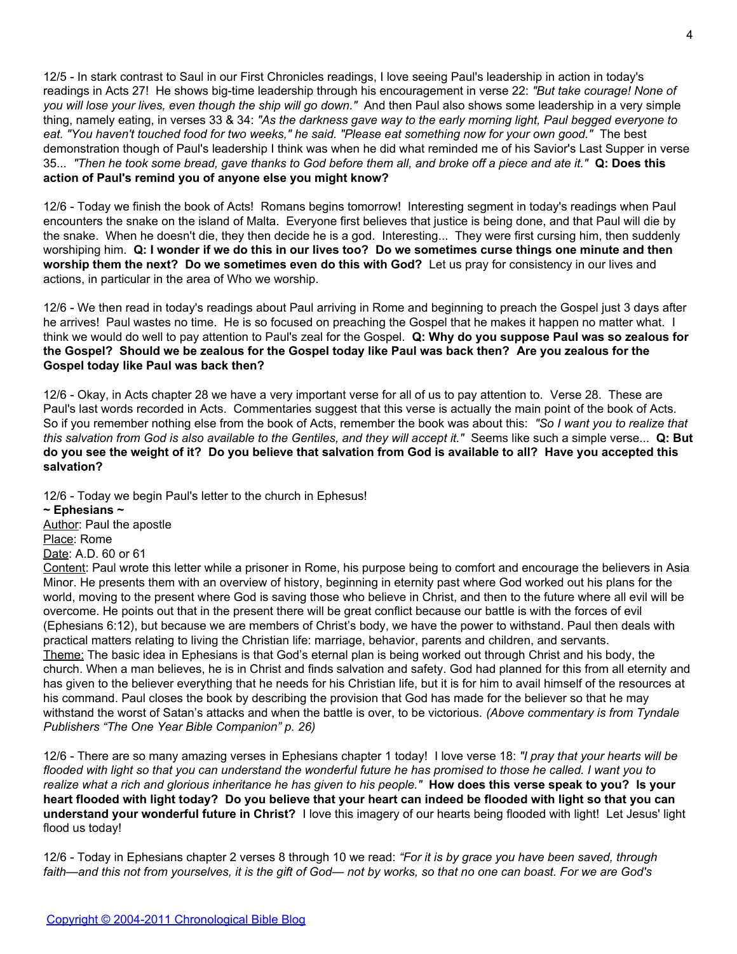12/5 - In stark contrast to Saul in our First Chronicles readings, I love seeing Paul's leadership in action in today's readings in Acts 27! He shows big-time leadership through his encouragement in verse 22: *"But take courage! None of you will lose your lives, even though the ship will go down."* And then Paul also shows some leadership in a very simple thing, namely eating, in verses 33 & 34: *"As the darkness gave way to the early morning light, Paul begged everyone to eat. "You haven't touched food for two weeks," he said. "Please eat something now for your own good."* The best demonstration though of Paul's leadership I think was when he did what reminded me of his Savior's Last Supper in verse 35... *"Then he took some bread, gave thanks to God before them all, and broke off a piece and ate it."* **Q: Does this action of Paul's remind you of anyone else you might know?**

12/6 - Today we finish the book of Acts! Romans begins tomorrow! Interesting segment in today's readings when Paul encounters the snake on the island of Malta. Everyone first believes that justice is being done, and that Paul will die by the snake. When he doesn't die, they then decide he is a god. Interesting... They were first cursing him, then suddenly worshiping him. **Q: I wonder if we do this in our lives too? Do we sometimes curse things one minute and then worship them the next? Do we sometimes even do this with God?** Let us pray for consistency in our lives and actions, in particular in the area of Who we worship.

12/6 - We then read in today's readings about Paul arriving in Rome and beginning to preach the Gospel just 3 days after he arrives! Paul wastes no time. He is so focused on preaching the Gospel that he makes it happen no matter what. I think we would do well to pay attention to Paul's zeal for the Gospel. **Q: Why do you suppose Paul was so zealous for the Gospel? Should we be zealous for the Gospel today like Paul was back then? Are you zealous for the Gospel today like Paul was back then?**

12/6 - Okay, in Acts chapter 28 we have a very important verse for all of us to pay attention to. Verse 28. These are Paul's last words recorded in Acts. Commentaries suggest that this verse is actually the main point of the book of Acts. So if you remember nothing else from the book of Acts, remember the book was about this: *"So I want you to realize that this salvation from God is also available to the Gentiles, and they will accept it."* Seems like such a simple verse... **Q: But do you see the weight of it? Do you believe that salvation from God is available to all? Have you accepted this salvation?**

12/6 - Today we begin Paul's letter to the church in Ephesus!

**~ Ephesians ~** Author: Paul the apostle Place: Rome Date: A.D. 60 or 61

Content: Paul wrote this letter while a prisoner in Rome, his purpose being to comfort and encourage the believers in Asia Minor. He presents them with an overview of history, beginning in eternity past where God worked out his plans for the world, moving to the present where God is saving those who believe in Christ, and then to the future where all evil will be overcome. He points out that in the present there will be great conflict because our battle is with the forces of evil (Ephesians 6:12), but because we are members of Christ's body, we have the power to withstand. Paul then deals with practical matters relating to living the Christian life: marriage, behavior, parents and children, and servants. Theme: The basic idea in Ephesians is that God's eternal plan is being worked out through Christ and his body, the church. When a man believes, he is in Christ and finds salvation and safety. God had planned for this from all eternity and has given to the believer everything that he needs for his Christian life, but it is for him to avail himself of the resources at his command. Paul closes the book by describing the provision that God has made for the believer so that he may withstand the worst of Satan's attacks and when the battle is over, to be victorious. *(Above commentary is from Tyndale Publishers "The One Year Bible Companion" p. 26)*

12/6 - There are so many amazing verses in Ephesians chapter 1 today! I love verse 18: *"I pray that your hearts will be flooded with light so that you can understand the wonderful future he has promised to those he called. I want you to realize what a rich and glorious inheritance he has given to his people."* **How does this verse speak to you? Is your heart flooded with light today? Do you believe that your heart can indeed be flooded with light so that you can understand your wonderful future in Christ?** I love this imagery of our hearts being flooded with light! Let Jesus' light flood us today!

12/6 - Today in Ephesians chapter 2 verses 8 through 10 we read: *"For it is by grace you have been saved, through faith—and this not from yourselves, it is the gift of God— not by works, so that no one can boast. For we are God's*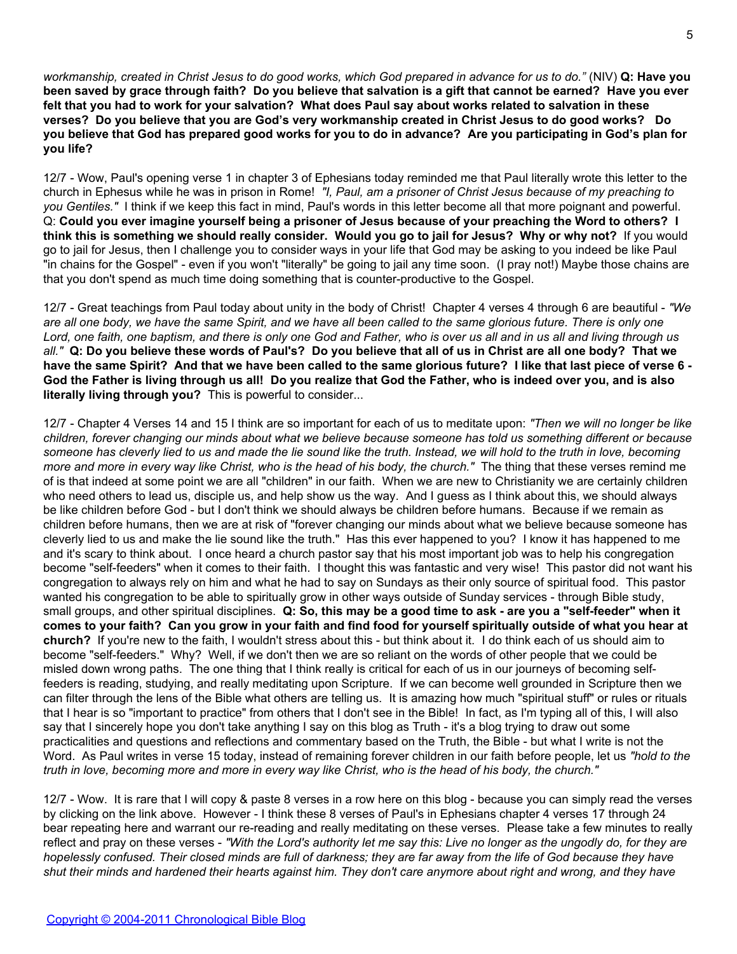*workmanship, created in Christ Jesus to do good works, which God prepared in advance for us to do."* (NIV) **Q: Have you been saved by grace through faith? Do you believe that salvation is a gift that cannot be earned? Have you ever felt that you had to work for your salvation? What does Paul say about works related to salvation in these verses? Do you believe that you are God's very workmanship created in Christ Jesus to do good works? Do you believe that God has prepared good works for you to do in advance? Are you participating in God's plan for you life?**

12/7 - Wow, Paul's opening verse 1 in chapter 3 of Ephesians today reminded me that Paul literally wrote this letter to the church in Ephesus while he was in prison in Rome! *"I, Paul, am a prisoner of Christ Jesus because of my preaching to you Gentiles."* I think if we keep this fact in mind, Paul's words in this letter become all that more poignant and powerful. Q: **Could you ever imagine yourself being a prisoner of Jesus because of your preaching the Word to others? I think this is something we should really consider. Would you go to jail for Jesus? Why or why not?** If you would go to jail for Jesus, then I challenge you to consider ways in your life that God may be asking to you indeed be like Paul "in chains for the Gospel" - even if you won't "literally" be going to jail any time soon. (I pray not!) Maybe those chains are that you don't spend as much time doing something that is counter-productive to the Gospel.

12/7 - Great teachings from Paul today about unity in the body of Christ! Chapter 4 verses 4 through 6 are beautiful - *"We are all one body, we have the same Spirit, and we have all been called to the same glorious future. There is only one Lord, one faith, one baptism, and there is only one God and Father, who is over us all and in us all and living through us all."* **Q: Do you believe these words of Paul's? Do you believe that all of us in Christ are all one body? That we have the same Spirit? And that we have been called to the same glorious future? I like that last piece of verse 6 - God the Father is living through us all! Do you realize that God the Father, who is indeed over you, and is also literally living through you?** This is powerful to consider...

12/7 - Chapter 4 Verses 14 and 15 I think are so important for each of us to meditate upon: *"Then we will no longer be like children, forever changing our minds about what we believe because someone has told us something different or because someone has cleverly lied to us and made the lie sound like the truth. Instead, we will hold to the truth in love, becoming more and more in every way like Christ, who is the head of his body, the church."* The thing that these verses remind me of is that indeed at some point we are all "children" in our faith. When we are new to Christianity we are certainly children who need others to lead us, disciple us, and help show us the way. And I guess as I think about this, we should always be like children before God - but I don't think we should always be children before humans. Because if we remain as children before humans, then we are at risk of "forever changing our minds about what we believe because someone has cleverly lied to us and make the lie sound like the truth." Has this ever happened to you? I know it has happened to me and it's scary to think about. I once heard a church pastor say that his most important job was to help his congregation become "self-feeders" when it comes to their faith. I thought this was fantastic and very wise! This pastor did not want his congregation to always rely on him and what he had to say on Sundays as their only source of spiritual food. This pastor wanted his congregation to be able to spiritually grow in other ways outside of Sunday services - through Bible study, small groups, and other spiritual disciplines. **Q: So, this may be a good time to ask - are you a "self-feeder" when it comes to your faith? Can you grow in your faith and find food for yourself spiritually outside of what you hear at church?** If you're new to the faith, I wouldn't stress about this - but think about it. I do think each of us should aim to become "self-feeders." Why? Well, if we don't then we are so reliant on the words of other people that we could be misled down wrong paths. The one thing that I think really is critical for each of us in our journeys of becoming selffeeders is reading, studying, and really meditating upon Scripture. If we can become well grounded in Scripture then we can filter through the lens of the Bible what others are telling us. It is amazing how much "spiritual stuff" or rules or rituals that I hear is so "important to practice" from others that I don't see in the Bible! In fact, as I'm typing all of this, I will also say that I sincerely hope you don't take anything I say on this blog as Truth - it's a blog trying to draw out some practicalities and questions and reflections and commentary based on the Truth, the Bible - but what I write is not the Word. As Paul writes in verse 15 today, instead of remaining forever children in our faith before people, let us *"hold to the truth in love, becoming more and more in every way like Christ, who is the head of his body, the church."*

12/7 - Wow. It is rare that I will copy & paste 8 verses in a row here on this blog - because you can simply read the verses by clicking on the link above. However - I think these 8 verses of Paul's in Ephesians chapter 4 verses 17 through 24 bear repeating here and warrant our re-reading and really meditating on these verses. Please take a few minutes to really reflect and pray on these verses - *"With the Lord's authority let me say this: Live no longer as the ungodly do, for they are hopelessly confused. Their closed minds are full of darkness; they are far away from the life of God because they have shut their minds and hardened their hearts against him. They don't care anymore about right and wrong, and they have*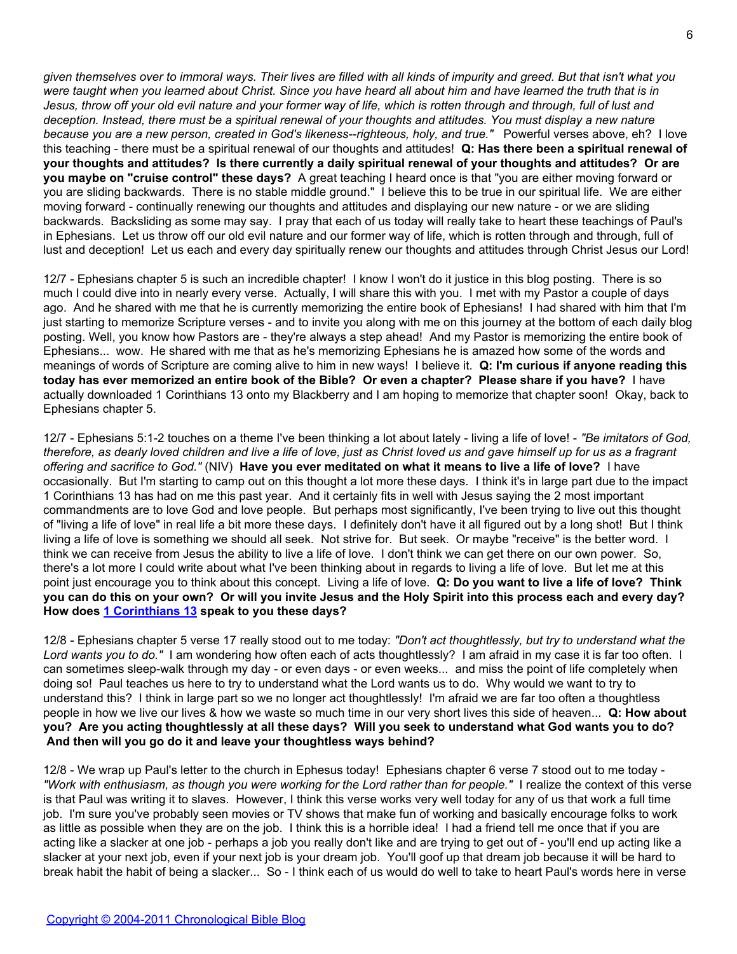*given themselves over to immoral ways. Their lives are filled with all kinds of impurity and greed. But that isn't what you were taught when you learned about Christ. Since you have heard all about him and have learned the truth that is in Jesus, throw off your old evil nature and your former way of life, which is rotten through and through, full of lust and deception. Instead, there must be a spiritual renewal of your thoughts and attitudes. You must display a new nature because you are a new person, created in God's likeness--righteous, holy, and true."* Powerful verses above, eh? I love this teaching - there must be a spiritual renewal of our thoughts and attitudes! **Q: Has there been a spiritual renewal of your thoughts and attitudes? Is there currently a daily spiritual renewal of your thoughts and attitudes? Or are you maybe on "cruise control" these days?** A great teaching I heard once is that "you are either moving forward or you are sliding backwards. There is no stable middle ground." I believe this to be true in our spiritual life. We are either moving forward - continually renewing our thoughts and attitudes and displaying our new nature - or we are sliding backwards. Backsliding as some may say. I pray that each of us today will really take to heart these teachings of Paul's in Ephesians. Let us throw off our old evil nature and our former way of life, which is rotten through and through, full of lust and deception! Let us each and every day spiritually renew our thoughts and attitudes through Christ Jesus our Lord!

12/7 - Ephesians chapter 5 is such an incredible chapter! I know I won't do it justice in this blog posting. There is so much I could dive into in nearly every verse. Actually, I will share this with you. I met with my Pastor a couple of days ago. And he shared with me that he is currently memorizing the entire book of Ephesians! I had shared with him that I'm just starting to memorize Scripture verses - and to invite you along with me on this journey at the bottom of each daily blog posting. Well, you know how Pastors are - they're always a step ahead! And my Pastor is memorizing the entire book of Ephesians... wow. He shared with me that as he's memorizing Ephesians he is amazed how some of the words and meanings of words of Scripture are coming alive to him in new ways! I believe it. **Q: I'm curious if anyone reading this today has ever memorized an entire book of the Bible? Or even a chapter? Please share if you have?** I have actually downloaded 1 Corinthians 13 onto my Blackberry and I am hoping to memorize that chapter soon! Okay, back to Ephesians chapter 5.

12/7 - Ephesians 5:1-2 touches on a theme I've been thinking a lot about lately - living a life of love! - *"Be imitators of God, therefore, as dearly loved children and live a life of love, just as Christ loved us and gave himself up for us as a fragrant offering and sacrifice to God."* (NIV) **Have you ever meditated on what it means to live a life of love?** I have occasionally. But I'm starting to camp out on this thought a lot more these days. I think it's in large part due to the impact 1 Corinthians 13 has had on me this past year. And it certainly fits in well with Jesus saying the 2 most important commandments are to love God and love people. But perhaps most significantly, I've been trying to live out this thought of "living a life of love" in real life a bit more these days. I definitely don't have it all figured out by a long shot! But I think living a life of love is something we should all seek. Not strive for. But seek. Or maybe "receive" is the better word. I think we can receive from Jesus the ability to live a life of love. I don't think we can get there on our own power. So, there's a lot more I could write about what I've been thinking about in regards to living a life of love. But let me at this point just encourage you to think about this concept. Living a life of love. **Q: Do you want to live a life of love? Think you can do this on your own? Or will you invite Jesus and the Holy Spirit into this process each and every day? How does [1 Corinthians 13](http://www.biblegateway.com/passage/?search=1%20corinthians%2013) speak to you these days?**

12/8 - Ephesians chapter 5 verse 17 really stood out to me today: *"Don't act thoughtlessly, but try to understand what the Lord wants you to do."* I am wondering how often each of acts thoughtlessly? I am afraid in my case it is far too often. I can sometimes sleep-walk through my day - or even days - or even weeks... and miss the point of life completely when doing so! Paul teaches us here to try to understand what the Lord wants us to do. Why would we want to try to understand this? I think in large part so we no longer act thoughtlessly! I'm afraid we are far too often a thoughtless people in how we live our lives & how we waste so much time in our very short lives this side of heaven... **Q: How about you? Are you acting thoughtlessly at all these days? Will you seek to understand what God wants you to do? And then will you go do it and leave your thoughtless ways behind?**

12/8 - We wrap up Paul's letter to the church in Ephesus today! Ephesians chapter 6 verse 7 stood out to me today - *"Work with enthusiasm, as though you were working for the Lord rather than for people."* I realize the context of this verse is that Paul was writing it to slaves. However, I think this verse works very well today for any of us that work a full time job. I'm sure you've probably seen movies or TV shows that make fun of working and basically encourage folks to work as little as possible when they are on the job. I think this is a horrible idea! I had a friend tell me once that if you are acting like a slacker at one job - perhaps a job you really don't like and are trying to get out of - you'll end up acting like a slacker at your next job, even if your next job is your dream job. You'll goof up that dream job because it will be hard to break habit the habit of being a slacker... So - I think each of us would do well to take to heart Paul's words here in verse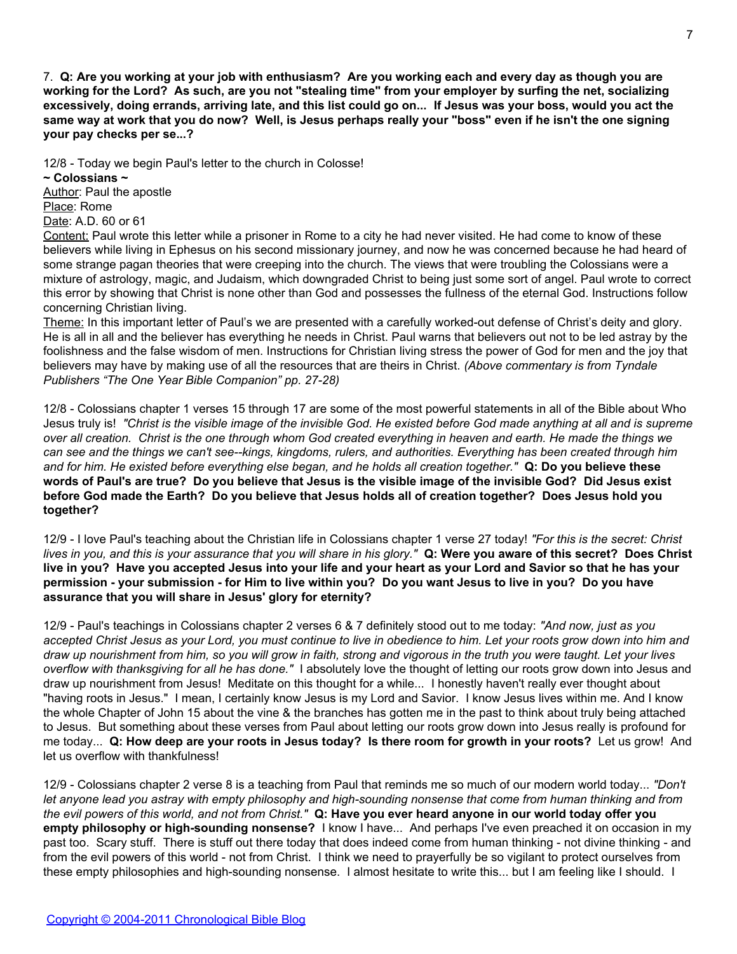7. **Q: Are you working at your job with enthusiasm? Are you working each and every day as though you are working for the Lord? As such, are you not "stealing time" from your employer by surfing the net, socializing excessively, doing errands, arriving late, and this list could go on... If Jesus was your boss, would you act the same way at work that you do now? Well, is Jesus perhaps really your "boss" even if he isn't the one signing your pay checks per se...?**

12/8 - Today we begin Paul's letter to the church in Colosse!

**~ Colossians ~** Author: Paul the apostle Place: Rome Date: A.D. 60 or 61

Content: Paul wrote this letter while a prisoner in Rome to a city he had never visited. He had come to know of these believers while living in Ephesus on his second missionary journey, and now he was concerned because he had heard of some strange pagan theories that were creeping into the church. The views that were troubling the Colossians were a mixture of astrology, magic, and Judaism, which downgraded Christ to being just some sort of angel. Paul wrote to correct this error by showing that Christ is none other than God and possesses the fullness of the eternal God. Instructions follow concerning Christian living.

Theme: In this important letter of Paul's we are presented with a carefully worked-out defense of Christ's deity and glory. He is all in all and the believer has everything he needs in Christ. Paul warns that believers out not to be led astray by the foolishness and the false wisdom of men. Instructions for Christian living stress the power of God for men and the joy that believers may have by making use of all the resources that are theirs in Christ. *(Above commentary is from Tyndale Publishers "The One Year Bible Companion" pp. 27-28)*

12/8 - Colossians chapter 1 verses 15 through 17 are some of the most powerful statements in all of the Bible about Who Jesus truly is! *"Christ is the visible image of the invisible God. He existed before God made anything at all and is supreme over all creation. Christ is the one through whom God created everything in heaven and earth. He made the things we can see and the things we can't see--kings, kingdoms, rulers, and authorities. Everything has been created through him and for him. He existed before everything else began, and he holds all creation together."* **Q: Do you believe these words of Paul's are true? Do you believe that Jesus is the visible image of the invisible God? Did Jesus exist before God made the Earth? Do you believe that Jesus holds all of creation together? Does Jesus hold you together?**

12/9 - I love Paul's teaching about the Christian life in Colossians chapter 1 verse 27 today! *"For this is the secret: Christ lives in you, and this is your assurance that you will share in his glory."* **Q: Were you aware of this secret? Does Christ live in you? Have you accepted Jesus into your life and your heart as your Lord and Savior so that he has your permission - your submission - for Him to live within you? Do you want Jesus to live in you? Do you have assurance that you will share in Jesus' glory for eternity?**

12/9 - Paul's teachings in Colossians chapter 2 verses 6 & 7 definitely stood out to me today: *"And now, just as you accepted Christ Jesus as your Lord, you must continue to live in obedience to him. Let your roots grow down into him and draw up nourishment from him, so you will grow in faith, strong and vigorous in the truth you were taught. Let your lives overflow with thanksgiving for all he has done."* I absolutely love the thought of letting our roots grow down into Jesus and draw up nourishment from Jesus! Meditate on this thought for a while... I honestly haven't really ever thought about "having roots in Jesus." I mean, I certainly know Jesus is my Lord and Savior. I know Jesus lives within me. And I know the whole Chapter of John 15 about the vine & the branches has gotten me in the past to think about truly being attached to Jesus. But something about these verses from Paul about letting our roots grow down into Jesus really is profound for me today... **Q: How deep are your roots in Jesus today? Is there room for growth in your roots?** Let us grow! And let us overflow with thankfulness!

12/9 - Colossians chapter 2 verse 8 is a teaching from Paul that reminds me so much of our modern world today... *"Don't let anyone lead you astray with empty philosophy and high-sounding nonsense that come from human thinking and from the evil powers of this world, and not from Christ."* **Q: Have you ever heard anyone in our world today offer you empty philosophy or high-sounding nonsense?** I know I have... And perhaps I've even preached it on occasion in my past too. Scary stuff. There is stuff out there today that does indeed come from human thinking - not divine thinking - and from the evil powers of this world - not from Christ. I think we need to prayerfully be so vigilant to protect ourselves from these empty philosophies and high-sounding nonsense. I almost hesitate to write this... but I am feeling like I should. I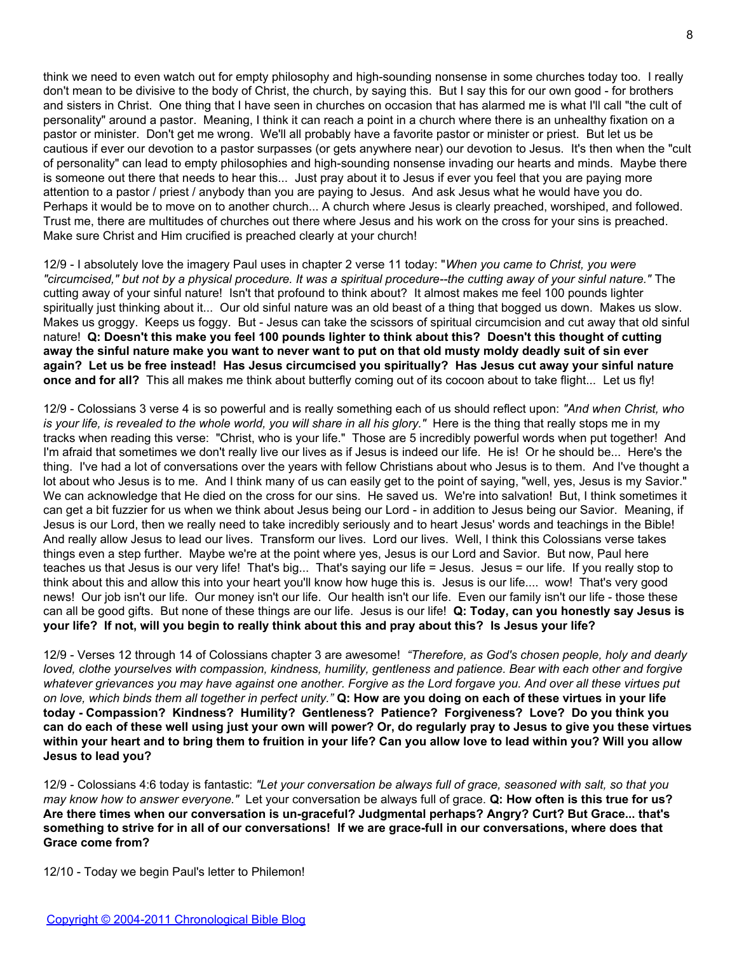think we need to even watch out for empty philosophy and high-sounding nonsense in some churches today too. I really don't mean to be divisive to the body of Christ, the church, by saying this. But I say this for our own good - for brothers and sisters in Christ. One thing that I have seen in churches on occasion that has alarmed me is what I'll call "the cult of personality" around a pastor. Meaning, I think it can reach a point in a church where there is an unhealthy fixation on a pastor or minister. Don't get me wrong. We'll all probably have a favorite pastor or minister or priest. But let us be cautious if ever our devotion to a pastor surpasses (or gets anywhere near) our devotion to Jesus. It's then when the "cult of personality" can lead to empty philosophies and high-sounding nonsense invading our hearts and minds. Maybe there is someone out there that needs to hear this... Just pray about it to Jesus if ever you feel that you are paying more attention to a pastor / priest / anybody than you are paying to Jesus. And ask Jesus what he would have you do. Perhaps it would be to move on to another church... A church where Jesus is clearly preached, worshiped, and followed. Trust me, there are multitudes of churches out there where Jesus and his work on the cross for your sins is preached. Make sure Christ and Him crucified is preached clearly at your church!

12/9 - I absolutely love the imagery Paul uses in chapter 2 verse 11 today: "*When you came to Christ, you were "circumcised," but not by a physical procedure. It was a spiritual procedure--the cutting away of your sinful nature."* The cutting away of your sinful nature! Isn't that profound to think about? It almost makes me feel 100 pounds lighter spiritually just thinking about it... Our old sinful nature was an old beast of a thing that bogged us down. Makes us slow. Makes us groggy. Keeps us foggy. But - Jesus can take the scissors of spiritual circumcision and cut away that old sinful nature! **Q: Doesn't this make you feel 100 pounds lighter to think about this? Doesn't this thought of cutting away the sinful nature make you want to never want to put on that old musty moldy deadly suit of sin ever again? Let us be free instead! Has Jesus circumcised you spiritually? Has Jesus cut away your sinful nature once and for all?** This all makes me think about butterfly coming out of its cocoon about to take flight... Let us fly!

12/9 - Colossians 3 verse 4 is so powerful and is really something each of us should reflect upon: *"And when Christ, who is your life, is revealed to the whole world, you will share in all his glory."* Here is the thing that really stops me in my tracks when reading this verse: "Christ, who is your life." Those are 5 incredibly powerful words when put together! And I'm afraid that sometimes we don't really live our lives as if Jesus is indeed our life. He is! Or he should be... Here's the thing. I've had a lot of conversations over the years with fellow Christians about who Jesus is to them. And I've thought a lot about who Jesus is to me. And I think many of us can easily get to the point of saying, "well, yes, Jesus is my Savior." We can acknowledge that He died on the cross for our sins. He saved us. We're into salvation! But, I think sometimes it can get a bit fuzzier for us when we think about Jesus being our Lord - in addition to Jesus being our Savior. Meaning, if Jesus is our Lord, then we really need to take incredibly seriously and to heart Jesus' words and teachings in the Bible! And really allow Jesus to lead our lives. Transform our lives. Lord our lives. Well, I think this Colossians verse takes things even a step further. Maybe we're at the point where yes, Jesus is our Lord and Savior. But now, Paul here teaches us that Jesus is our very life! That's big... That's saying our life = Jesus. Jesus = our life. If you really stop to think about this and allow this into your heart you'll know how huge this is. Jesus is our life.... wow! That's very good news! Our job isn't our life. Our money isn't our life. Our health isn't our life. Even our family isn't our life - those these can all be good gifts. But none of these things are our life. Jesus is our life! **Q: Today, can you honestly say Jesus is your life? If not, will you begin to really think about this and pray about this? Is Jesus your life?**

12/9 - Verses 12 through 14 of Colossians chapter 3 are awesome! *"Therefore, as God's chosen people, holy and dearly loved, clothe yourselves with compassion, kindness, humility, gentleness and patience. Bear with each other and forgive whatever grievances you may have against one another. Forgive as the Lord forgave you. And over all these virtues put on love, which binds them all together in perfect unity."* **Q: How are you doing on each of these virtues in your life today - Compassion? Kindness? Humility? Gentleness? Patience? Forgiveness? Love? Do you think you can do each of these well using just your own will power? Or, do regularly pray to Jesus to give you these virtues within your heart and to bring them to fruition in your life? Can you allow love to lead within you? Will you allow Jesus to lead you?**

12/9 - Colossians 4:6 today is fantastic: *"Let your conversation be always full of grace, seasoned with salt, so that you may know how to answer everyone."* Let your conversation be always full of grace. **Q: How often is this true for us? Are there times when our conversation is un-graceful? Judgmental perhaps? Angry? Curt? But Grace... that's something to strive for in all of our conversations! If we are grace-full in our conversations, where does that Grace come from?**

12/10 - Today we begin Paul's letter to Philemon!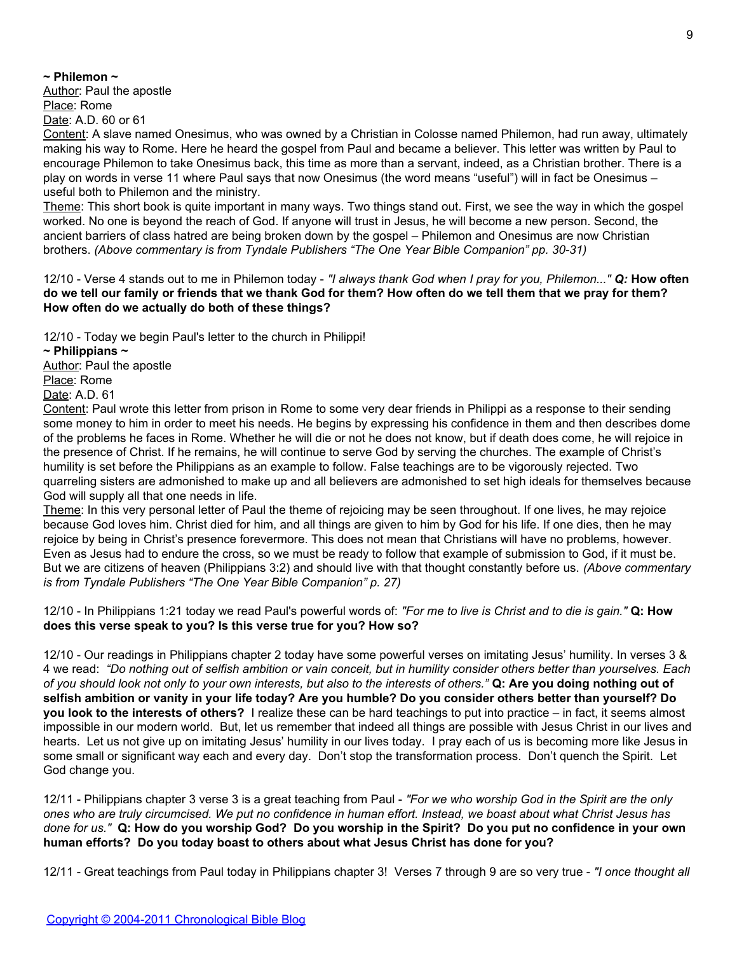**~ Philemon ~** Author: Paul the apostle Place: Rome

Date: A.D. 60 or 61

Content: A slave named Onesimus, who was owned by a Christian in Colosse named Philemon, had run away, ultimately making his way to Rome. Here he heard the gospel from Paul and became a believer. This letter was written by Paul to encourage Philemon to take Onesimus back, this time as more than a servant, indeed, as a Christian brother. There is a play on words in verse 11 where Paul says that now Onesimus (the word means "useful") will in fact be Onesimus – useful both to Philemon and the ministry.

Theme: This short book is quite important in many ways. Two things stand out. First, we see the way in which the gospel worked. No one is beyond the reach of God. If anyone will trust in Jesus, he will become a new person. Second, the ancient barriers of class hatred are being broken down by the gospel – Philemon and Onesimus are now Christian brothers. *(Above commentary is from Tyndale Publishers "The One Year Bible Companion" pp. 30-31)*

12/10 - Verse 4 stands out to me in Philemon today - *"I always thank God when I pray for you, Philemon..." Q:* **How often do we tell our family or friends that we thank God for them? How often do we tell them that we pray for them? How often do we actually do both of these things?**

12/10 - Today we begin Paul's letter to the church in Philippi!

**~ Philippians ~** Author: Paul the apostle Place: Rome Date: A.D. 61

Content: Paul wrote this letter from prison in Rome to some very dear friends in Philippi as a response to their sending some money to him in order to meet his needs. He begins by expressing his confidence in them and then describes dome of the problems he faces in Rome. Whether he will die or not he does not know, but if death does come, he will rejoice in the presence of Christ. If he remains, he will continue to serve God by serving the churches. The example of Christ's humility is set before the Philippians as an example to follow. False teachings are to be vigorously rejected. Two quarreling sisters are admonished to make up and all believers are admonished to set high ideals for themselves because God will supply all that one needs in life.

Theme: In this very personal letter of Paul the theme of rejoicing may be seen throughout. If one lives, he may rejoice because God loves him. Christ died for him, and all things are given to him by God for his life. If one dies, then he may rejoice by being in Christ's presence forevermore. This does not mean that Christians will have no problems, however. Even as Jesus had to endure the cross, so we must be ready to follow that example of submission to God, if it must be. But we are citizens of heaven (Philippians 3:2) and should live with that thought constantly before us. *(Above commentary is from Tyndale Publishers "The One Year Bible Companion" p. 27)*

12/10 - In Philippians 1:21 today we read Paul's powerful words of: *"For me to live is Christ and to die is gain."* **Q: How does this verse speak to you? Is this verse true for you? How so?**

12/10 - Our readings in Philippians chapter 2 today have some powerful verses on imitating Jesus' humility. In verses 3 & 4 we read: *"Do nothing out of selfish ambition or vain conceit, but in humility consider others better than yourselves. Each of you should look not only to your own interests, but also to the interests of others."* **Q: Are you doing nothing out of selfish ambition or vanity in your life today? Are you humble? Do you consider others better than yourself? Do you look to the interests of others?** I realize these can be hard teachings to put into practice – in fact, it seems almost impossible in our modern world. But, let us remember that indeed all things are possible with Jesus Christ in our lives and hearts. Let us not give up on imitating Jesus' humility in our lives today. I pray each of us is becoming more like Jesus in some small or significant way each and every day. Don't stop the transformation process. Don't quench the Spirit. Let God change you.

12/11 - Philippians chapter 3 verse 3 is a great teaching from Paul - *"For we who worship God in the Spirit are the only ones who are truly circumcised. We put no confidence in human effort. Instead, we boast about what Christ Jesus has done for us."* **Q: How do you worship God? Do you worship in the Spirit? Do you put no confidence in your own human efforts? Do you today boast to others about what Jesus Christ has done for you?**

12/11 - Great teachings from Paul today in Philippians chapter 3! Verses 7 through 9 are so very true - *"I once thought all*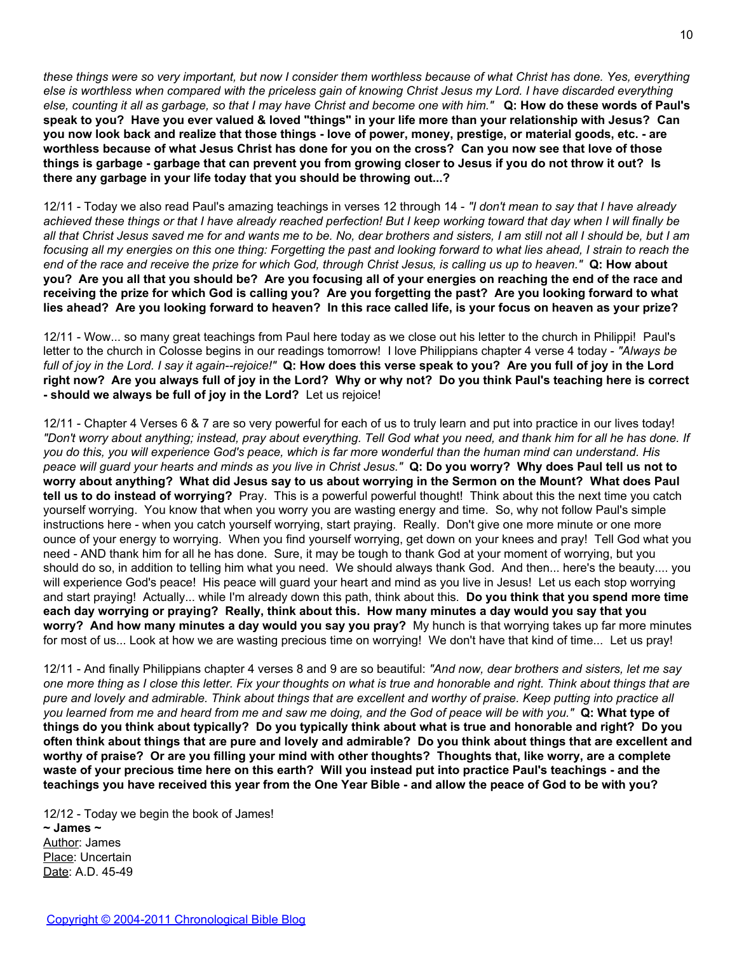*these things were so very important, but now I consider them worthless because of what Christ has done. Yes, everything else is worthless when compared with the priceless gain of knowing Christ Jesus my Lord. I have discarded everything else, counting it all as garbage, so that I may have Christ and become one with him."* **Q: How do these words of Paul's speak to you? Have you ever valued & loved "things" in your life more than your relationship with Jesus? Can you now look back and realize that those things - love of power, money, prestige, or material goods, etc. - are worthless because of what Jesus Christ has done for you on the cross? Can you now see that love of those things is garbage - garbage that can prevent you from growing closer to Jesus if you do not throw it out? Is there any garbage in your life today that you should be throwing out...?**

12/11 - Today we also read Paul's amazing teachings in verses 12 through 14 - *"I don't mean to say that I have already achieved these things or that I have already reached perfection! But I keep working toward that day when I will finally be all that Christ Jesus saved me for and wants me to be. No, dear brothers and sisters, I am still not all I should be, but I am focusing all my energies on this one thing: Forgetting the past and looking forward to what lies ahead, I strain to reach the end of the race and receive the prize for which God, through Christ Jesus, is calling us up to heaven."* **Q: How about you? Are you all that you should be? Are you focusing all of your energies on reaching the end of the race and receiving the prize for which God is calling you? Are you forgetting the past? Are you looking forward to what lies ahead? Are you looking forward to heaven? In this race called life, is your focus on heaven as your prize?**

12/11 - Wow... so many great teachings from Paul here today as we close out his letter to the church in Philippi! Paul's letter to the church in Colosse begins in our readings tomorrow! I love Philippians chapter 4 verse 4 today - *"Always be full of joy in the Lord. I say it again--rejoice!"* **Q: How does this verse speak to you? Are you full of joy in the Lord right now? Are you always full of joy in the Lord? Why or why not? Do you think Paul's teaching here is correct - should we always be full of joy in the Lord?** Let us rejoice!

12/11 - Chapter 4 Verses 6 & 7 are so very powerful for each of us to truly learn and put into practice in our lives today! *"Don't worry about anything; instead, pray about everything. Tell God what you need, and thank him for all he has done. If you do this, you will experience God's peace, which is far more wonderful than the human mind can understand. His peace will guard your hearts and minds as you live in Christ Jesus."* **Q: Do you worry? Why does Paul tell us not to worry about anything? What did Jesus say to us about worrying in the Sermon on the Mount? What does Paul tell us to do instead of worrying?** Pray. This is a powerful powerful thought! Think about this the next time you catch yourself worrying. You know that when you worry you are wasting energy and time. So, why not follow Paul's simple instructions here - when you catch yourself worrying, start praying. Really. Don't give one more minute or one more ounce of your energy to worrying. When you find yourself worrying, get down on your knees and pray! Tell God what you need - AND thank him for all he has done. Sure, it may be tough to thank God at your moment of worrying, but you should do so, in addition to telling him what you need. We should always thank God. And then... here's the beauty.... you will experience God's peace! His peace will guard your heart and mind as you live in Jesus! Let us each stop worrying and start praying! Actually... while I'm already down this path, think about this. **Do you think that you spend more time each day worrying or praying? Really, think about this. How many minutes a day would you say that you worry? And how many minutes a day would you say you pray?** My hunch is that worrying takes up far more minutes for most of us... Look at how we are wasting precious time on worrying! We don't have that kind of time... Let us pray!

12/11 - And finally Philippians chapter 4 verses 8 and 9 are so beautiful: *"And now, dear brothers and sisters, let me say one more thing as I close this letter. Fix your thoughts on what is true and honorable and right. Think about things that are pure and lovely and admirable. Think about things that are excellent and worthy of praise. Keep putting into practice all you learned from me and heard from me and saw me doing, and the God of peace will be with you."* **Q: What type of things do you think about typically? Do you typically think about what is true and honorable and right? Do you often think about things that are pure and lovely and admirable? Do you think about things that are excellent and worthy of praise? Or are you filling your mind with other thoughts? Thoughts that, like worry, are a complete waste of your precious time here on this earth? Will you instead put into practice Paul's teachings - and the teachings you have received this year from the One Year Bible - and allow the peace of God to be with you?**

12/12 - Today we begin the book of James! **~ James ~** Author: James Place: Uncertain Date: A.D. 45-49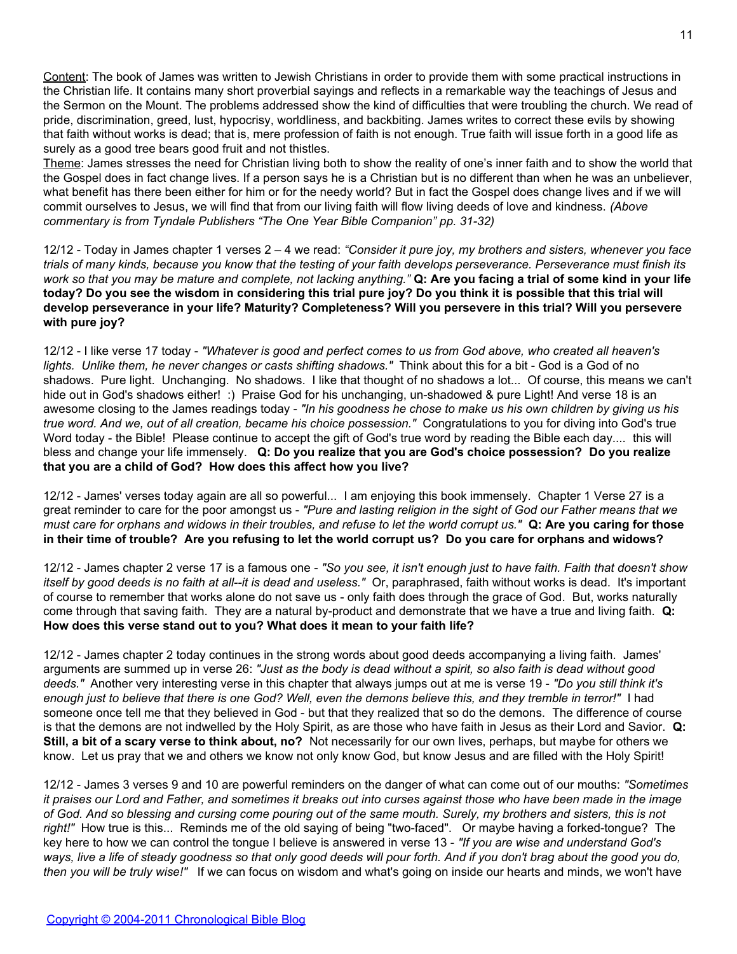Content: The book of James was written to Jewish Christians in order to provide them with some practical instructions in the Christian life. It contains many short proverbial sayings and reflects in a remarkable way the teachings of Jesus and the Sermon on the Mount. The problems addressed show the kind of difficulties that were troubling the church. We read of pride, discrimination, greed, lust, hypocrisy, worldliness, and backbiting. James writes to correct these evils by showing that faith without works is dead; that is, mere profession of faith is not enough. True faith will issue forth in a good life as surely as a good tree bears good fruit and not thistles.

Theme: James stresses the need for Christian living both to show the reality of one's inner faith and to show the world that the Gospel does in fact change lives. If a person says he is a Christian but is no different than when he was an unbeliever, what benefit has there been either for him or for the needy world? But in fact the Gospel does change lives and if we will commit ourselves to Jesus, we will find that from our living faith will flow living deeds of love and kindness. *(Above commentary is from Tyndale Publishers "The One Year Bible Companion" pp. 31-32)*

12/12 - Today in James chapter 1 verses 2 – 4 we read: *"Consider it pure joy, my brothers and sisters, whenever you face trials of many kinds, because you know that the testing of your faith develops perseverance. Perseverance must finish its work so that you may be mature and complete, not lacking anything."* **Q: Are you facing a trial of some kind in your life today? Do you see the wisdom in considering this trial pure joy? Do you think it is possible that this trial will develop perseverance in your life? Maturity? Completeness? Will you persevere in this trial? Will you persevere with pure joy?**

12/12 - I like verse 17 today - *"Whatever is good and perfect comes to us from God above, who created all heaven's lights. Unlike them, he never changes or casts shifting shadows."* Think about this for a bit - God is a God of no shadows. Pure light. Unchanging. No shadows. I like that thought of no shadows a lot... Of course, this means we can't hide out in God's shadows either! :) Praise God for his unchanging, un-shadowed & pure Light! And verse 18 is an awesome closing to the James readings today - *"In his goodness he chose to make us his own children by giving us his true word. And we, out of all creation, became his choice possession."* Congratulations to you for diving into God's true Word today - the Bible! Please continue to accept the gift of God's true word by reading the Bible each day.... this will bless and change your life immensely. **Q: Do you realize that you are God's choice possession? Do you realize that you are a child of God? How does this affect how you live?**

12/12 - James' verses today again are all so powerful... I am enjoying this book immensely. Chapter 1 Verse 27 is a great reminder to care for the poor amongst us - *"Pure and lasting religion in the sight of God our Father means that we must care for orphans and widows in their troubles, and refuse to let the world corrupt us."* **Q: Are you caring for those in their time of trouble? Are you refusing to let the world corrupt us? Do you care for orphans and widows?**

12/12 - James chapter 2 verse 17 is a famous one - *"So you see, it isn't enough just to have faith. Faith that doesn't show itself by good deeds is no faith at all--it is dead and useless."* Or, paraphrased, faith without works is dead. It's important of course to remember that works alone do not save us - only faith does through the grace of God. But, works naturally come through that saving faith. They are a natural by-product and demonstrate that we have a true and living faith. **Q: How does this verse stand out to you? What does it mean to your faith life?**

12/12 - James chapter 2 today continues in the strong words about good deeds accompanying a living faith. James' arguments are summed up in verse 26: *"Just as the body is dead without a spirit, so also faith is dead without good deeds."* Another very interesting verse in this chapter that always jumps out at me is verse 19 - *"Do you still think it's enough just to believe that there is one God? Well, even the demons believe this, and they tremble in terror!"* I had someone once tell me that they believed in God - but that they realized that so do the demons. The difference of course is that the demons are not indwelled by the Holy Spirit, as are those who have faith in Jesus as their Lord and Savior. **Q: Still, a bit of a scary verse to think about, no?** Not necessarily for our own lives, perhaps, but maybe for others we know. Let us pray that we and others we know not only know God, but know Jesus and are filled with the Holy Spirit!

12/12 - James 3 verses 9 and 10 are powerful reminders on the danger of what can come out of our mouths: *"Sometimes it praises our Lord and Father, and sometimes it breaks out into curses against those who have been made in the image of God. And so blessing and cursing come pouring out of the same mouth. Surely, my brothers and sisters, this is not right!"* How true is this... Reminds me of the old saying of being "two-faced". Or maybe having a forked-tongue? The key here to how we can control the tongue I believe is answered in verse 13 - *"If you are wise and understand God's ways, live a life of steady goodness so that only good deeds will pour forth. And if you don't brag about the good you do, then you will be truly wise!"* If we can focus on wisdom and what's going on inside our hearts and minds, we won't have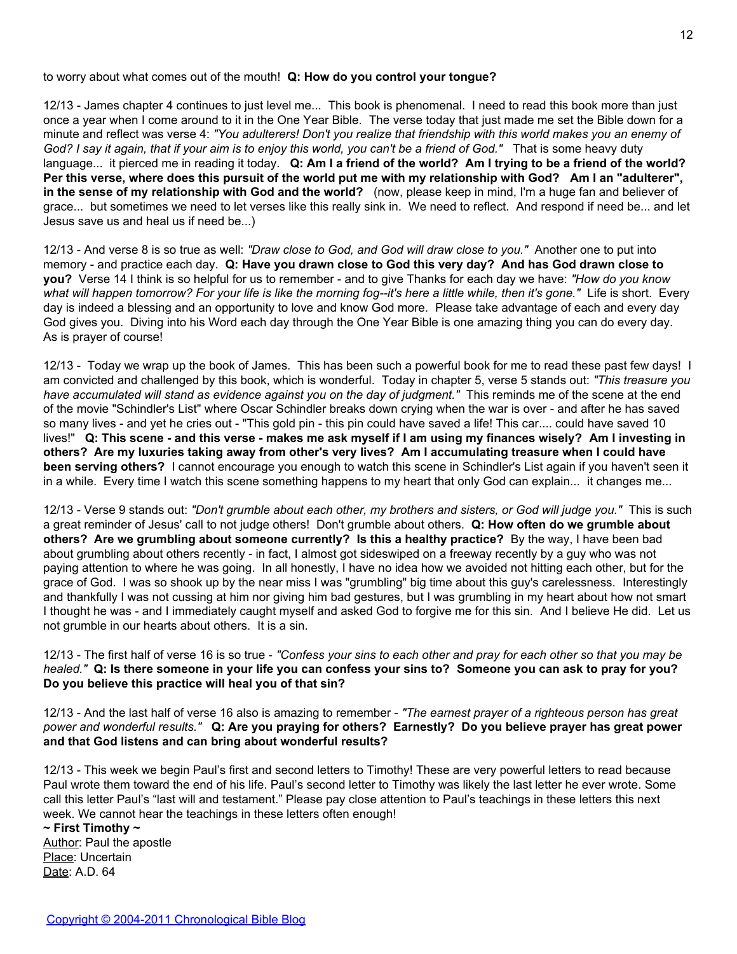to worry about what comes out of the mouth! **Q: How do you control your tongue?**

12/13 - James chapter 4 continues to just level me... This book is phenomenal. I need to read this book more than just once a year when I come around to it in the One Year Bible. The verse today that just made me set the Bible down for a minute and reflect was verse 4: *"You adulterers! Don't you realize that friendship with this world makes you an enemy of God? I say it again, that if your aim is to enjoy this world, you can't be a friend of God."* That is some heavy duty language... it pierced me in reading it today. **Q: Am I a friend of the world? Am I trying to be a friend of the world? Per this verse, where does this pursuit of the world put me with my relationship with God? Am I an "adulterer", in the sense of my relationship with God and the world?** (now, please keep in mind, I'm a huge fan and believer of grace... but sometimes we need to let verses like this really sink in. We need to reflect. And respond if need be... and let Jesus save us and heal us if need be...)

12/13 - And verse 8 is so true as well: *"Draw close to God, and God will draw close to you."* Another one to put into memory - and practice each day. **Q: Have you drawn close to God this very day? And has God drawn close to you?** Verse 14 I think is so helpful for us to remember - and to give Thanks for each day we have: *"How do you know what will happen tomorrow? For your life is like the morning fog--it's here a little while, then it's gone."* Life is short. Every day is indeed a blessing and an opportunity to love and know God more. Please take advantage of each and every day God gives you. Diving into his Word each day through the One Year Bible is one amazing thing you can do every day. As is prayer of course!

12/13 - Today we wrap up the book of James. This has been such a powerful book for me to read these past few days! I am convicted and challenged by this book, which is wonderful. Today in chapter 5, verse 5 stands out: *"This treasure you have accumulated will stand as evidence against you on the day of judgment."* This reminds me of the scene at the end of the movie "Schindler's List" where Oscar Schindler breaks down crying when the war is over - and after he has saved so many lives - and yet he cries out - "This gold pin - this pin could have saved a life! This car.... could have saved 10 lives!" **Q: This scene - and this verse - makes me ask myself if I am using my finances wisely? Am I investing in others? Are my luxuries taking away from other's very lives? Am I accumulating treasure when I could have been serving others?** I cannot encourage you enough to watch this scene in Schindler's List again if you haven't seen it in a while. Every time I watch this scene something happens to my heart that only God can explain... it changes me...

12/13 - Verse 9 stands out: *"Don't grumble about each other, my brothers and sisters, or God will judge you."* This is such a great reminder of Jesus' call to not judge others! Don't grumble about others. **Q: How often do we grumble about others? Are we grumbling about someone currently? Is this a healthy practice?** By the way, I have been bad about grumbling about others recently - in fact, I almost got sideswiped on a freeway recently by a guy who was not paying attention to where he was going. In all honestly, I have no idea how we avoided not hitting each other, but for the grace of God. I was so shook up by the near miss I was "grumbling" big time about this guy's carelessness. Interestingly and thankfully I was not cussing at him nor giving him bad gestures, but I was grumbling in my heart about how not smart I thought he was - and I immediately caught myself and asked God to forgive me for this sin. And I believe He did. Let us not grumble in our hearts about others. It is a sin.

12/13 - The first half of verse 16 is so true - *"Confess your sins to each other and pray for each other so that you may be healed."* **Q: Is there someone in your life you can confess your sins to? Someone you can ask to pray for you? Do you believe this practice will heal you of that sin?**

12/13 - And the last half of verse 16 also is amazing to remember - *"The earnest prayer of a righteous person has great power and wonderful results."* **Q: Are you praying for others? Earnestly? Do you believe prayer has great power and that God listens and can bring about wonderful results?**

12/13 - This week we begin Paul's first and second letters to Timothy! These are very powerful letters to read because Paul wrote them toward the end of his life. Paul's second letter to Timothy was likely the last letter he ever wrote. Some call this letter Paul's "last will and testament." Please pay close attention to Paul's teachings in these letters this next week. We cannot hear the teachings in these letters often enough!

**~ First Timothy ~** Author: Paul the apostle Place: Uncertain Date: A.D. 64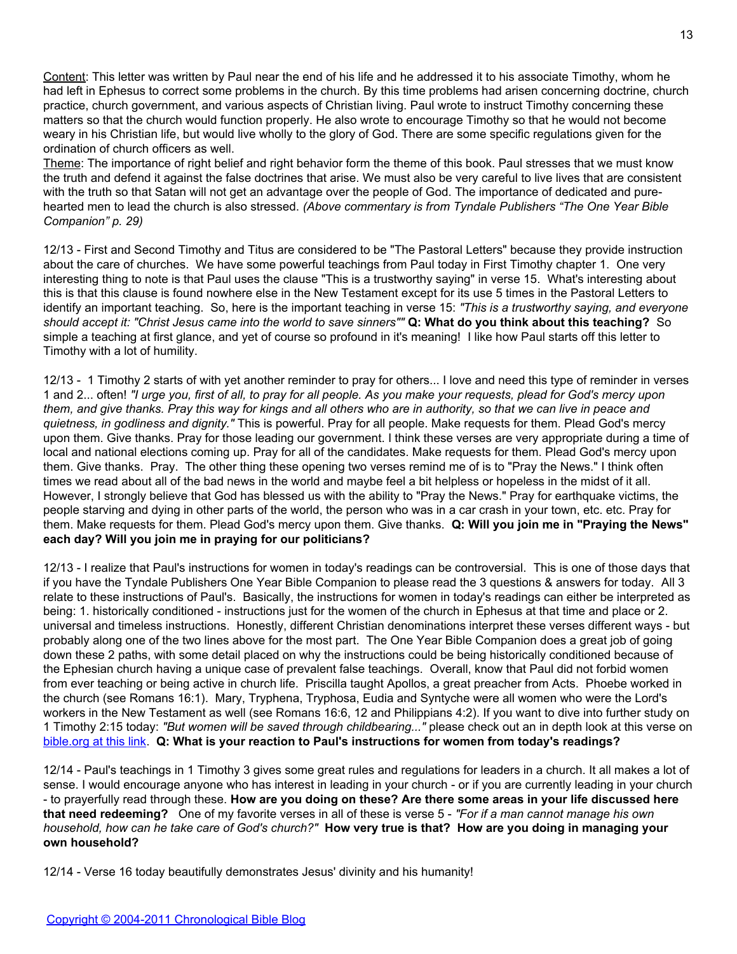Content: This letter was written by Paul near the end of his life and he addressed it to his associate Timothy, whom he had left in Ephesus to correct some problems in the church. By this time problems had arisen concerning doctrine, church practice, church government, and various aspects of Christian living. Paul wrote to instruct Timothy concerning these matters so that the church would function properly. He also wrote to encourage Timothy so that he would not become weary in his Christian life, but would live wholly to the glory of God. There are some specific regulations given for the ordination of church officers as well.

Theme: The importance of right belief and right behavior form the theme of this book. Paul stresses that we must know the truth and defend it against the false doctrines that arise. We must also be very careful to live lives that are consistent with the truth so that Satan will not get an advantage over the people of God. The importance of dedicated and purehearted men to lead the church is also stressed. *(Above commentary is from Tyndale Publishers "The One Year Bible Companion" p. 29)*

12/13 - First and Second Timothy and Titus are considered to be "The Pastoral Letters" because they provide instruction about the care of churches. We have some powerful teachings from Paul today in First Timothy chapter 1. One very interesting thing to note is that Paul uses the clause "This is a trustworthy saying" in verse 15. What's interesting about this is that this clause is found nowhere else in the New Testament except for its use 5 times in the Pastoral Letters to identify an important teaching. So, here is the important teaching in verse 15: *"This is a trustworthy saying, and everyone should accept it: "Christ Jesus came into the world to save sinners""* **Q: What do you think about this teaching?** So simple a teaching at first glance, and yet of course so profound in it's meaning! I like how Paul starts off this letter to Timothy with a lot of humility.

12/13 - 1 Timothy 2 starts of with yet another reminder to pray for others... I love and need this type of reminder in verses 1 and 2... often! *"I urge you, first of all, to pray for all people. As you make your requests, plead for God's mercy upon them, and give thanks. Pray this way for kings and all others who are in authority, so that we can live in peace and quietness, in godliness and dignity."* This is powerful. Pray for all people. Make requests for them. Plead God's mercy upon them. Give thanks. Pray for those leading our government. I think these verses are very appropriate during a time of local and national elections coming up. Pray for all of the candidates. Make requests for them. Plead God's mercy upon them. Give thanks. Pray. The other thing these opening two verses remind me of is to "Pray the News." I think often times we read about all of the bad news in the world and maybe feel a bit helpless or hopeless in the midst of it all. However, I strongly believe that God has blessed us with the ability to "Pray the News." Pray for earthquake victims, the people starving and dying in other parts of the world, the person who was in a car crash in your town, etc. etc. Pray for them. Make requests for them. Plead God's mercy upon them. Give thanks. **Q: Will you join me in "Praying the News" each day? Will you join me in praying for our politicians?**

12/13 - I realize that Paul's instructions for women in today's readings can be controversial. This is one of those days that if you have the Tyndale Publishers One Year Bible Companion to please read the 3 questions & answers for today. All 3 relate to these instructions of Paul's. Basically, the instructions for women in today's readings can either be interpreted as being: 1. historically conditioned - instructions just for the women of the church in Ephesus at that time and place or 2. universal and timeless instructions. Honestly, different Christian denominations interpret these verses different ways - but probably along one of the two lines above for the most part. The One Year Bible Companion does a great job of going down these 2 paths, with some detail placed on why the instructions could be being historically conditioned because of the Ephesian church having a unique case of prevalent false teachings. Overall, know that Paul did not forbid women from ever teaching or being active in church life. Priscilla taught Apollos, a great preacher from Acts. Phoebe worked in the church (see Romans 16:1). Mary, Tryphena, Tryphosa, Eudia and Syntyche were all women who were the Lord's workers in the New Testament as well (see Romans 16:6, 12 and Philippians 4:2). If you want to dive into further study on 1 Timothy 2:15 today: *"But women will be saved through childbearing..."* please check out an in depth look at this verse on [bible.org at this link.](http://www.bible.org/page.php?page_id=2497) **Q: What is your reaction to Paul's instructions for women from today's readings?**

12/14 - Paul's teachings in 1 Timothy 3 gives some great rules and regulations for leaders in a church. It all makes a lot of sense. I would encourage anyone who has interest in leading in your church - or if you are currently leading in your church - to prayerfully read through these. **How are you doing on these? Are there some areas in your life discussed here that need redeeming?** One of my favorite verses in all of these is verse 5 - *"For if a man cannot manage his own household, how can he take care of God's church?"* **How very true is that? How are you doing in managing your own household?**

12/14 - Verse 16 today beautifully demonstrates Jesus' divinity and his humanity!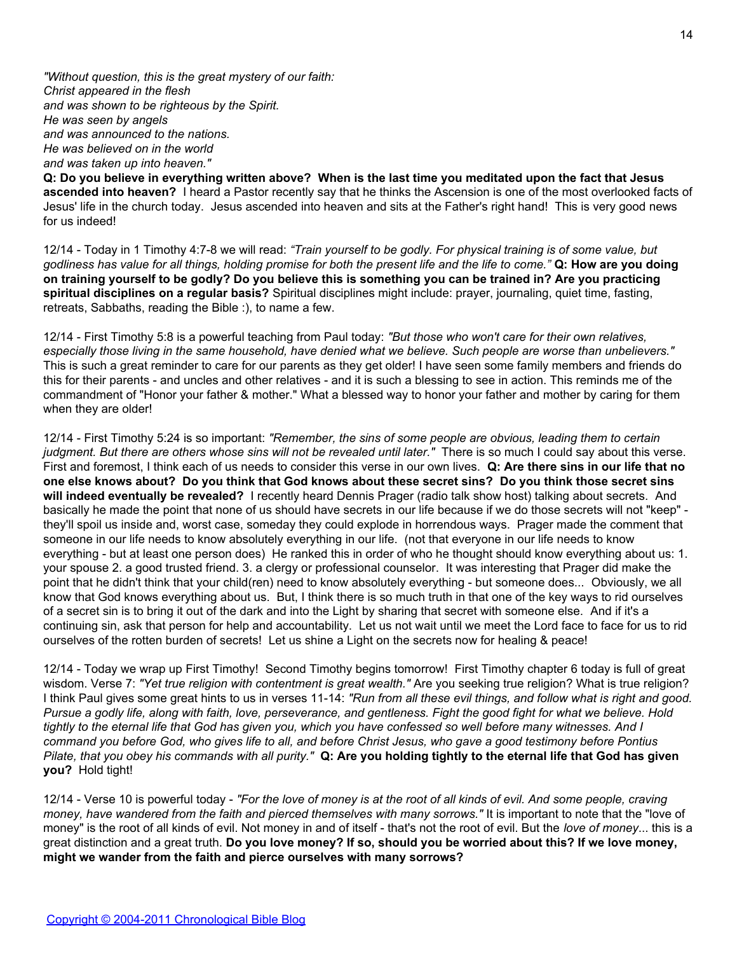*"Without question, this is the great mystery of our faith: Christ appeared in the flesh and was shown to be righteous by the Spirit. He was seen by angels and was announced to the nations. He was believed on in the world and was taken up into heaven."*

**Q: Do you believe in everything written above? When is the last time you meditated upon the fact that Jesus ascended into heaven?** I heard a Pastor recently say that he thinks the Ascension is one of the most overlooked facts of Jesus' life in the church today. Jesus ascended into heaven and sits at the Father's right hand! This is very good news for us indeed!

12/14 - Today in 1 Timothy 4:7-8 we will read: *"Train yourself to be godly. For physical training is of some value, but godliness has value for all things, holding promise for both the present life and the life to come."* **Q: How are you doing on training yourself to be godly? Do you believe this is something you can be trained in? Are you practicing spiritual disciplines on a regular basis?** Spiritual disciplines might include: prayer, journaling, quiet time, fasting, retreats, Sabbaths, reading the Bible :), to name a few.

12/14 - First Timothy 5:8 is a powerful teaching from Paul today: *"But those who won't care for their own relatives, especially those living in the same household, have denied what we believe. Such people are worse than unbelievers."* This is such a great reminder to care for our parents as they get older! I have seen some family members and friends do this for their parents - and uncles and other relatives - and it is such a blessing to see in action. This reminds me of the commandment of "Honor your father & mother." What a blessed way to honor your father and mother by caring for them when they are older!

12/14 - First Timothy 5:24 is so important: *"Remember, the sins of some people are obvious, leading them to certain judgment. But there are others whose sins will not be revealed until later."* There is so much I could say about this verse. First and foremost, I think each of us needs to consider this verse in our own lives. **Q: Are there sins in our life that no one else knows about? Do you think that God knows about these secret sins? Do you think those secret sins will indeed eventually be revealed?** I recently heard Dennis Prager (radio talk show host) talking about secrets. And basically he made the point that none of us should have secrets in our life because if we do those secrets will not "keep" they'll spoil us inside and, worst case, someday they could explode in horrendous ways. Prager made the comment that someone in our life needs to know absolutely everything in our life. (not that everyone in our life needs to know everything - but at least one person does) He ranked this in order of who he thought should know everything about us: 1. your spouse 2. a good trusted friend. 3. a clergy or professional counselor. It was interesting that Prager did make the point that he didn't think that your child(ren) need to know absolutely everything - but someone does... Obviously, we all know that God knows everything about us. But, I think there is so much truth in that one of the key ways to rid ourselves of a secret sin is to bring it out of the dark and into the Light by sharing that secret with someone else. And if it's a continuing sin, ask that person for help and accountability. Let us not wait until we meet the Lord face to face for us to rid ourselves of the rotten burden of secrets! Let us shine a Light on the secrets now for healing & peace!

12/14 - Today we wrap up First Timothy! Second Timothy begins tomorrow! First Timothy chapter 6 today is full of great wisdom. Verse 7: *"Yet true religion with contentment is great wealth."* Are you seeking true religion? What is true religion? I think Paul gives some great hints to us in verses 11-14: *"Run from all these evil things, and follow what is right and good. Pursue a godly life, along with faith, love, perseverance, and gentleness. Fight the good fight for what we believe. Hold tightly to the eternal life that God has given you, which you have confessed so well before many witnesses. And I command you before God, who gives life to all, and before Christ Jesus, who gave a good testimony before Pontius Pilate, that you obey his commands with all purity."* **Q: Are you holding tightly to the eternal life that God has given you?** Hold tight!

12/14 - Verse 10 is powerful today - *"For the love of money is at the root of all kinds of evil. And some people, craving money, have wandered from the faith and pierced themselves with many sorrows."* It is important to note that the "love of money" is the root of all kinds of evil. Not money in and of itself - that's not the root of evil. But the *love of money*... this is a great distinction and a great truth. **Do you love money? If so, should you be worried about this? If we love money, might we wander from the faith and pierce ourselves with many sorrows?**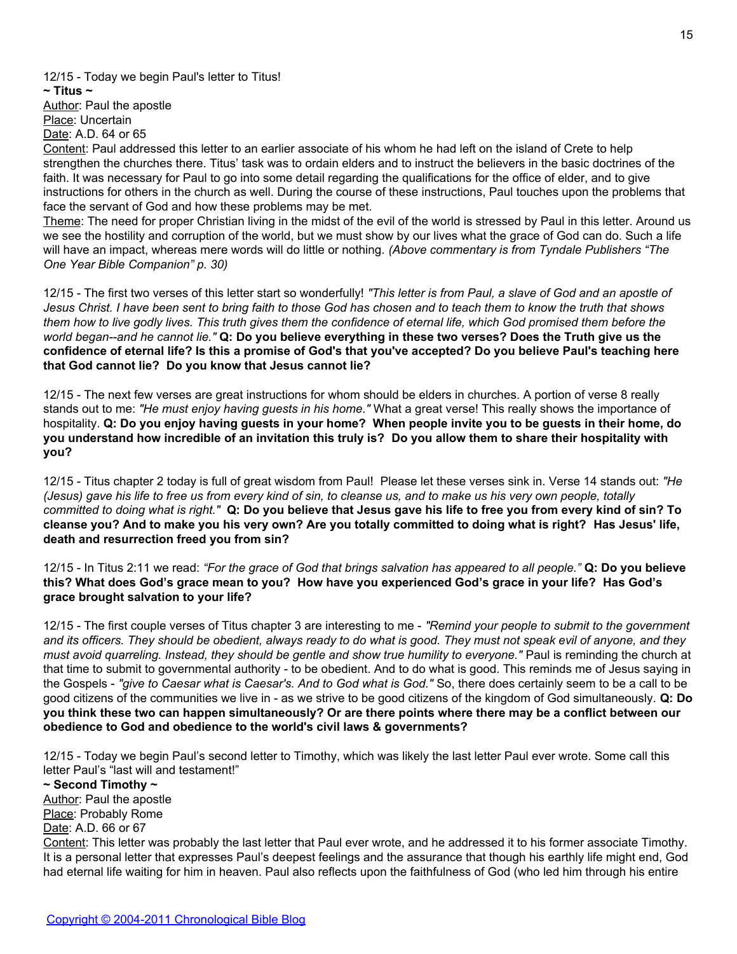#### 12/15 - Today we begin Paul's letter to Titus! **~ Titus ~**

Author: Paul the apostle Place: Uncertain Date: A.D. 64 or 65

Content: Paul addressed this letter to an earlier associate of his whom he had left on the island of Crete to help strengthen the churches there. Titus' task was to ordain elders and to instruct the believers in the basic doctrines of the faith. It was necessary for Paul to go into some detail regarding the qualifications for the office of elder, and to give instructions for others in the church as well. During the course of these instructions, Paul touches upon the problems that face the servant of God and how these problems may be met.

Theme: The need for proper Christian living in the midst of the evil of the world is stressed by Paul in this letter. Around us we see the hostility and corruption of the world, but we must show by our lives what the grace of God can do. Such a life will have an impact, whereas mere words will do little or nothing. *(Above commentary is from Tyndale Publishers "The One Year Bible Companion" p. 30)*

12/15 - The first two verses of this letter start so wonderfully! *"This letter is from Paul, a slave of God and an apostle of Jesus Christ. I have been sent to bring faith to those God has chosen and to teach them to know the truth that shows them how to live godly lives. This truth gives them the confidence of eternal life, which God promised them before the world began--and he cannot lie."* **Q: Do you believe everything in these two verses? Does the Truth give us the confidence of eternal life? Is this a promise of God's that you've accepted? Do you believe Paul's teaching here that God cannot lie? Do you know that Jesus cannot lie?**

12/15 - The next few verses are great instructions for whom should be elders in churches. A portion of verse 8 really stands out to me: *"He must enjoy having guests in his home."* What a great verse! This really shows the importance of hospitality. **Q: Do you enjoy having guests in your home? When people invite you to be guests in their home, do you understand how incredible of an invitation this truly is? Do you allow them to share their hospitality with you?**

12/15 - Titus chapter 2 today is full of great wisdom from Paul! Please let these verses sink in. Verse 14 stands out: *"He (Jesus) gave his life to free us from every kind of sin, to cleanse us, and to make us his very own people, totally committed to doing what is right."* **Q: Do you believe that Jesus gave his life to free you from every kind of sin? To cleanse you? And to make you his very own? Are you totally committed to doing what is right? Has Jesus' life, death and resurrection freed you from sin?**

12/15 - In Titus 2:11 we read: *"For the grace of God that brings salvation has appeared to all people."* **Q: Do you believe this? What does God's grace mean to you? How have you experienced God's grace in your life? Has God's grace brought salvation to your life?**

12/15 - The first couple verses of Titus chapter 3 are interesting to me - *"Remind your people to submit to the government and its officers. They should be obedient, always ready to do what is good. They must not speak evil of anyone, and they must avoid quarreling. Instead, they should be gentle and show true humility to everyone."* Paul is reminding the church at that time to submit to governmental authority - to be obedient. And to do what is good. This reminds me of Jesus saying in the Gospels - *"give to Caesar what is Caesar's. And to God what is God."* So, there does certainly seem to be a call to be good citizens of the communities we live in - as we strive to be good citizens of the kingdom of God simultaneously. **Q: Do you think these two can happen simultaneously? Or are there points where there may be a conflict between our obedience to God and obedience to the world's civil laws & governments?**

12/15 - Today we begin Paul's second letter to Timothy, which was likely the last letter Paul ever wrote. Some call this letter Paul's "last will and testament!"

**~ Second Timothy ~** Author: Paul the apostle Place: Probably Rome Date: A.D. 66 or 67

Content: This letter was probably the last letter that Paul ever wrote, and he addressed it to his former associate Timothy. It is a personal letter that expresses Paul's deepest feelings and the assurance that though his earthly life might end, God had eternal life waiting for him in heaven. Paul also reflects upon the faithfulness of God (who led him through his entire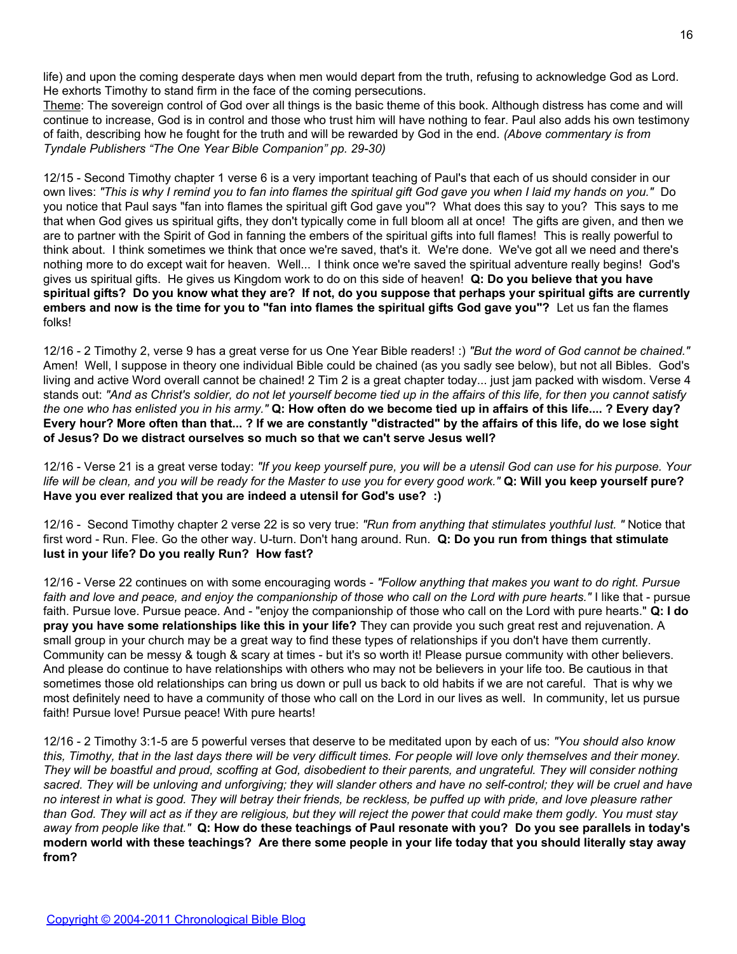life) and upon the coming desperate days when men would depart from the truth, refusing to acknowledge God as Lord. He exhorts Timothy to stand firm in the face of the coming persecutions.

Theme: The sovereign control of God over all things is the basic theme of this book. Although distress has come and will continue to increase, God is in control and those who trust him will have nothing to fear. Paul also adds his own testimony of faith, describing how he fought for the truth and will be rewarded by God in the end. *(Above commentary is from Tyndale Publishers "The One Year Bible Companion" pp. 29-30)*

12/15 - Second Timothy chapter 1 verse 6 is a very important teaching of Paul's that each of us should consider in our own lives: *"This is why I remind you to fan into flames the spiritual gift God gave you when I laid my hands on you."* Do you notice that Paul says "fan into flames the spiritual gift God gave you"? What does this say to you? This says to me that when God gives us spiritual gifts, they don't typically come in full bloom all at once! The gifts are given, and then we are to partner with the Spirit of God in fanning the embers of the spiritual gifts into full flames! This is really powerful to think about. I think sometimes we think that once we're saved, that's it. We're done. We've got all we need and there's nothing more to do except wait for heaven. Well... I think once we're saved the spiritual adventure really begins! God's gives us spiritual gifts. He gives us Kingdom work to do on this side of heaven! **Q: Do you believe that you have spiritual gifts? Do you know what they are? If not, do you suppose that perhaps your spiritual gifts are currently embers and now is the time for you to "fan into flames the spiritual gifts God gave you"?** Let us fan the flames folks!

12/16 - 2 Timothy 2, verse 9 has a great verse for us One Year Bible readers! :) *"But the word of God cannot be chained."* Amen! Well, I suppose in theory one individual Bible could be chained (as you sadly see below), but not all Bibles. God's living and active Word overall cannot be chained! 2 Tim 2 is a great chapter today... just jam packed with wisdom. Verse 4 stands out: *"And as Christ's soldier, do not let yourself become tied up in the affairs of this life, for then you cannot satisfy the one who has enlisted you in his army."* **Q: How often do we become tied up in affairs of this life.... ? Every day? Every hour? More often than that... ? If we are constantly "distracted" by the affairs of this life, do we lose sight of Jesus? Do we distract ourselves so much so that we can't serve Jesus well?**

12/16 - Verse 21 is a great verse today: *"If you keep yourself pure, you will be a utensil God can use for his purpose. Your life will be clean, and you will be ready for the Master to use you for every good work."* **Q: Will you keep yourself pure? Have you ever realized that you are indeed a utensil for God's use? :)**

12/16 - Second Timothy chapter 2 verse 22 is so very true: *"Run from anything that stimulates youthful lust. "* Notice that first word - Run. Flee. Go the other way. U-turn. Don't hang around. Run. **Q: Do you run from things that stimulate lust in your life? Do you really Run? How fast?**

12/16 - Verse 22 continues on with some encouraging words - *"Follow anything that makes you want to do right. Pursue faith and love and peace, and enjoy the companionship of those who call on the Lord with pure hearts."* I like that - pursue faith. Pursue love. Pursue peace. And - "enjoy the companionship of those who call on the Lord with pure hearts." **Q: I do pray you have some relationships like this in your life?** They can provide you such great rest and rejuvenation. A small group in your church may be a great way to find these types of relationships if you don't have them currently. Community can be messy & tough & scary at times - but it's so worth it! Please pursue community with other believers. And please do continue to have relationships with others who may not be believers in your life too. Be cautious in that sometimes those old relationships can bring us down or pull us back to old habits if we are not careful. That is why we most definitely need to have a community of those who call on the Lord in our lives as well. In community, let us pursue faith! Pursue love! Pursue peace! With pure hearts!

12/16 - 2 Timothy 3:1-5 are 5 powerful verses that deserve to be meditated upon by each of us: *"You should also know this, Timothy, that in the last days there will be very difficult times. For people will love only themselves and their money. They will be boastful and proud, scoffing at God, disobedient to their parents, and ungrateful. They will consider nothing sacred. They will be unloving and unforgiving; they will slander others and have no self-control; they will be cruel and have no interest in what is good. They will betray their friends, be reckless, be puffed up with pride, and love pleasure rather than God. They will act as if they are religious, but they will reject the power that could make them godly. You must stay away from people like that."* **Q: How do these teachings of Paul resonate with you? Do you see parallels in today's modern world with these teachings? Are there some people in your life today that you should literally stay away from?**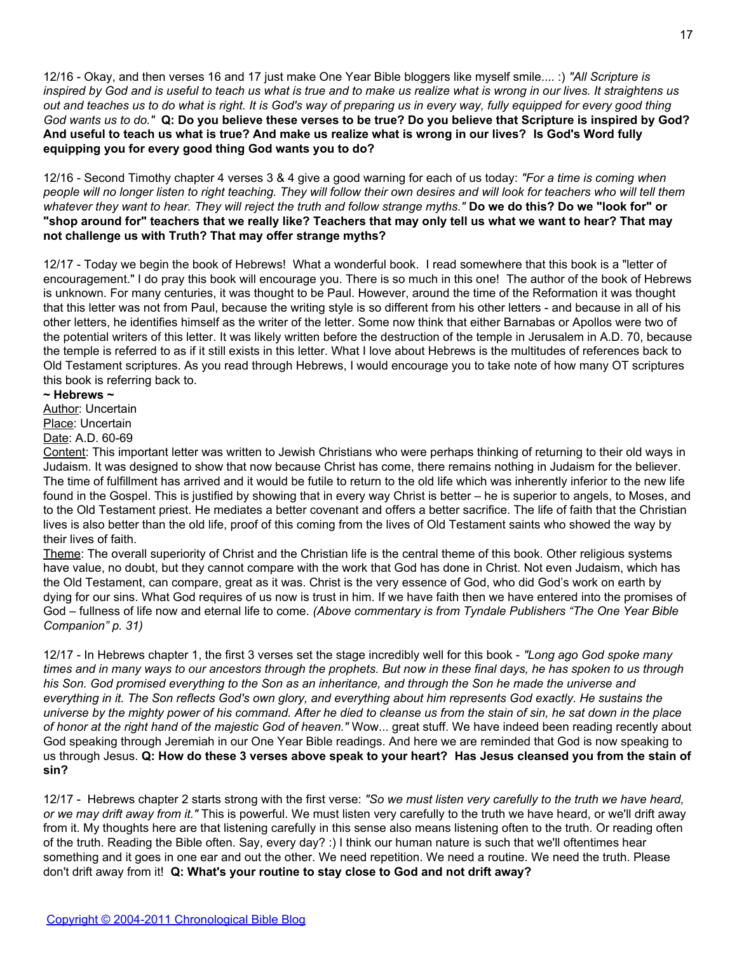12/16 - Okay, and then verses 16 and 17 just make One Year Bible bloggers like myself smile.... :) *"All Scripture is inspired by God and is useful to teach us what is true and to make us realize what is wrong in our lives. It straightens us out and teaches us to do what is right. It is God's way of preparing us in every way, fully equipped for every good thing God wants us to do."* **Q: Do you believe these verses to be true? Do you believe that Scripture is inspired by God? And useful to teach us what is true? And make us realize what is wrong in our lives? Is God's Word fully equipping you for every good thing God wants you to do?**

12/16 - Second Timothy chapter 4 verses 3 & 4 give a good warning for each of us today: *"For a time is coming when people will no longer listen to right teaching. They will follow their own desires and will look for teachers who will tell them whatever they want to hear. They will reject the truth and follow strange myths."* **Do we do this? Do we "look for" or "shop around for" teachers that we really like? Teachers that may only tell us what we want to hear? That may not challenge us with Truth? That may offer strange myths?**

12/17 - Today we begin the book of Hebrews! What a wonderful book. I read somewhere that this book is a "letter of encouragement." I do pray this book will encourage you. There is so much in this one! The author of the book of Hebrews is unknown. For many centuries, it was thought to be Paul. However, around the time of the Reformation it was thought that this letter was not from Paul, because the writing style is so different from his other letters - and because in all of his other letters, he identifies himself as the writer of the letter. Some now think that either Barnabas or Apollos were two of the potential writers of this letter. It was likely written before the destruction of the temple in Jerusalem in A.D. 70, because the temple is referred to as if it still exists in this letter. What I love about Hebrews is the multitudes of references back to Old Testament scriptures. As you read through Hebrews, I would encourage you to take note of how many OT scriptures this book is referring back to.

**~ Hebrews ~**

Author: Uncertain Place: Uncertain

Date: A.D. 60-69

Content: This important letter was written to Jewish Christians who were perhaps thinking of returning to their old ways in Judaism. It was designed to show that now because Christ has come, there remains nothing in Judaism for the believer. The time of fulfillment has arrived and it would be futile to return to the old life which was inherently inferior to the new life found in the Gospel. This is justified by showing that in every way Christ is better – he is superior to angels, to Moses, and to the Old Testament priest. He mediates a better covenant and offers a better sacrifice. The life of faith that the Christian lives is also better than the old life, proof of this coming from the lives of Old Testament saints who showed the way by their lives of faith.

Theme: The overall superiority of Christ and the Christian life is the central theme of this book. Other religious systems have value, no doubt, but they cannot compare with the work that God has done in Christ. Not even Judaism, which has the Old Testament, can compare, great as it was. Christ is the very essence of God, who did God's work on earth by dying for our sins. What God requires of us now is trust in him. If we have faith then we have entered into the promises of God – fullness of life now and eternal life to come. *(Above commentary is from Tyndale Publishers "The One Year Bible Companion" p. 31)*

12/17 - In Hebrews chapter 1, the first 3 verses set the stage incredibly well for this book - *"Long ago God spoke many times and in many ways to our ancestors through the prophets. But now in these final days, he has spoken to us through his Son. God promised everything to the Son as an inheritance, and through the Son he made the universe and everything in it. The Son reflects God's own glory, and everything about him represents God exactly. He sustains the universe by the mighty power of his command. After he died to cleanse us from the stain of sin, he sat down in the place of honor at the right hand of the majestic God of heaven."* Wow... great stuff. We have indeed been reading recently about God speaking through Jeremiah in our One Year Bible readings. And here we are reminded that God is now speaking to us through Jesus. **Q: How do these 3 verses above speak to your heart? Has Jesus cleansed you from the stain of sin?**

12/17 - Hebrews chapter 2 starts strong with the first verse: *"So we must listen very carefully to the truth we have heard, or we may drift away from it."* This is powerful. We must listen very carefully to the truth we have heard, or we'll drift away from it. My thoughts here are that listening carefully in this sense also means listening often to the truth. Or reading often of the truth. Reading the Bible often. Say, every day? :) I think our human nature is such that we'll oftentimes hear something and it goes in one ear and out the other. We need repetition. We need a routine. We need the truth. Please don't drift away from it! **Q: What's your routine to stay close to God and not drift away?**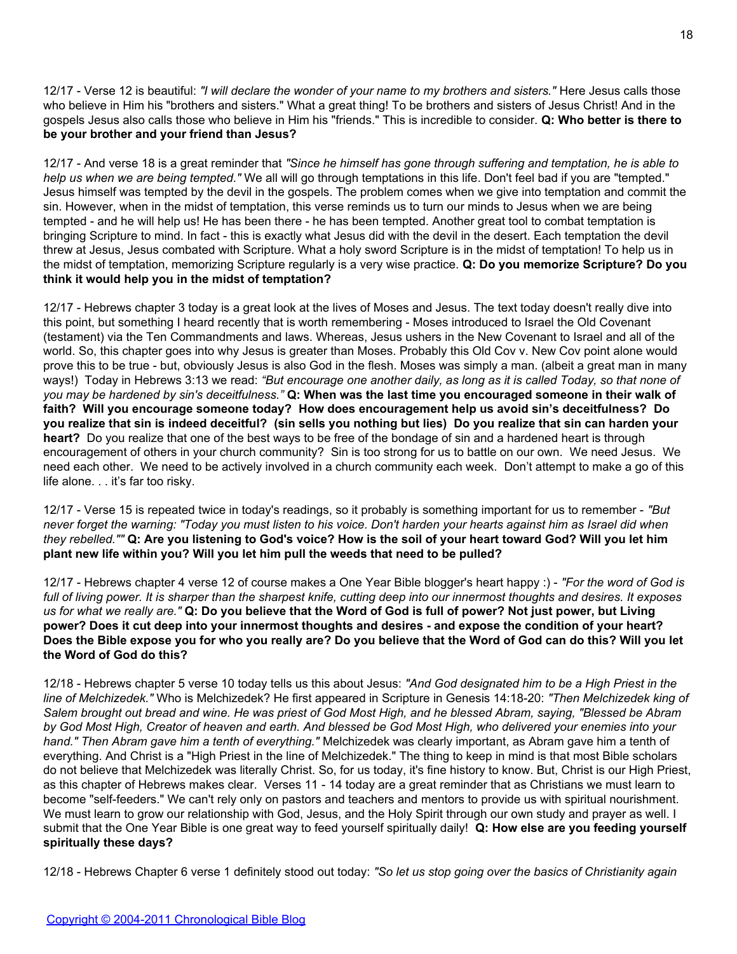12/17 - Verse 12 is beautiful: *"I will declare the wonder of your name to my brothers and sisters."* Here Jesus calls those who believe in Him his "brothers and sisters." What a great thing! To be brothers and sisters of Jesus Christ! And in the gospels Jesus also calls those who believe in Him his "friends." This is incredible to consider. **Q: Who better is there to be your brother and your friend than Jesus?**

12/17 - And verse 18 is a great reminder that *"Since he himself has gone through suffering and temptation, he is able to help us when we are being tempted."* We all will go through temptations in this life. Don't feel bad if you are "tempted." Jesus himself was tempted by the devil in the gospels. The problem comes when we give into temptation and commit the sin. However, when in the midst of temptation, this verse reminds us to turn our minds to Jesus when we are being tempted - and he will help us! He has been there - he has been tempted. Another great tool to combat temptation is bringing Scripture to mind. In fact - this is exactly what Jesus did with the devil in the desert. Each temptation the devil threw at Jesus, Jesus combated with Scripture. What a holy sword Scripture is in the midst of temptation! To help us in the midst of temptation, memorizing Scripture regularly is a very wise practice. **Q: Do you memorize Scripture? Do you think it would help you in the midst of temptation?**

12/17 - Hebrews chapter 3 today is a great look at the lives of Moses and Jesus. The text today doesn't really dive into this point, but something I heard recently that is worth remembering - Moses introduced to Israel the Old Covenant (testament) via the Ten Commandments and laws. Whereas, Jesus ushers in the New Covenant to Israel and all of the world. So, this chapter goes into why Jesus is greater than Moses. Probably this Old Cov v. New Cov point alone would prove this to be true - but, obviously Jesus is also God in the flesh. Moses was simply a man. (albeit a great man in many ways!) Today in Hebrews 3:13 we read: *"But encourage one another daily, as long as it is called Today, so that none of you may be hardened by sin's deceitfulness."* **Q: When was the last time you encouraged someone in their walk of faith? Will you encourage someone today? How does encouragement help us avoid sin's deceitfulness? Do you realize that sin is indeed deceitful? (sin sells you nothing but lies) Do you realize that sin can harden your heart?** Do you realize that one of the best ways to be free of the bondage of sin and a hardened heart is through encouragement of others in your church community? Sin is too strong for us to battle on our own. We need Jesus. We need each other. We need to be actively involved in a church community each week. Don't attempt to make a go of this life alone. . . it's far too risky.

12/17 - Verse 15 is repeated twice in today's readings, so it probably is something important for us to remember - *"But never forget the warning: "Today you must listen to his voice. Don't harden your hearts against him as Israel did when they rebelled.""* **Q: Are you listening to God's voice? How is the soil of your heart toward God? Will you let him plant new life within you? Will you let him pull the weeds that need to be pulled?**

12/17 - Hebrews chapter 4 verse 12 of course makes a One Year Bible blogger's heart happy :) - *"For the word of God is full of living power. It is sharper than the sharpest knife, cutting deep into our innermost thoughts and desires. It exposes us for what we really are."* **Q: Do you believe that the Word of God is full of power? Not just power, but Living power? Does it cut deep into your innermost thoughts and desires - and expose the condition of your heart? Does the Bible expose you for who you really are? Do you believe that the Word of God can do this? Will you let the Word of God do this?**

12/18 - Hebrews chapter 5 verse 10 today tells us this about Jesus: *"And God designated him to be a High Priest in the line of Melchizedek."* Who is Melchizedek? He first appeared in Scripture in Genesis 14:18-20: *"Then Melchizedek king of Salem brought out bread and wine. He was priest of God Most High, and he blessed Abram, saying, "Blessed be Abram by God Most High, Creator of heaven and earth. And blessed be God Most High, who delivered your enemies into your hand." Then Abram gave him a tenth of everything."* Melchizedek was clearly important, as Abram gave him a tenth of everything. And Christ is a "High Priest in the line of Melchizedek." The thing to keep in mind is that most Bible scholars do not believe that Melchizedek was literally Christ. So, for us today, it's fine history to know. But, Christ is our High Priest, as this chapter of Hebrews makes clear. Verses 11 - 14 today are a great reminder that as Christians we must learn to become "self-feeders." We can't rely only on pastors and teachers and mentors to provide us with spiritual nourishment. We must learn to grow our relationship with God, Jesus, and the Holy Spirit through our own study and prayer as well. I submit that the One Year Bible is one great way to feed yourself spiritually daily! **Q: How else are you feeding yourself spiritually these days?**

12/18 - Hebrews Chapter 6 verse 1 definitely stood out today: *"So let us stop going over the basics of Christianity again*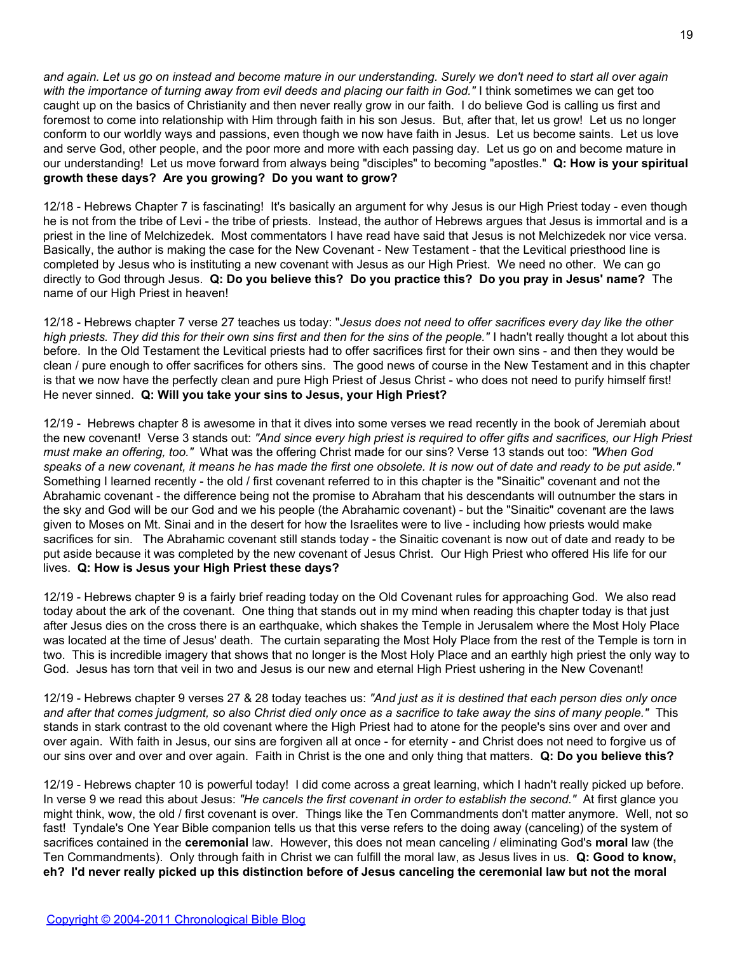*and again. Let us go on instead and become mature in our understanding. Surely we don't need to start all over again with the importance of turning away from evil deeds and placing our faith in God."* I think sometimes we can get too caught up on the basics of Christianity and then never really grow in our faith. I do believe God is calling us first and foremost to come into relationship with Him through faith in his son Jesus. But, after that, let us grow! Let us no longer conform to our worldly ways and passions, even though we now have faith in Jesus. Let us become saints. Let us love and serve God, other people, and the poor more and more with each passing day. Let us go on and become mature in our understanding! Let us move forward from always being "disciples" to becoming "apostles." **Q: How is your spiritual growth these days? Are you growing? Do you want to grow?**

12/18 - Hebrews Chapter 7 is fascinating! It's basically an argument for why Jesus is our High Priest today - even though he is not from the tribe of Levi - the tribe of priests. Instead, the author of Hebrews argues that Jesus is immortal and is a priest in the line of Melchizedek. Most commentators I have read have said that Jesus is not Melchizedek nor vice versa. Basically, the author is making the case for the New Covenant - New Testament - that the Levitical priesthood line is completed by Jesus who is instituting a new covenant with Jesus as our High Priest. We need no other. We can go directly to God through Jesus. **Q: Do you believe this? Do you practice this? Do you pray in Jesus' name?** The name of our High Priest in heaven!

12/18 - Hebrews chapter 7 verse 27 teaches us today: "*Jesus does not need to offer sacrifices every day like the other high priests. They did this for their own sins first and then for the sins of the people."* I hadn't really thought a lot about this before. In the Old Testament the Levitical priests had to offer sacrifices first for their own sins - and then they would be clean / pure enough to offer sacrifices for others sins. The good news of course in the New Testament and in this chapter is that we now have the perfectly clean and pure High Priest of Jesus Christ - who does not need to purify himself first! He never sinned. **Q: Will you take your sins to Jesus, your High Priest?**

12/19 - Hebrews chapter 8 is awesome in that it dives into some verses we read recently in the book of Jeremiah about the new covenant! Verse 3 stands out: *"And since every high priest is required to offer gifts and sacrifices, our High Priest must make an offering, too."* What was the offering Christ made for our sins? Verse 13 stands out too: *"When God speaks of a new covenant, it means he has made the first one obsolete. It is now out of date and ready to be put aside."* Something I learned recently - the old / first covenant referred to in this chapter is the "Sinaitic" covenant and not the Abrahamic covenant - the difference being not the promise to Abraham that his descendants will outnumber the stars in the sky and God will be our God and we his people (the Abrahamic covenant) - but the "Sinaitic" covenant are the laws given to Moses on Mt. Sinai and in the desert for how the Israelites were to live - including how priests would make sacrifices for sin. The Abrahamic covenant still stands today - the Sinaitic covenant is now out of date and ready to be put aside because it was completed by the new covenant of Jesus Christ. Our High Priest who offered His life for our lives. **Q: How is Jesus your High Priest these days?**

12/19 - Hebrews chapter 9 is a fairly brief reading today on the Old Covenant rules for approaching God. We also read today about the ark of the covenant. One thing that stands out in my mind when reading this chapter today is that just after Jesus dies on the cross there is an earthquake, which shakes the Temple in Jerusalem where the Most Holy Place was located at the time of Jesus' death. The curtain separating the Most Holy Place from the rest of the Temple is torn in two. This is incredible imagery that shows that no longer is the Most Holy Place and an earthly high priest the only way to God. Jesus has torn that veil in two and Jesus is our new and eternal High Priest ushering in the New Covenant!

12/19 - Hebrews chapter 9 verses 27 & 28 today teaches us: *"And just as it is destined that each person dies only once and after that comes judgment, so also Christ died only once as a sacrifice to take away the sins of many people."* This stands in stark contrast to the old covenant where the High Priest had to atone for the people's sins over and over and over again. With faith in Jesus, our sins are forgiven all at once - for eternity - and Christ does not need to forgive us of our sins over and over and over again. Faith in Christ is the one and only thing that matters. **Q: Do you believe this?**

12/19 - Hebrews chapter 10 is powerful today! I did come across a great learning, which I hadn't really picked up before. In verse 9 we read this about Jesus: *"He cancels the first covenant in order to establish the second."* At first glance you might think, wow, the old / first covenant is over. Things like the Ten Commandments don't matter anymore. Well, not so fast! Tyndale's One Year Bible companion tells us that this verse refers to the doing away (canceling) of the system of sacrifices contained in the **ceremonial** law. However, this does not mean canceling / eliminating God's **moral** law (the Ten Commandments). Only through faith in Christ we can fulfill the moral law, as Jesus lives in us. **Q: Good to know, eh? I'd never really picked up this distinction before of Jesus canceling the ceremonial law but not the moral**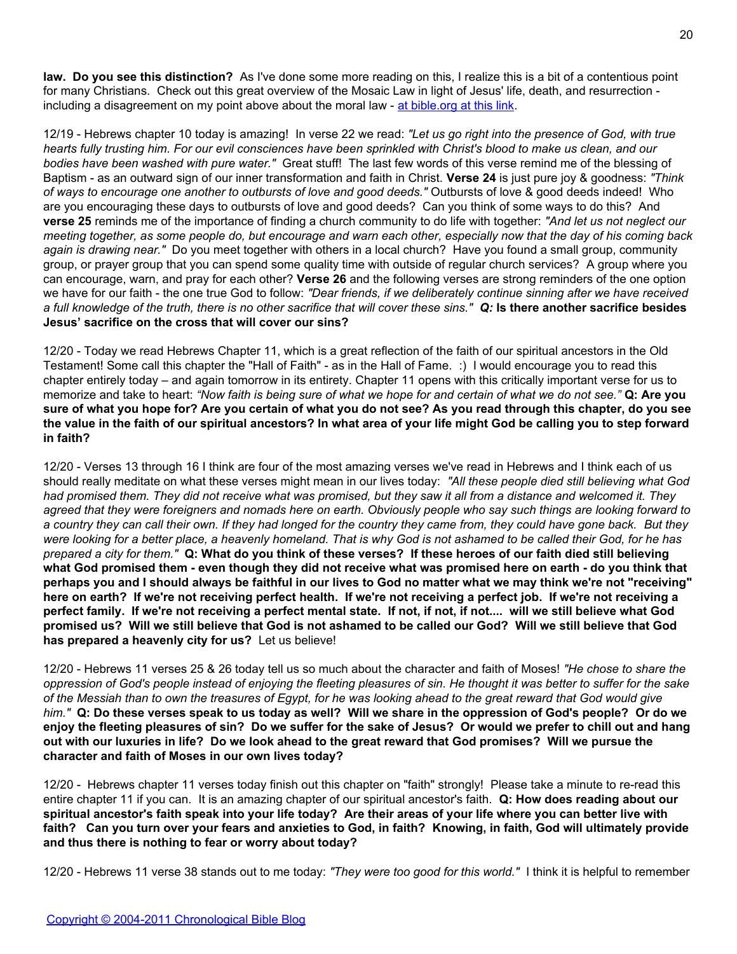**law. Do you see this distinction?** As I've done some more reading on this, I realize this is a bit of a contentious point for many Christians. Check out this great overview of the Mosaic Law in light of Jesus' life, death, and resurrection including a disagreement on my point above about the moral law - [at bible.org at this link](http://www.bible.org/page.php?page_id=880).

12/19 - Hebrews chapter 10 today is amazing! In verse 22 we read: *"Let us go right into the presence of God, with true hearts fully trusting him. For our evil consciences have been sprinkled with Christ's blood to make us clean, and our bodies have been washed with pure water."* Great stuff! The last few words of this verse remind me of the blessing of Baptism - as an outward sign of our inner transformation and faith in Christ. **Verse 24** is just pure joy & goodness: *"Think of ways to encourage one another to outbursts of love and good deeds."* Outbursts of love & good deeds indeed! Who are you encouraging these days to outbursts of love and good deeds? Can you think of some ways to do this? And **verse 25** reminds me of the importance of finding a church community to do life with together: *"And let us not neglect our meeting together, as some people do, but encourage and warn each other, especially now that the day of his coming back again is drawing near."* Do you meet together with others in a local church? Have you found a small group, community group, or prayer group that you can spend some quality time with outside of regular church services? A group where you can encourage, warn, and pray for each other? **Verse 26** and the following verses are strong reminders of the one option we have for our faith - the one true God to follow: *"Dear friends, if we deliberately continue sinning after we have received a full knowledge of the truth, there is no other sacrifice that will cover these sins." Q:* **Is there another sacrifice besides Jesus' sacrifice on the cross that will cover our sins?**

12/20 - Today we read Hebrews Chapter 11, which is a great reflection of the faith of our spiritual ancestors in the Old Testament! Some call this chapter the "Hall of Faith" - as in the Hall of Fame. :) I would encourage you to read this chapter entirely today – and again tomorrow in its entirety. Chapter 11 opens with this critically important verse for us to memorize and take to heart: *"Now faith is being sure of what we hope for and certain of what we do not see."* **Q: Are you sure of what you hope for? Are you certain of what you do not see? As you read through this chapter, do you see the value in the faith of our spiritual ancestors? In what area of your life might God be calling you to step forward in faith?**

12/20 - Verses 13 through 16 I think are four of the most amazing verses we've read in Hebrews and I think each of us should really meditate on what these verses might mean in our lives today: *"All these people died still believing what God had promised them. They did not receive what was promised, but they saw it all from a distance and welcomed it. They agreed that they were foreigners and nomads here on earth. Obviously people who say such things are looking forward to a country they can call their own. If they had longed for the country they came from, they could have gone back. But they were looking for a better place, a heavenly homeland. That is why God is not ashamed to be called their God, for he has prepared a city for them."* **Q: What do you think of these verses? If these heroes of our faith died still believing what God promised them - even though they did not receive what was promised here on earth - do you think that perhaps you and I should always be faithful in our lives to God no matter what we may think we're not "receiving" here on earth? If we're not receiving perfect health. If we're not receiving a perfect job. If we're not receiving a perfect family. If we're not receiving a perfect mental state. If not, if not, if not.... will we still believe what God promised us? Will we still believe that God is not ashamed to be called our God? Will we still believe that God has prepared a heavenly city for us?** Let us believe!

12/20 - Hebrews 11 verses 25 & 26 today tell us so much about the character and faith of Moses! *"He chose to share the oppression of God's people instead of enjoying the fleeting pleasures of sin. He thought it was better to suffer for the sake of the Messiah than to own the treasures of Egypt, for he was looking ahead to the great reward that God would give him."* **Q: Do these verses speak to us today as well? Will we share in the oppression of God's people? Or do we enjoy the fleeting pleasures of sin? Do we suffer for the sake of Jesus? Or would we prefer to chill out and hang out with our luxuries in life? Do we look ahead to the great reward that God promises? Will we pursue the character and faith of Moses in our own lives today?**

12/20 - Hebrews chapter 11 verses today finish out this chapter on "faith" strongly! Please take a minute to re-read this entire chapter 11 if you can. It is an amazing chapter of our spiritual ancestor's faith. **Q: How does reading about our spiritual ancestor's faith speak into your life today? Are their areas of your life where you can better live with faith? Can you turn over your fears and anxieties to God, in faith? Knowing, in faith, God will ultimately provide and thus there is nothing to fear or worry about today?**

12/20 - Hebrews 11 verse 38 stands out to me today: *"They were too good for this world."* I think it is helpful to remember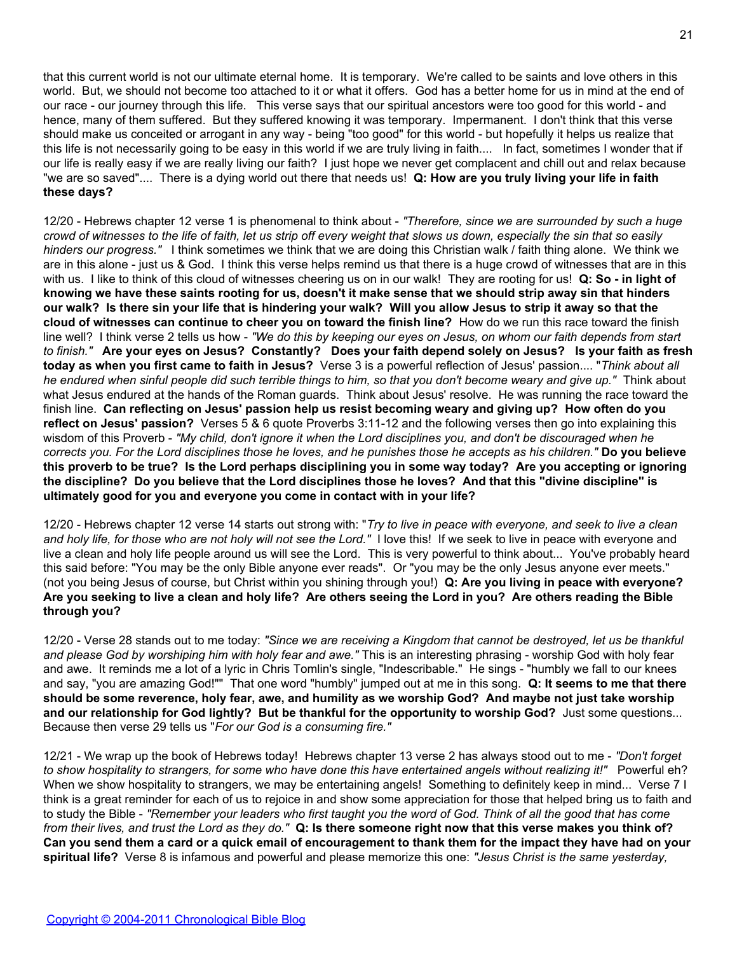that this current world is not our ultimate eternal home. It is temporary. We're called to be saints and love others in this world. But, we should not become too attached to it or what it offers. God has a better home for us in mind at the end of our race - our journey through this life. This verse says that our spiritual ancestors were too good for this world - and hence, many of them suffered. But they suffered knowing it was temporary. Impermanent. I don't think that this verse should make us conceited or arrogant in any way - being "too good" for this world - but hopefully it helps us realize that this life is not necessarily going to be easy in this world if we are truly living in faith.... In fact, sometimes I wonder that if our life is really easy if we are really living our faith? I just hope we never get complacent and chill out and relax because "we are so saved".... There is a dying world out there that needs us! **Q: How are you truly living your life in faith these days?**

12/20 - Hebrews chapter 12 verse 1 is phenomenal to think about - *"Therefore, since we are surrounded by such a huge crowd of witnesses to the life of faith, let us strip off every weight that slows us down, especially the sin that so easily hinders our progress."* I think sometimes we think that we are doing this Christian walk / faith thing alone. We think we are in this alone - just us & God. I think this verse helps remind us that there is a huge crowd of witnesses that are in this with us. I like to think of this cloud of witnesses cheering us on in our walk! They are rooting for us! **Q: So - in light of knowing we have these saints rooting for us, doesn't it make sense that we should strip away sin that hinders our walk? Is there sin your life that is hindering your walk? Will you allow Jesus to strip it away so that the cloud of witnesses can continue to cheer you on toward the finish line?** How do we run this race toward the finish line well? I think verse 2 tells us how - *"We do this by keeping our eyes on Jesus, on whom our faith depends from start to finish."* **Are your eyes on Jesus? Constantly? Does your faith depend solely on Jesus? Is your faith as fresh today as when you first came to faith in Jesus?** Verse 3 is a powerful reflection of Jesus' passion.... "*Think about all he endured when sinful people did such terrible things to him, so that you don't become weary and give up."* Think about what Jesus endured at the hands of the Roman guards. Think about Jesus' resolve. He was running the race toward the finish line. **Can reflecting on Jesus' passion help us resist becoming weary and giving up? How often do you reflect on Jesus' passion?** Verses 5 & 6 quote Proverbs 3:11-12 and the following verses then go into explaining this wisdom of this Proverb - *"My child, don't ignore it when the Lord disciplines you, and don't be discouraged when he corrects you. For the Lord disciplines those he loves, and he punishes those he accepts as his children."* **Do you believe this proverb to be true? Is the Lord perhaps disciplining you in some way today? Are you accepting or ignoring the discipline? Do you believe that the Lord disciplines those he loves? And that this "divine discipline" is ultimately good for you and everyone you come in contact with in your life?**

12/20 - Hebrews chapter 12 verse 14 starts out strong with: "*Try to live in peace with everyone, and seek to live a clean and holy life, for those who are not holy will not see the Lord."* I love this! If we seek to live in peace with everyone and live a clean and holy life people around us will see the Lord. This is very powerful to think about... You've probably heard this said before: "You may be the only Bible anyone ever reads". Or "you may be the only Jesus anyone ever meets." (not you being Jesus of course, but Christ within you shining through you!) **Q: Are you living in peace with everyone? Are you seeking to live a clean and holy life? Are others seeing the Lord in you? Are others reading the Bible through you?**

12/20 - Verse 28 stands out to me today: *"Since we are receiving a Kingdom that cannot be destroyed, let us be thankful and please God by worshiping him with holy fear and awe."* This is an interesting phrasing - worship God with holy fear and awe. It reminds me a lot of a lyric in Chris Tomlin's single, "Indescribable." He sings - "humbly we fall to our knees and say, "you are amazing God!"" That one word "humbly" jumped out at me in this song. **Q: It seems to me that there should be some reverence, holy fear, awe, and humility as we worship God? And maybe not just take worship and our relationship for God lightly? But be thankful for the opportunity to worship God?** Just some questions... Because then verse 29 tells us "*For our God is a consuming fire."*

12/21 - We wrap up the book of Hebrews today! Hebrews chapter 13 verse 2 has always stood out to me - *"Don't forget to show hospitality to strangers, for some who have done this have entertained angels without realizing it!"* Powerful eh? When we show hospitality to strangers, we may be entertaining angels! Something to definitely keep in mind... Verse 7 I think is a great reminder for each of us to rejoice in and show some appreciation for those that helped bring us to faith and to study the Bible - *"Remember your leaders who first taught you the word of God. Think of all the good that has come from their lives, and trust the Lord as they do."* **Q: Is there someone right now that this verse makes you think of? Can you send them a card or a quick email of encouragement to thank them for the impact they have had on your spiritual life?** Verse 8 is infamous and powerful and please memorize this one: *"Jesus Christ is the same yesterday,*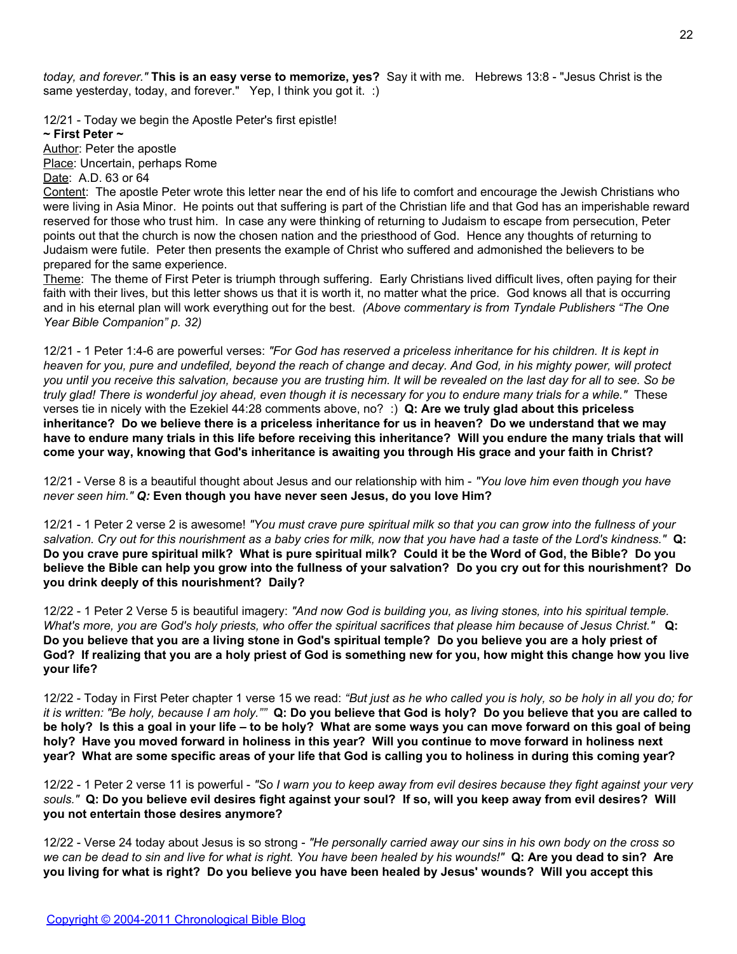*today, and forever."* **This is an easy verse to memorize, yes?** Say it with me. Hebrews 13:8 - "Jesus Christ is the same yesterday, today, and forever." Yep, I think you got it. :)

12/21 - Today we begin the Apostle Peter's first epistle!

**~ First Peter ~** Author: Peter the apostle Place: Uncertain, perhaps Rome Date: A.D. 63 or 64

Content: The apostle Peter wrote this letter near the end of his life to comfort and encourage the Jewish Christians who were living in Asia Minor. He points out that suffering is part of the Christian life and that God has an imperishable reward reserved for those who trust him. In case any were thinking of returning to Judaism to escape from persecution, Peter points out that the church is now the chosen nation and the priesthood of God. Hence any thoughts of returning to Judaism were futile. Peter then presents the example of Christ who suffered and admonished the believers to be prepared for the same experience.

Theme: The theme of First Peter is triumph through suffering. Early Christians lived difficult lives, often paying for their faith with their lives, but this letter shows us that it is worth it, no matter what the price. God knows all that is occurring and in his eternal plan will work everything out for the best. *(Above commentary is from Tyndale Publishers "The One Year Bible Companion" p. 32)*

12/21 - 1 Peter 1:4-6 are powerful verses: *"For God has reserved a priceless inheritance for his children. It is kept in heaven for you, pure and undefiled, beyond the reach of change and decay. And God, in his mighty power, will protect you until you receive this salvation, because you are trusting him. It will be revealed on the last day for all to see. So be truly glad! There is wonderful joy ahead, even though it is necessary for you to endure many trials for a while."* These verses tie in nicely with the Ezekiel 44:28 comments above, no? :) **Q: Are we truly glad about this priceless inheritance? Do we believe there is a priceless inheritance for us in heaven? Do we understand that we may have to endure many trials in this life before receiving this inheritance? Will you endure the many trials that will come your way, knowing that God's inheritance is awaiting you through His grace and your faith in Christ?**

12/21 - Verse 8 is a beautiful thought about Jesus and our relationship with him - *"You love him even though you have never seen him." Q:* **Even though you have never seen Jesus, do you love Him?**

12/21 - 1 Peter 2 verse 2 is awesome! *"You must crave pure spiritual milk so that you can grow into the fullness of your salvation. Cry out for this nourishment as a baby cries for milk, now that you have had a taste of the Lord's kindness."* **Q: Do you crave pure spiritual milk? What is pure spiritual milk? Could it be the Word of God, the Bible? Do you believe the Bible can help you grow into the fullness of your salvation? Do you cry out for this nourishment? Do you drink deeply of this nourishment? Daily?**

12/22 - 1 Peter 2 Verse 5 is beautiful imagery: *"And now God is building you, as living stones, into his spiritual temple. What's more, you are God's holy priests, who offer the spiritual sacrifices that please him because of Jesus Christ."* **Q: Do you believe that you are a living stone in God's spiritual temple? Do you believe you are a holy priest of God? If realizing that you are a holy priest of God is something new for you, how might this change how you live your life?**

12/22 - Today in First Peter chapter 1 verse 15 we read: *"But just as he who called you is holy, so be holy in all you do; for it is written: "Be holy, because I am holy.""* **Q: Do you believe that God is holy? Do you believe that you are called to be holy? Is this a goal in your life – to be holy? What are some ways you can move forward on this goal of being holy? Have you moved forward in holiness in this year? Will you continue to move forward in holiness next year? What are some specific areas of your life that God is calling you to holiness in during this coming year?**

12/22 - 1 Peter 2 verse 11 is powerful - *"So I warn you to keep away from evil desires because they fight against your very souls."* **Q: Do you believe evil desires fight against your soul? If so, will you keep away from evil desires? Will you not entertain those desires anymore?**

12/22 - Verse 24 today about Jesus is so strong - *"He personally carried away our sins in his own body on the cross so we can be dead to sin and live for what is right. You have been healed by his wounds!"* **Q: Are you dead to sin? Are you living for what is right? Do you believe you have been healed by Jesus' wounds? Will you accept this**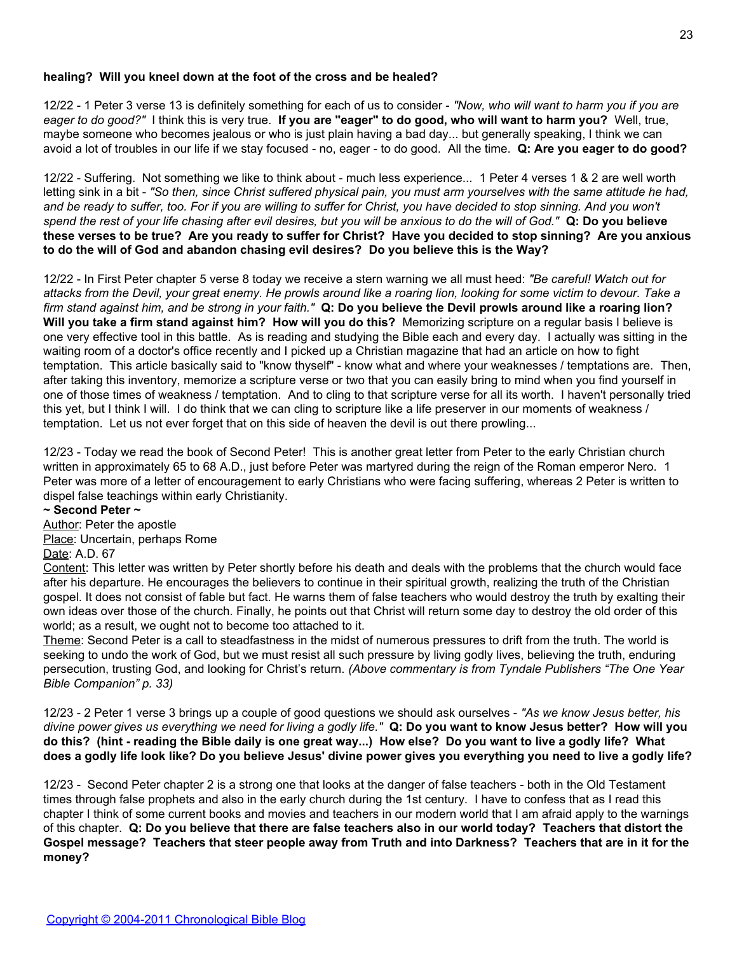# **healing? Will you kneel down at the foot of the cross and be healed?**

12/22 - 1 Peter 3 verse 13 is definitely something for each of us to consider - *"Now, who will want to harm you if you are eager to do good?"* I think this is very true. **If you are "eager" to do good, who will want to harm you?** Well, true, maybe someone who becomes jealous or who is just plain having a bad day... but generally speaking, I think we can avoid a lot of troubles in our life if we stay focused - no, eager - to do good. All the time. **Q: Are you eager to do good?**

12/22 - Suffering. Not something we like to think about - much less experience... 1 Peter 4 verses 1 & 2 are well worth letting sink in a bit - *"So then, since Christ suffered physical pain, you must arm yourselves with the same attitude he had, and be ready to suffer, too. For if you are willing to suffer for Christ, you have decided to stop sinning. And you won't spend the rest of your life chasing after evil desires, but you will be anxious to do the will of God."* **Q: Do you believe these verses to be true? Are you ready to suffer for Christ? Have you decided to stop sinning? Are you anxious to do the will of God and abandon chasing evil desires? Do you believe this is the Way?**

12/22 - In First Peter chapter 5 verse 8 today we receive a stern warning we all must heed: *"Be careful! Watch out for attacks from the Devil, your great enemy. He prowls around like a roaring lion, looking for some victim to devour. Take a firm stand against him, and be strong in your faith."* **Q: Do you believe the Devil prowls around like a roaring lion? Will you take a firm stand against him? How will you do this?** Memorizing scripture on a regular basis I believe is one very effective tool in this battle. As is reading and studying the Bible each and every day. I actually was sitting in the waiting room of a doctor's office recently and I picked up a Christian magazine that had an article on how to fight temptation. This article basically said to "know thyself" - know what and where your weaknesses / temptations are. Then, after taking this inventory, memorize a scripture verse or two that you can easily bring to mind when you find yourself in one of those times of weakness / temptation. And to cling to that scripture verse for all its worth. I haven't personally tried this yet, but I think I will. I do think that we can cling to scripture like a life preserver in our moments of weakness / temptation. Let us not ever forget that on this side of heaven the devil is out there prowling...

12/23 - Today we read the book of Second Peter! This is another great letter from Peter to the early Christian church written in approximately 65 to 68 A.D., just before Peter was martyred during the reign of the Roman emperor Nero. 1 Peter was more of a letter of encouragement to early Christians who were facing suffering, whereas 2 Peter is written to dispel false teachings within early Christianity.

# **~ Second Peter ~**

Author: Peter the apostle Place: Uncertain, perhaps Rome

#### Date: A.D. 67

Content: This letter was written by Peter shortly before his death and deals with the problems that the church would face after his departure. He encourages the believers to continue in their spiritual growth, realizing the truth of the Christian gospel. It does not consist of fable but fact. He warns them of false teachers who would destroy the truth by exalting their own ideas over those of the church. Finally, he points out that Christ will return some day to destroy the old order of this world; as a result, we ought not to become too attached to it.

Theme: Second Peter is a call to steadfastness in the midst of numerous pressures to drift from the truth. The world is seeking to undo the work of God, but we must resist all such pressure by living godly lives, believing the truth, enduring persecution, trusting God, and looking for Christ's return. *(Above commentary is from Tyndale Publishers "The One Year Bible Companion" p. 33)*

12/23 - 2 Peter 1 verse 3 brings up a couple of good questions we should ask ourselves - *"As we know Jesus better, his divine power gives us everything we need for living a godly life."* **Q: Do you want to know Jesus better? How will you do this? (hint - reading the Bible daily is one great way...) How else? Do you want to live a godly life? What does a godly life look like? Do you believe Jesus' divine power gives you everything you need to live a godly life?**

12/23 - Second Peter chapter 2 is a strong one that looks at the danger of false teachers - both in the Old Testament times through false prophets and also in the early church during the 1st century. I have to confess that as I read this chapter I think of some current books and movies and teachers in our modern world that I am afraid apply to the warnings of this chapter. **Q: Do you believe that there are false teachers also in our world today? Teachers that distort the Gospel message? Teachers that steer people away from Truth and into Darkness? Teachers that are in it for the money?**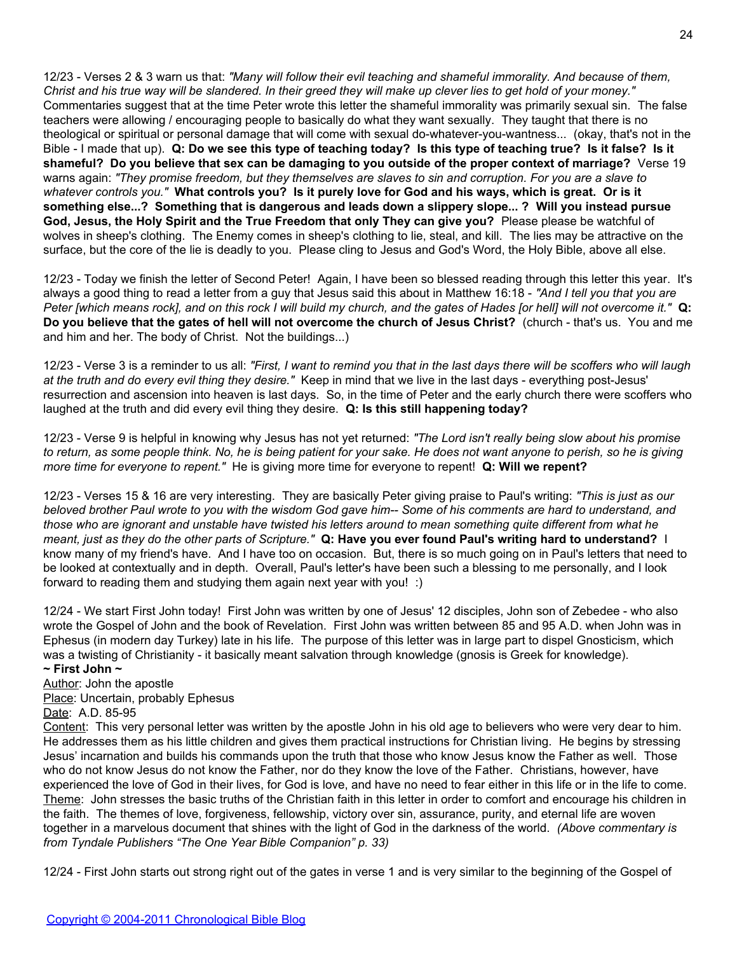12/23 - Verses 2 & 3 warn us that: *"Many will follow their evil teaching and shameful immorality. And because of them, Christ and his true way will be slandered. In their greed they will make up clever lies to get hold of your money."* Commentaries suggest that at the time Peter wrote this letter the shameful immorality was primarily sexual sin. The false teachers were allowing / encouraging people to basically do what they want sexually. They taught that there is no theological or spiritual or personal damage that will come with sexual do-whatever-you-wantness... (okay, that's not in the Bible - I made that up). **Q: Do we see this type of teaching today? Is this type of teaching true? Is it false? Is it shameful? Do you believe that sex can be damaging to you outside of the proper context of marriage?** Verse 19 warns again: *"They promise freedom, but they themselves are slaves to sin and corruption. For you are a slave to whatever controls you."* **What controls you? Is it purely love for God and his ways, which is great. Or is it something else...? Something that is dangerous and leads down a slippery slope... ? Will you instead pursue God, Jesus, the Holy Spirit and the True Freedom that only They can give you?** Please please be watchful of wolves in sheep's clothing. The Enemy comes in sheep's clothing to lie, steal, and kill. The lies may be attractive on the surface, but the core of the lie is deadly to you. Please cling to Jesus and God's Word, the Holy Bible, above all else.

12/23 - Today we finish the letter of Second Peter! Again, I have been so blessed reading through this letter this year. It's always a good thing to read a letter from a guy that Jesus said this about in Matthew 16:18 - *"And I tell you that you are Peter [which means rock], and on this rock I will build my church, and the gates of Hades [or hell] will not overcome it."* **Q: Do you believe that the gates of hell will not overcome the church of Jesus Christ?** (church - that's us. You and me and him and her. The body of Christ. Not the buildings...)

12/23 - Verse 3 is a reminder to us all: *"First, I want to remind you that in the last days there will be scoffers who will laugh at the truth and do every evil thing they desire."* Keep in mind that we live in the last days - everything post-Jesus' resurrection and ascension into heaven is last days. So, in the time of Peter and the early church there were scoffers who laughed at the truth and did every evil thing they desire. **Q: Is this still happening today?**

12/23 - Verse 9 is helpful in knowing why Jesus has not yet returned: *"The Lord isn't really being slow about his promise to return, as some people think. No, he is being patient for your sake. He does not want anyone to perish, so he is giving more time for everyone to repent."* He is giving more time for everyone to repent! **Q: Will we repent?**

12/23 - Verses 15 & 16 are very interesting. They are basically Peter giving praise to Paul's writing: *"This is just as our beloved brother Paul wrote to you with the wisdom God gave him-- Some of his comments are hard to understand, and those who are ignorant and unstable have twisted his letters around to mean something quite different from what he meant, just as they do the other parts of Scripture."* **Q: Have you ever found Paul's writing hard to understand?** I know many of my friend's have. And I have too on occasion. But, there is so much going on in Paul's letters that need to be looked at contextually and in depth. Overall, Paul's letter's have been such a blessing to me personally, and I look forward to reading them and studying them again next year with you! :)

12/24 - We start First John today! First John was written by one of Jesus' 12 disciples, John son of Zebedee - who also wrote the Gospel of John and the book of Revelation. First John was written between 85 and 95 A.D. when John was in Ephesus (in modern day Turkey) late in his life. The purpose of this letter was in large part to dispel Gnosticism, which was a twisting of Christianity - it basically meant salvation through knowledge (gnosis is Greek for knowledge). **~ First John ~**

Author: John the apostle Place: Uncertain, probably Ephesus Date: A.D. 85-95

Content: This very personal letter was written by the apostle John in his old age to believers who were very dear to him. He addresses them as his little children and gives them practical instructions for Christian living. He begins by stressing Jesus' incarnation and builds his commands upon the truth that those who know Jesus know the Father as well. Those who do not know Jesus do not know the Father, nor do they know the love of the Father. Christians, however, have experienced the love of God in their lives, for God is love, and have no need to fear either in this life or in the life to come. Theme: John stresses the basic truths of the Christian faith in this letter in order to comfort and encourage his children in the faith. The themes of love, forgiveness, fellowship, victory over sin, assurance, purity, and eternal life are woven together in a marvelous document that shines with the light of God in the darkness of the world. *(Above commentary is from Tyndale Publishers "The One Year Bible Companion" p. 33)*

12/24 - First John starts out strong right out of the gates in verse 1 and is very similar to the beginning of the Gospel of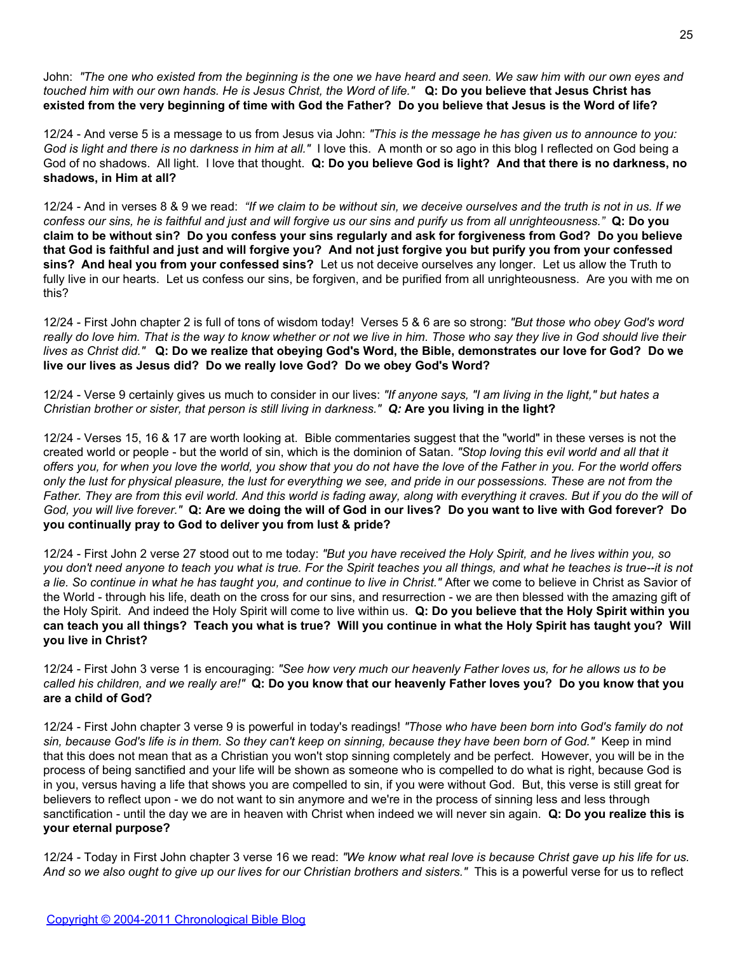John: *"The one who existed from the beginning is the one we have heard and seen. We saw him with our own eyes and touched him with our own hands. He is Jesus Christ, the Word of life."* **Q: Do you believe that Jesus Christ has existed from the very beginning of time with God the Father? Do you believe that Jesus is the Word of life?**

12/24 - And verse 5 is a message to us from Jesus via John: *"This is the message he has given us to announce to you: God is light and there is no darkness in him at all."* I love this. A month or so ago in this blog I reflected on God being a God of no shadows. All light. I love that thought. **Q: Do you believe God is light? And that there is no darkness, no shadows, in Him at all?**

12/24 - And in verses 8 & 9 we read: *"If we claim to be without sin, we deceive ourselves and the truth is not in us. If we confess our sins, he is faithful and just and will forgive us our sins and purify us from all unrighteousness."* **Q: Do you claim to be without sin? Do you confess your sins regularly and ask for forgiveness from God? Do you believe that God is faithful and just and will forgive you? And not just forgive you but purify you from your confessed sins? And heal you from your confessed sins?** Let us not deceive ourselves any longer. Let us allow the Truth to fully live in our hearts. Let us confess our sins, be forgiven, and be purified from all unrighteousness. Are you with me on this?

12/24 - First John chapter 2 is full of tons of wisdom today! Verses 5 & 6 are so strong: *"But those who obey God's word really do love him. That is the way to know whether or not we live in him. Those who say they live in God should live their lives as Christ did."* **Q: Do we realize that obeying God's Word, the Bible, demonstrates our love for God? Do we live our lives as Jesus did? Do we really love God? Do we obey God's Word?**

12/24 - Verse 9 certainly gives us much to consider in our lives: *"If anyone says, "I am living in the light," but hates a Christian brother or sister, that person is still living in darkness." Q:* **Are you living in the light?**

12/24 - Verses 15, 16 & 17 are worth looking at. Bible commentaries suggest that the "world" in these verses is not the created world or people - but the world of sin, which is the dominion of Satan. *"Stop loving this evil world and all that it offers you, for when you love the world, you show that you do not have the love of the Father in you. For the world offers only the lust for physical pleasure, the lust for everything we see, and pride in our possessions. These are not from the Father. They are from this evil world. And this world is fading away, along with everything it craves. But if you do the will of God, you will live forever."* **Q: Are we doing the will of God in our lives? Do you want to live with God forever? Do you continually pray to God to deliver you from lust & pride?**

12/24 - First John 2 verse 27 stood out to me today: *"But you have received the Holy Spirit, and he lives within you, so you don't need anyone to teach you what is true. For the Spirit teaches you all things, and what he teaches is true--it is not a lie. So continue in what he has taught you, and continue to live in Christ."* After we come to believe in Christ as Savior of the World - through his life, death on the cross for our sins, and resurrection - we are then blessed with the amazing gift of the Holy Spirit. And indeed the Holy Spirit will come to live within us. **Q: Do you believe that the Holy Spirit within you can teach you all things? Teach you what is true? Will you continue in what the Holy Spirit has taught you? Will you live in Christ?**

12/24 - First John 3 verse 1 is encouraging: *"See how very much our heavenly Father loves us, for he allows us to be called his children, and we really are!"* **Q: Do you know that our heavenly Father loves you? Do you know that you are a child of God?**

12/24 - First John chapter 3 verse 9 is powerful in today's readings! *"Those who have been born into God's family do not sin, because God's life is in them. So they can't keep on sinning, because they have been born of God."* Keep in mind that this does not mean that as a Christian you won't stop sinning completely and be perfect. However, you will be in the process of being sanctified and your life will be shown as someone who is compelled to do what is right, because God is in you, versus having a life that shows you are compelled to sin, if you were without God. But, this verse is still great for believers to reflect upon - we do not want to sin anymore and we're in the process of sinning less and less through sanctification - until the day we are in heaven with Christ when indeed we will never sin again. **Q: Do you realize this is your eternal purpose?**

12/24 - Today in First John chapter 3 verse 16 we read: *"We know what real love is because Christ gave up his life for us. And so we also ought to give up our lives for our Christian brothers and sisters."* This is a powerful verse for us to reflect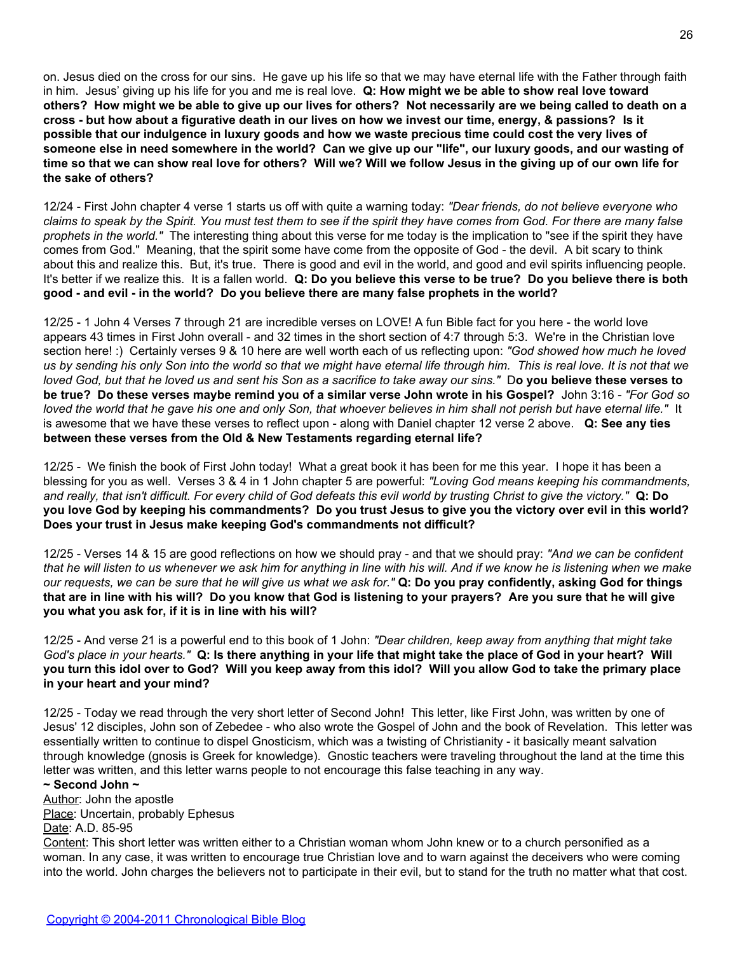on. Jesus died on the cross for our sins. He gave up his life so that we may have eternal life with the Father through faith in him. Jesus' giving up his life for you and me is real love. **Q: How might we be able to show real love toward others? How might we be able to give up our lives for others? Not necessarily are we being called to death on a cross - but how about a figurative death in our lives on how we invest our time, energy, & passions? Is it possible that our indulgence in luxury goods and how we waste precious time could cost the very lives of someone else in need somewhere in the world? Can we give up our "life", our luxury goods, and our wasting of time so that we can show real love for others? Will we? Will we follow Jesus in the giving up of our own life for the sake of others?**

12/24 - First John chapter 4 verse 1 starts us off with quite a warning today: *"Dear friends, do not believe everyone who claims to speak by the Spirit. You must test them to see if the spirit they have comes from God. For there are many false prophets in the world."* The interesting thing about this verse for me today is the implication to "see if the spirit they have comes from God." Meaning, that the spirit some have come from the opposite of God - the devil. A bit scary to think about this and realize this. But, it's true. There is good and evil in the world, and good and evil spirits influencing people. It's better if we realize this. It is a fallen world. **Q: Do you believe this verse to be true? Do you believe there is both good - and evil - in the world? Do you believe there are many false prophets in the world?**

12/25 - 1 John 4 Verses 7 through 21 are incredible verses on LOVE! A fun Bible fact for you here - the world love appears 43 times in First John overall - and 32 times in the short section of 4:7 through 5:3. We're in the Christian love section here! :) Certainly verses 9 & 10 here are well worth each of us reflecting upon: *"God showed how much he loved us by sending his only Son into the world so that we might have eternal life through him. This is real love. It is not that we loved God, but that he loved us and sent his Son as a sacrifice to take away our sins."* D**o you believe these verses to be true? Do these verses maybe remind you of a similar verse John wrote in his Gospel?** John 3:16 - *"For God so loved the world that he gave his one and only Son, that whoever believes in him shall not perish but have eternal life."* It is awesome that we have these verses to reflect upon - along with Daniel chapter 12 verse 2 above. **Q: See any ties between these verses from the Old & New Testaments regarding eternal life?**

12/25 - We finish the book of First John today! What a great book it has been for me this year. I hope it has been a blessing for you as well. Verses 3 & 4 in 1 John chapter 5 are powerful: *"Loving God means keeping his commandments, and really, that isn't difficult. For every child of God defeats this evil world by trusting Christ to give the victory."* **Q: Do you love God by keeping his commandments? Do you trust Jesus to give you the victory over evil in this world? Does your trust in Jesus make keeping God's commandments not difficult?**

12/25 - Verses 14 & 15 are good reflections on how we should pray - and that we should pray: *"And we can be confident that he will listen to us whenever we ask him for anything in line with his will. And if we know he is listening when we make our requests, we can be sure that he will give us what we ask for."* **Q: Do you pray confidently, asking God for things that are in line with his will? Do you know that God is listening to your prayers? Are you sure that he will give you what you ask for, if it is in line with his will?**

12/25 - And verse 21 is a powerful end to this book of 1 John: *"Dear children, keep away from anything that might take God's place in your hearts."* **Q: Is there anything in your life that might take the place of God in your heart? Will you turn this idol over to God? Will you keep away from this idol? Will you allow God to take the primary place in your heart and your mind?**

12/25 - Today we read through the very short letter of Second John! This letter, like First John, was written by one of Jesus' 12 disciples, John son of Zebedee - who also wrote the Gospel of John and the book of Revelation. This letter was essentially written to continue to dispel Gnosticism, which was a twisting of Christianity - it basically meant salvation through knowledge (gnosis is Greek for knowledge). Gnostic teachers were traveling throughout the land at the time this letter was written, and this letter warns people to not encourage this false teaching in any way.

#### **~ Second John ~**

Author: John the apostle Place: Uncertain, probably Ephesus Date: A.D. 85-95

Content: This short letter was written either to a Christian woman whom John knew or to a church personified as a woman. In any case, it was written to encourage true Christian love and to warn against the deceivers who were coming into the world. John charges the believers not to participate in their evil, but to stand for the truth no matter what that cost.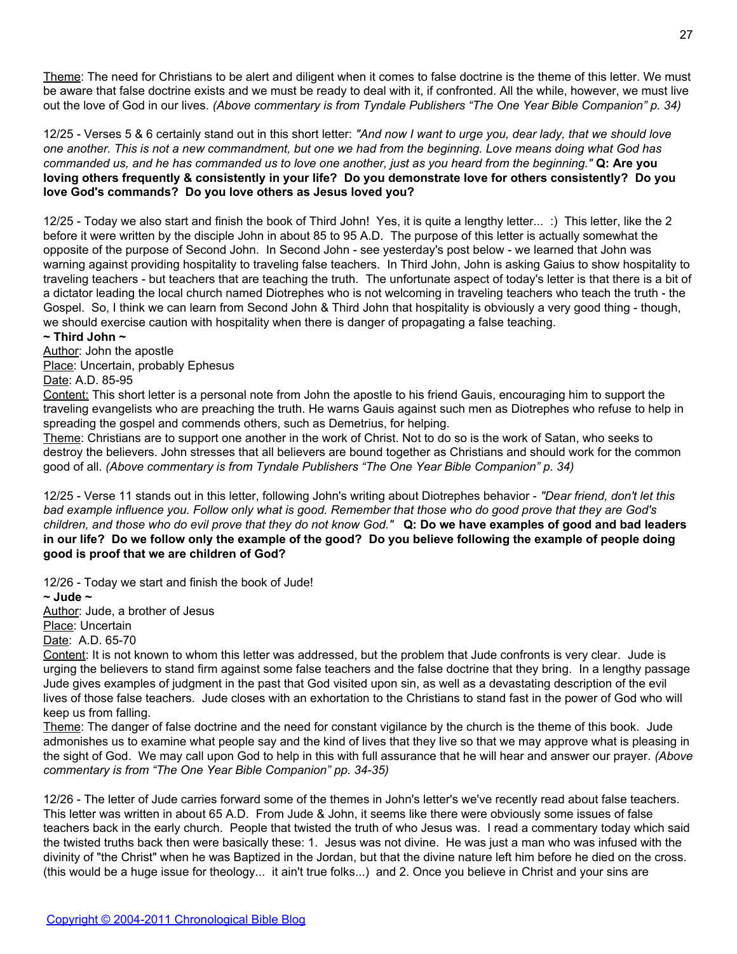Theme: The need for Christians to be alert and diligent when it comes to false doctrine is the theme of this letter. We must be aware that false doctrine exists and we must be ready to deal with it, if confronted. All the while, however, we must live out the love of God in our lives. *(Above commentary is from Tyndale Publishers "The One Year Bible Companion" p. 34)*

12/25 - Verses 5 & 6 certainly stand out in this short letter: *"And now I want to urge you, dear lady, that we should love one another. This is not a new commandment, but one we had from the beginning. Love means doing what God has commanded us, and he has commanded us to love one another, just as you heard from the beginning."* **Q: Are you loving others frequently & consistently in your life? Do you demonstrate love for others consistently? Do you love God's commands? Do you love others as Jesus loved you?**

12/25 - Today we also start and finish the book of Third John! Yes, it is quite a lengthy letter... :) This letter, like the 2 before it were written by the disciple John in about 85 to 95 A.D. The purpose of this letter is actually somewhat the opposite of the purpose of Second John. In Second John - see yesterday's post below - we learned that John was warning against providing hospitality to traveling false teachers. In Third John, John is asking Gaius to show hospitality to traveling teachers - but teachers that are teaching the truth. The unfortunate aspect of today's letter is that there is a bit of a dictator leading the local church named Diotrephes who is not welcoming in traveling teachers who teach the truth - the Gospel. So, I think we can learn from Second John & Third John that hospitality is obviously a very good thing - though, we should exercise caution with hospitality when there is danger of propagating a false teaching.

#### **~ Third John ~**

Author: John the apostle

Place: Uncertain, probably Ephesus

# Date: A.D. 85-95

Content: This short letter is a personal note from John the apostle to his friend Gauis, encouraging him to support the traveling evangelists who are preaching the truth. He warns Gauis against such men as Diotrephes who refuse to help in spreading the gospel and commends others, such as Demetrius, for helping.

Theme: Christians are to support one another in the work of Christ. Not to do so is the work of Satan, who seeks to destroy the believers. John stresses that all believers are bound together as Christians and should work for the common good of all. *(Above commentary is from Tyndale Publishers "The One Year Bible Companion" p. 34)*

12/25 - Verse 11 stands out in this letter, following John's writing about Diotrephes behavior - *"Dear friend, don't let this bad example influence you. Follow only what is good. Remember that those who do good prove that they are God's children, and those who do evil prove that they do not know God."* **Q: Do we have examples of good and bad leaders in our life? Do we follow only the example of the good? Do you believe following the example of people doing good is proof that we are children of God?**

12/26 - Today we start and finish the book of Jude!

# **~ Jude ~**

Author: Jude, a brother of Jesus

Place: Uncertain

Date: A.D. 65-70

Content: It is not known to whom this letter was addressed, but the problem that Jude confronts is very clear. Jude is urging the believers to stand firm against some false teachers and the false doctrine that they bring. In a lengthy passage Jude gives examples of judgment in the past that God visited upon sin, as well as a devastating description of the evil lives of those false teachers. Jude closes with an exhortation to the Christians to stand fast in the power of God who will keep us from falling.

Theme: The danger of false doctrine and the need for constant vigilance by the church is the theme of this book. Jude admonishes us to examine what people say and the kind of lives that they live so that we may approve what is pleasing in the sight of God. We may call upon God to help in this with full assurance that he will hear and answer our prayer. *(Above commentary is from "The One Year Bible Companion" pp. 34-35)*

12/26 - The letter of Jude carries forward some of the themes in John's letter's we've recently read about false teachers. This letter was written in about 65 A.D. From Jude & John, it seems like there were obviously some issues of false teachers back in the early church. People that twisted the truth of who Jesus was. I read a commentary today which said the twisted truths back then were basically these: 1. Jesus was not divine. He was just a man who was infused with the divinity of "the Christ" when he was Baptized in the Jordan, but that the divine nature left him before he died on the cross. (this would be a huge issue for theology... it ain't true folks...) and 2. Once you believe in Christ and your sins are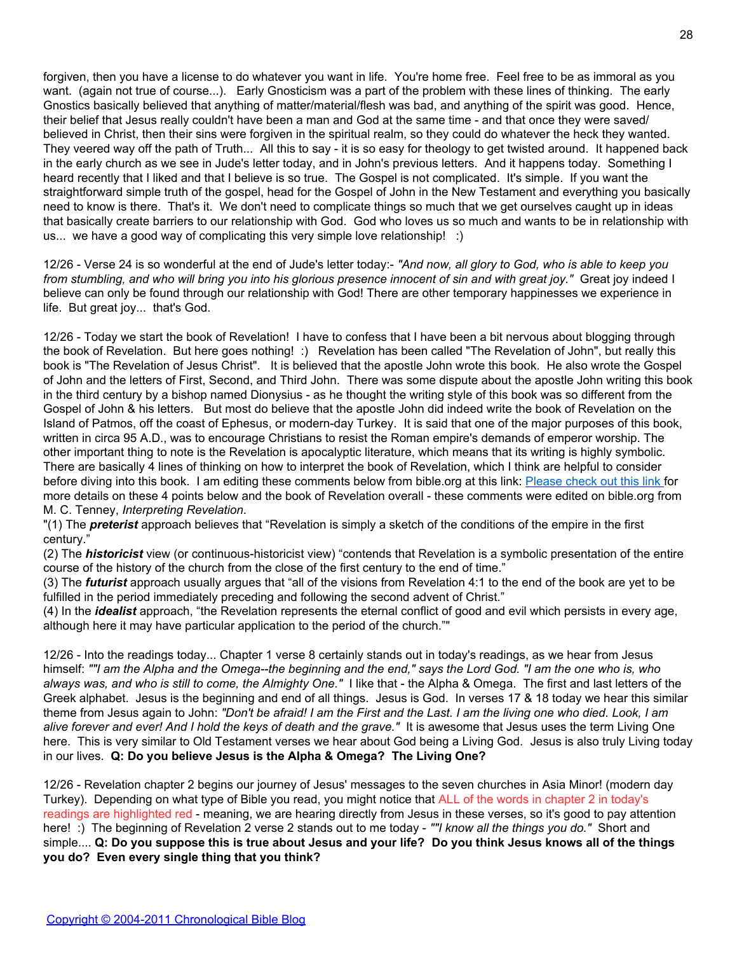forgiven, then you have a license to do whatever you want in life. You're home free. Feel free to be as immoral as you want. (again not true of course...). Early Gnosticism was a part of the problem with these lines of thinking. The early Gnostics basically believed that anything of matter/material/flesh was bad, and anything of the spirit was good. Hence, their belief that Jesus really couldn't have been a man and God at the same time - and that once they were saved/ believed in Christ, then their sins were forgiven in the spiritual realm, so they could do whatever the heck they wanted. They veered way off the path of Truth... All this to say - it is so easy for theology to get twisted around. It happened back in the early church as we see in Jude's letter today, and in John's previous letters. And it happens today. Something I heard recently that I liked and that I believe is so true. The Gospel is not complicated. It's simple. If you want the straightforward simple truth of the gospel, head for the Gospel of John in the New Testament and everything you basically need to know is there. That's it. We don't need to complicate things so much that we get ourselves caught up in ideas that basically create barriers to our relationship with God. God who loves us so much and wants to be in relationship with us... we have a good way of complicating this very simple love relationship! :)

12/26 - Verse 24 is so wonderful at the end of Jude's letter today:- *"And now, all glory to God, who is able to keep you from stumbling, and who will bring you into his glorious presence innocent of sin and with great joy."* Great joy indeed I believe can only be found through our relationship with God! There are other temporary happinesses we experience in life. But great joy... that's God.

12/26 - Today we start the book of Revelation! I have to confess that I have been a bit nervous about blogging through the book of Revelation. But here goes nothing! :) Revelation has been called "The Revelation of John", but really this book is "The Revelation of Jesus Christ". It is believed that the apostle John wrote this book. He also wrote the Gospel of John and the letters of First, Second, and Third John. There was some dispute about the apostle John writing this book in the third century by a bishop named Dionysius - as he thought the writing style of this book was so different from the Gospel of John & his letters. But most do believe that the apostle John did indeed write the book of Revelation on the Island of Patmos, off the coast of Ephesus, or modern-day Turkey. It is said that one of the major purposes of this book, written in circa 95 A.D., was to encourage Christians to resist the Roman empire's demands of emperor worship. The other important thing to note is the Revelation is apocalyptic literature, which means that its writing is highly symbolic. There are basically 4 lines of thinking on how to interpret the book of Revelation, which I think are helpful to consider before diving into this book. I am editing these comments below from bible.org at this link: [Please check out this link](http://bible.org/page.asp?page_id=1368#P81_21449) for more details on these 4 points below and the book of Revelation overall - these comments were edited on bible.org from M. C. Tenney, *Interpreting Revelation*.

"(1) The *preterist* approach believes that "Revelation is simply a sketch of the conditions of the empire in the first century."

(2) The *historicist* view (or continuous-historicist view) "contends that Revelation is a symbolic presentation of the entire course of the history of the church from the close of the first century to the end of time."

(3) The *futurist* approach usually argues that "all of the visions from Revelation 4:1 to the end of the book are yet to be fulfilled in the period immediately preceding and following the second advent of Christ."

(4) In the *idealist* approach, "the Revelation represents the eternal conflict of good and evil which persists in every age, although here it may have particular application to the period of the church.""

12/26 - Into the readings today... Chapter 1 verse 8 certainly stands out in today's readings, as we hear from Jesus himself: *""I am the Alpha and the Omega--the beginning and the end," says the Lord God. "I am the one who is, who always was, and who is still to come, the Almighty One."* I like that - the Alpha & Omega. The first and last letters of the Greek alphabet. Jesus is the beginning and end of all things. Jesus is God. In verses 17 & 18 today we hear this similar theme from Jesus again to John: *"Don't be afraid! I am the First and the Last. I am the living one who died. Look, I am alive forever and ever! And I hold the keys of death and the grave."* It is awesome that Jesus uses the term Living One here. This is very similar to Old Testament verses we hear about God being a Living God. Jesus is also truly Living today in our lives. **Q: Do you believe Jesus is the Alpha & Omega? The Living One?**

12/26 - Revelation chapter 2 begins our journey of Jesus' messages to the seven churches in Asia Minor! (modern day Turkey). Depending on what type of Bible you read, you might notice that ALL of the words in chapter 2 in today's readings are highlighted red - meaning, we are hearing directly from Jesus in these verses, so it's good to pay attention here! :) The beginning of Revelation 2 verse 2 stands out to me today - *""I know all the things you do."* Short and simple.... **Q: Do you suppose this is true about Jesus and your life? Do you think Jesus knows all of the things you do? Even every single thing that you think?**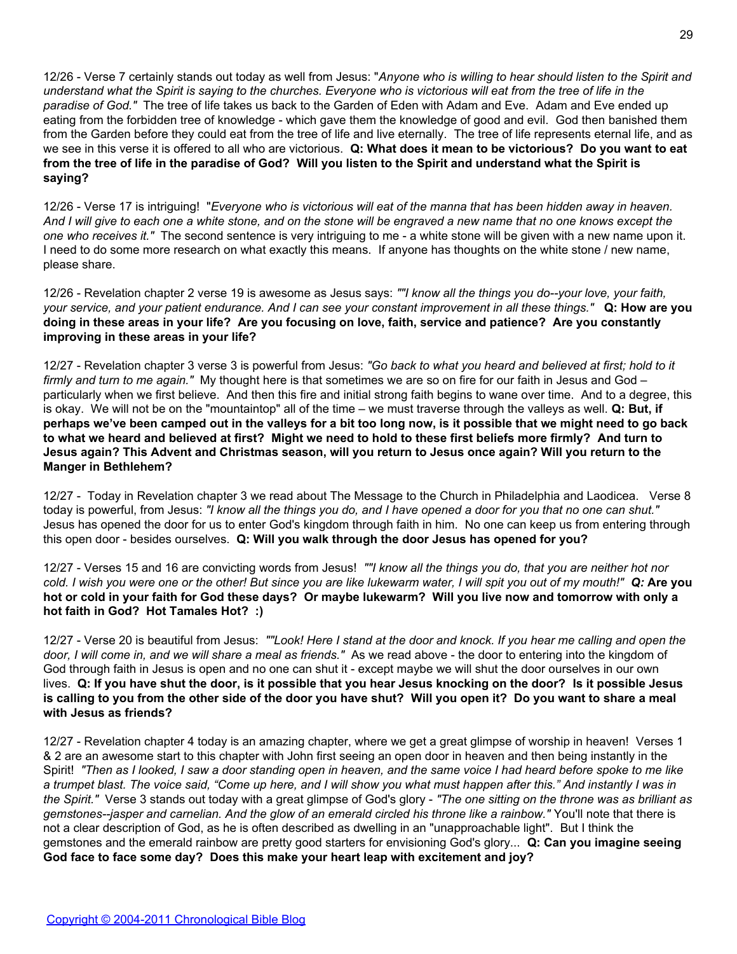12/26 - Verse 7 certainly stands out today as well from Jesus: "*Anyone who is willing to hear should listen to the Spirit and understand what the Spirit is saying to the churches. Everyone who is victorious will eat from the tree of life in the paradise of God."* The tree of life takes us back to the Garden of Eden with Adam and Eve. Adam and Eve ended up eating from the forbidden tree of knowledge - which gave them the knowledge of good and evil. God then banished them from the Garden before they could eat from the tree of life and live eternally. The tree of life represents eternal life, and as we see in this verse it is offered to all who are victorious. **Q: What does it mean to be victorious? Do you want to eat from the tree of life in the paradise of God? Will you listen to the Spirit and understand what the Spirit is saying?**

12/26 - Verse 17 is intriguing! "*Everyone who is victorious will eat of the manna that has been hidden away in heaven. And I will give to each one a white stone, and on the stone will be engraved a new name that no one knows except the one who receives it."* The second sentence is very intriguing to me - a white stone will be given with a new name upon it. I need to do some more research on what exactly this means. If anyone has thoughts on the white stone / new name, please share.

12/26 - Revelation chapter 2 verse 19 is awesome as Jesus says: *""I know all the things you do--your love, your faith, your service, and your patient endurance. And I can see your constant improvement in all these things."* **Q: How are you doing in these areas in your life? Are you focusing on love, faith, service and patience? Are you constantly improving in these areas in your life?**

12/27 - Revelation chapter 3 verse 3 is powerful from Jesus: *"Go back to what you heard and believed at first; hold to it firmly and turn to me again."* My thought here is that sometimes we are so on fire for our faith in Jesus and God – particularly when we first believe. And then this fire and initial strong faith begins to wane over time. And to a degree, this is okay. We will not be on the "mountaintop" all of the time – we must traverse through the valleys as well. **Q: But, if perhaps we've been camped out in the valleys for a bit too long now, is it possible that we might need to go back to what we heard and believed at first? Might we need to hold to these first beliefs more firmly? And turn to Jesus again? This Advent and Christmas season, will you return to Jesus once again? Will you return to the Manger in Bethlehem?**

12/27 - Today in Revelation chapter 3 we read about The Message to the Church in Philadelphia and Laodicea. Verse 8 today is powerful, from Jesus: *"I know all the things you do, and I have opened a door for you that no one can shut."* Jesus has opened the door for us to enter God's kingdom through faith in him. No one can keep us from entering through this open door - besides ourselves. **Q: Will you walk through the door Jesus has opened for you?**

12/27 - Verses 15 and 16 are convicting words from Jesus! *""I know all the things you do, that you are neither hot nor cold. I wish you were one or the other! But since you are like lukewarm water, I will spit you out of my mouth!" Q:* **Are you hot or cold in your faith for God these days? Or maybe lukewarm? Will you live now and tomorrow with only a hot faith in God? Hot Tamales Hot? :)**

12/27 - Verse 20 is beautiful from Jesus: *""Look! Here I stand at the door and knock. If you hear me calling and open the door, I will come in, and we will share a meal as friends."* As we read above - the door to entering into the kingdom of God through faith in Jesus is open and no one can shut it - except maybe we will shut the door ourselves in our own lives. **Q: If you have shut the door, is it possible that you hear Jesus knocking on the door? Is it possible Jesus is calling to you from the other side of the door you have shut? Will you open it? Do you want to share a meal with Jesus as friends?**

12/27 - Revelation chapter 4 today is an amazing chapter, where we get a great glimpse of worship in heaven! Verses 1 & 2 are an awesome start to this chapter with John first seeing an open door in heaven and then being instantly in the Spirit! *"Then as I looked, I saw a door standing open in heaven, and the same voice I had heard before spoke to me like a trumpet blast. The voice said, "Come up here, and I will show you what must happen after this." And instantly I was in the Spirit."* Verse 3 stands out today with a great glimpse of God's glory - *"The one sitting on the throne was as brilliant as gemstones--jasper and carnelian. And the glow of an emerald circled his throne like a rainbow."* You'll note that there is not a clear description of God, as he is often described as dwelling in an "unapproachable light". But I think the gemstones and the emerald rainbow are pretty good starters for envisioning God's glory... **Q: Can you imagine seeing God face to face some day? Does this make your heart leap with excitement and joy?**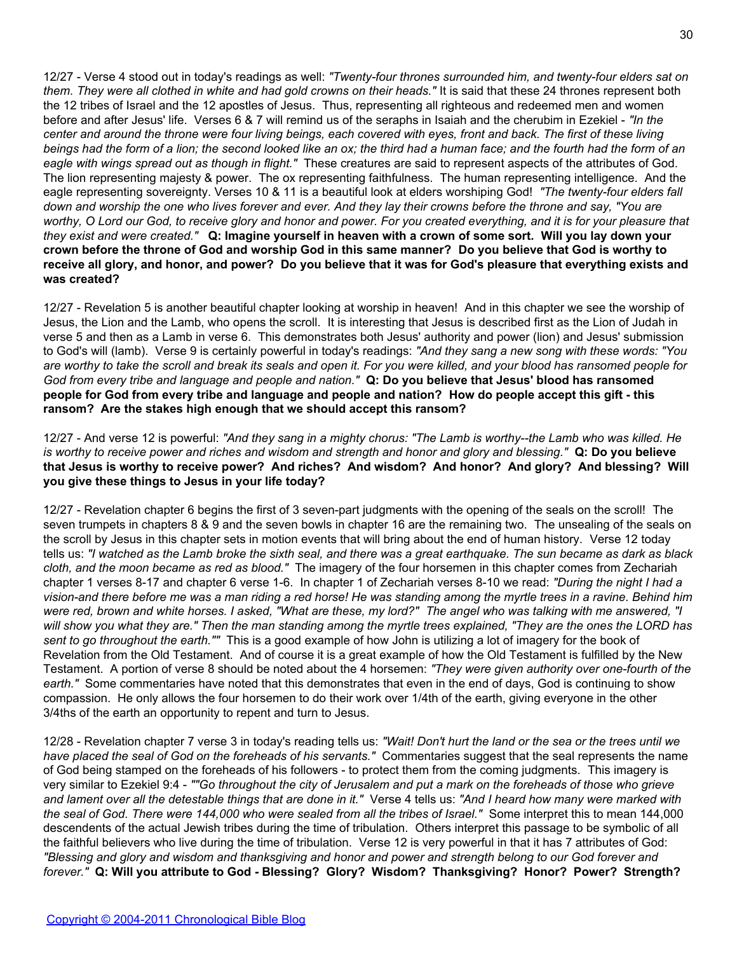12/27 - Verse 4 stood out in today's readings as well: *"Twenty-four thrones surrounded him, and twenty-four elders sat on them. They were all clothed in white and had gold crowns on their heads."* It is said that these 24 thrones represent both the 12 tribes of Israel and the 12 apostles of Jesus. Thus, representing all righteous and redeemed men and women before and after Jesus' life. Verses 6 & 7 will remind us of the seraphs in Isaiah and the cherubim in Ezekiel - *"In the center and around the throne were four living beings, each covered with eyes, front and back. The first of these living beings had the form of a lion; the second looked like an ox; the third had a human face; and the fourth had the form of an eagle with wings spread out as though in flight."* These creatures are said to represent aspects of the attributes of God. The lion representing majesty & power. The ox representing faithfulness. The human representing intelligence. And the eagle representing sovereignty. Verses 10 & 11 is a beautiful look at elders worshiping God! *"The twenty-four elders fall down and worship the one who lives forever and ever. And they lay their crowns before the throne and say, "You are worthy, O Lord our God, to receive glory and honor and power. For you created everything, and it is for your pleasure that they exist and were created."* **Q: Imagine yourself in heaven with a crown of some sort. Will you lay down your crown before the throne of God and worship God in this same manner? Do you believe that God is worthy to receive all glory, and honor, and power? Do you believe that it was for God's pleasure that everything exists and was created?**

12/27 - Revelation 5 is another beautiful chapter looking at worship in heaven! And in this chapter we see the worship of Jesus, the Lion and the Lamb, who opens the scroll. It is interesting that Jesus is described first as the Lion of Judah in verse 5 and then as a Lamb in verse 6. This demonstrates both Jesus' authority and power (lion) and Jesus' submission to God's will (lamb). Verse 9 is certainly powerful in today's readings: *"And they sang a new song with these words: "You are worthy to take the scroll and break its seals and open it. For you were killed, and your blood has ransomed people for God from every tribe and language and people and nation."* **Q: Do you believe that Jesus' blood has ransomed people for God from every tribe and language and people and nation? How do people accept this gift - this ransom? Are the stakes high enough that we should accept this ransom?**

12/27 - And verse 12 is powerful: *"And they sang in a mighty chorus: "The Lamb is worthy--the Lamb who was killed. He is worthy to receive power and riches and wisdom and strength and honor and glory and blessing."* **Q: Do you believe that Jesus is worthy to receive power? And riches? And wisdom? And honor? And glory? And blessing? Will you give these things to Jesus in your life today?**

12/27 - Revelation chapter 6 begins the first of 3 seven-part judgments with the opening of the seals on the scroll! The seven trumpets in chapters 8 & 9 and the seven bowls in chapter 16 are the remaining two. The unsealing of the seals on the scroll by Jesus in this chapter sets in motion events that will bring about the end of human history. Verse 12 today tells us: *"I watched as the Lamb broke the sixth seal, and there was a great earthquake. The sun became as dark as black cloth, and the moon became as red as blood."* The imagery of the four horsemen in this chapter comes from Zechariah chapter 1 verses 8-17 and chapter 6 verse 1-6. In chapter 1 of Zechariah verses 8-10 we read: *"During the night I had a vision-and there before me was a man riding a red horse! He was standing among the myrtle trees in a ravine. Behind him were red, brown and white horses. I asked, "What are these, my lord?" The angel who was talking with me answered, "I will show you what they are." Then the man standing among the myrtle trees explained, "They are the ones the LORD has sent to go throughout the earth.""* This is a good example of how John is utilizing a lot of imagery for the book of Revelation from the Old Testament. And of course it is a great example of how the Old Testament is fulfilled by the New Testament. A portion of verse 8 should be noted about the 4 horsemen: *"They were given authority over one-fourth of the earth."* Some commentaries have noted that this demonstrates that even in the end of days, God is continuing to show compassion. He only allows the four horsemen to do their work over 1/4th of the earth, giving everyone in the other 3/4ths of the earth an opportunity to repent and turn to Jesus.

12/28 - Revelation chapter 7 verse 3 in today's reading tells us: *"Wait! Don't hurt the land or the sea or the trees until we have placed the seal of God on the foreheads of his servants."* Commentaries suggest that the seal represents the name of God being stamped on the foreheads of his followers - to protect them from the coming judgments. This imagery is very similar to Ezekiel 9:4 - *""Go throughout the city of Jerusalem and put a mark on the foreheads of those who grieve and lament over all the detestable things that are done in it."* Verse 4 tells us: *"And I heard how many were marked with the seal of God. There were 144,000 who were sealed from all the tribes of Israel."* Some interpret this to mean 144,000 descendents of the actual Jewish tribes during the time of tribulation. Others interpret this passage to be symbolic of all the faithful believers who live during the time of tribulation. Verse 12 is very powerful in that it has 7 attributes of God: *"Blessing and glory and wisdom and thanksgiving and honor and power and strength belong to our God forever and forever."* **Q: Will you attribute to God - Blessing? Glory? Wisdom? Thanksgiving? Honor? Power? Strength?**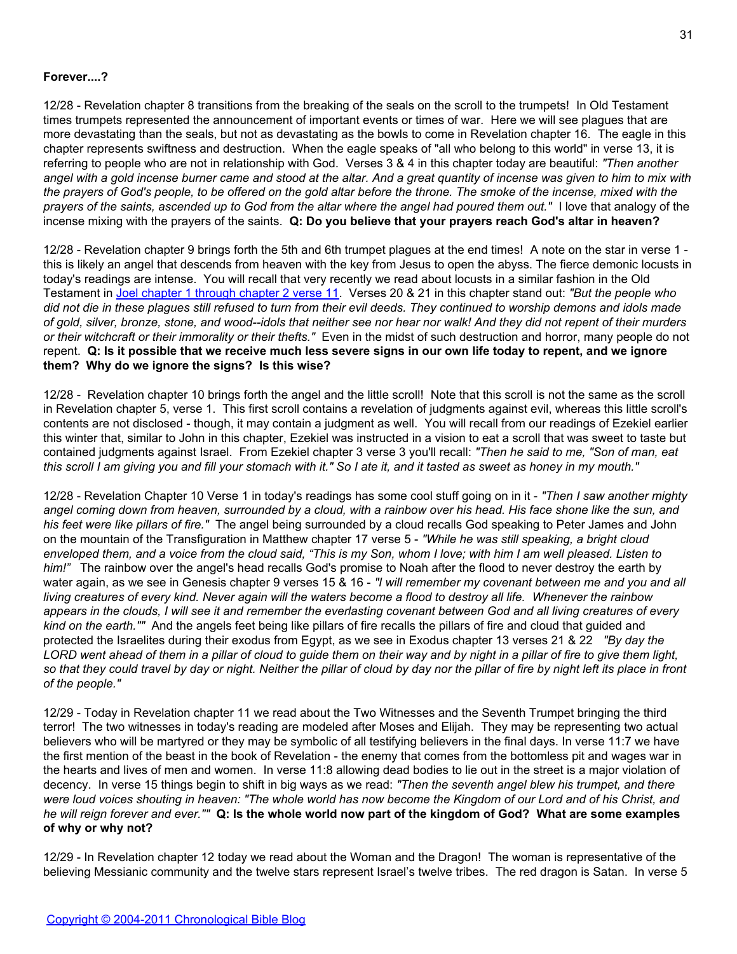# **Forever....?**

12/28 - Revelation chapter 8 transitions from the breaking of the seals on the scroll to the trumpets! In Old Testament times trumpets represented the announcement of important events or times of war. Here we will see plagues that are more devastating than the seals, but not as devastating as the bowls to come in Revelation chapter 16. The eagle in this chapter represents swiftness and destruction. When the eagle speaks of "all who belong to this world" in verse 13, it is referring to people who are not in relationship with God. Verses 3 & 4 in this chapter today are beautiful: *"Then another angel with a gold incense burner came and stood at the altar. And a great quantity of incense was given to him to mix with the prayers of God's people, to be offered on the gold altar before the throne. The smoke of the incense, mixed with the prayers of the saints, ascended up to God from the altar where the angel had poured them out."* I love that analogy of the incense mixing with the prayers of the saints. **Q: Do you believe that your prayers reach God's altar in heaven?**

12/28 - Revelation chapter 9 brings forth the 5th and 6th trumpet plagues at the end times! A note on the star in verse 1 this is likely an angel that descends from heaven with the key from Jesus to open the abyss. The fierce demonic locusts in today's readings are intense. You will recall that very recently we read about locusts in a similar fashion in the Old Testament in [Joel chapter 1 through chapter 2 verse 11.](http://www.biblegateway.com/passage/index.php?search=joel%201:1-2:11) Verses 20 & 21 in this chapter stand out: *"But the people who did not die in these plagues still refused to turn from their evil deeds. They continued to worship demons and idols made of gold, silver, bronze, stone, and wood--idols that neither see nor hear nor walk! And they did not repent of their murders or their witchcraft or their immorality or their thefts."* Even in the midst of such destruction and horror, many people do not repent. **Q: Is it possible that we receive much less severe signs in our own life today to repent, and we ignore them? Why do we ignore the signs? Is this wise?**

12/28 - Revelation chapter 10 brings forth the angel and the little scroll! Note that this scroll is not the same as the scroll in Revelation chapter 5, verse 1. This first scroll contains a revelation of judgments against evil, whereas this little scroll's contents are not disclosed - though, it may contain a judgment as well. You will recall from our readings of Ezekiel earlier this winter that, similar to John in this chapter, Ezekiel was instructed in a vision to eat a scroll that was sweet to taste but contained judgments against Israel. From Ezekiel chapter 3 verse 3 you'll recall: *"Then he said to me, "Son of man, eat this scroll I am giving you and fill your stomach with it." So I ate it, and it tasted as sweet as honey in my mouth."*

12/28 - Revelation Chapter 10 Verse 1 in today's readings has some cool stuff going on in it - *"Then I saw another mighty angel coming down from heaven, surrounded by a cloud, with a rainbow over his head. His face shone like the sun, and his feet were like pillars of fire."* The angel being surrounded by a cloud recalls God speaking to Peter James and John on the mountain of the Transfiguration in Matthew chapter 17 verse 5 - *"While he was still speaking, a bright cloud enveloped them, and a voice from the cloud said, "This is my Son, whom I love; with him I am well pleased. Listen to him!"* The rainbow over the angel's head recalls God's promise to Noah after the flood to never destroy the earth by water again, as we see in Genesis chapter 9 verses 15 & 16 - *"I will remember my covenant between me and you and all living creatures of every kind. Never again will the waters become a flood to destroy all life. Whenever the rainbow appears in the clouds, I will see it and remember the everlasting covenant between God and all living creatures of every kind on the earth.""* And the angels feet being like pillars of fire recalls the pillars of fire and cloud that guided and protected the Israelites during their exodus from Egypt, as we see in Exodus chapter 13 verses 21 & 22 *"By day the LORD went ahead of them in a pillar of cloud to guide them on their way and by night in a pillar of fire to give them light, so that they could travel by day or night. Neither the pillar of cloud by day nor the pillar of fire by night left its place in front of the people."*

12/29 - Today in Revelation chapter 11 we read about the Two Witnesses and the Seventh Trumpet bringing the third terror! The two witnesses in today's reading are modeled after Moses and Elijah. They may be representing two actual believers who will be martyred or they may be symbolic of all testifying believers in the final days. In verse 11:7 we have the first mention of the beast in the book of Revelation - the enemy that comes from the bottomless pit and wages war in the hearts and lives of men and women. In verse 11:8 allowing dead bodies to lie out in the street is a major violation of decency. In verse 15 things begin to shift in big ways as we read: *"Then the seventh angel blew his trumpet, and there were loud voices shouting in heaven: "The whole world has now become the Kingdom of our Lord and of his Christ, and he will reign forever and ever.""* **Q: Is the whole world now part of the kingdom of God? What are some examples of why or why not?**

12/29 - In Revelation chapter 12 today we read about the Woman and the Dragon! The woman is representative of the believing Messianic community and the twelve stars represent Israel's twelve tribes. The red dragon is Satan. In verse 5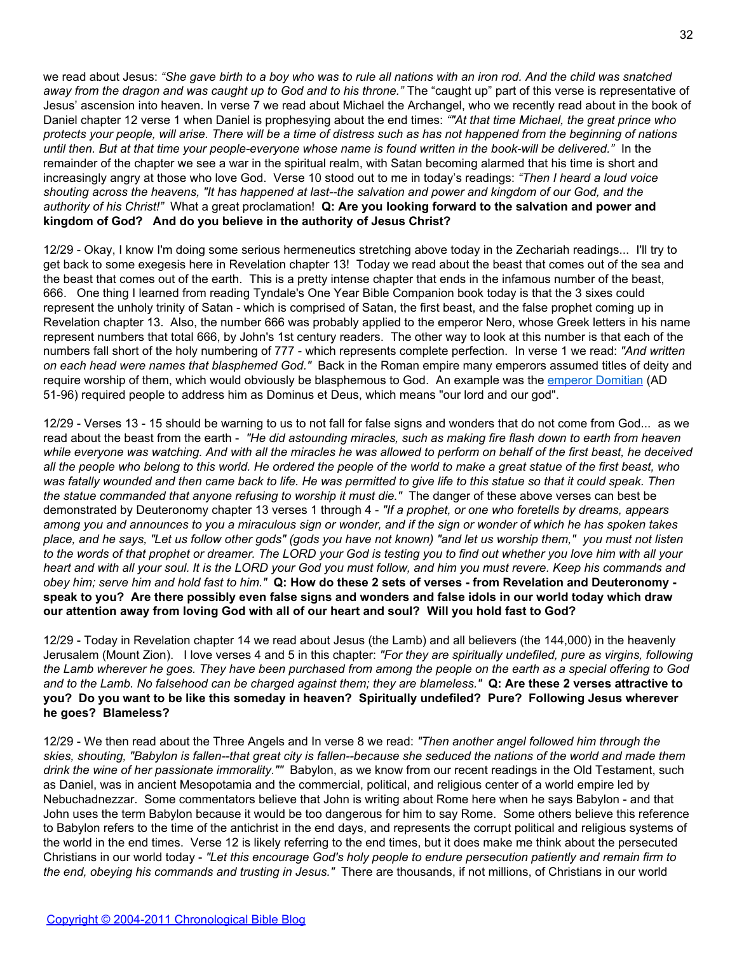we read about Jesus: *"She gave birth to a boy who was to rule all nations with an iron rod. And the child was snatched away from the dragon and was caught up to God and to his throne."* The "caught up" part of this verse is representative of Jesus' ascension into heaven. In verse 7 we read about Michael the Archangel, who we recently read about in the book of Daniel chapter 12 verse 1 when Daniel is prophesying about the end times: *""At that time Michael, the great prince who protects your people, will arise. There will be a time of distress such as has not happened from the beginning of nations until then. But at that time your people-everyone whose name is found written in the book-will be delivered."* In the remainder of the chapter we see a war in the spiritual realm, with Satan becoming alarmed that his time is short and increasingly angry at those who love God. Verse 10 stood out to me in today's readings: *"Then I heard a loud voice shouting across the heavens, "It has happened at last--the salvation and power and kingdom of our God, and the authority of his Christ!"* What a great proclamation! **Q: Are you looking forward to the salvation and power and kingdom of God? And do you believe in the authority of Jesus Christ?**

12/29 - Okay, I know I'm doing some serious hermeneutics stretching above today in the Zechariah readings... I'll try to get back to some exegesis here in Revelation chapter 13! Today we read about the beast that comes out of the sea and the beast that comes out of the earth. This is a pretty intense chapter that ends in the infamous number of the beast, 666. One thing I learned from reading Tyndale's One Year Bible Companion book today is that the 3 sixes could represent the unholy trinity of Satan - which is comprised of Satan, the first beast, and the false prophet coming up in Revelation chapter 13. Also, the number 666 was probably applied to the emperor Nero, whose Greek letters in his name represent numbers that total 666, by John's 1st century readers. The other way to look at this number is that each of the numbers fall short of the holy numbering of 777 - which represents complete perfection. In verse 1 we read: *"And written on each head were names that blasphemed God."* Back in the Roman empire many emperors assumed titles of deity and require worship of them, which would obviously be blasphemous to God. An example was the [emperor Domitian](http://www.roman-empire.net/emperors/domitian-index.html) (AD 51-96) required people to address him as Dominus et Deus, which means "our lord and our god".

12/29 - Verses 13 - 15 should be warning to us to not fall for false signs and wonders that do not come from God... as we read about the beast from the earth - *"He did astounding miracles, such as making fire flash down to earth from heaven while everyone was watching. And with all the miracles he was allowed to perform on behalf of the first beast, he deceived all the people who belong to this world. He ordered the people of the world to make a great statue of the first beast, who was fatally wounded and then came back to life. He was permitted to give life to this statue so that it could speak. Then the statue commanded that anyone refusing to worship it must die."* The danger of these above verses can best be demonstrated by Deuteronomy chapter 13 verses 1 through 4 - *"If a prophet, or one who foretells by dreams, appears among you and announces to you a miraculous sign or wonder, and if the sign or wonder of which he has spoken takes place, and he says, "Let us follow other gods" (gods you have not known) "and let us worship them," you must not listen to the words of that prophet or dreamer. The LORD your God is testing you to find out whether you love him with all your heart and with all your soul. It is the LORD your God you must follow, and him you must revere. Keep his commands and obey him; serve him and hold fast to him."* **Q: How do these 2 sets of verses - from Revelation and Deuteronomy speak to you? Are there possibly even false signs and wonders and false idols in our world today which draw our attention away from loving God with all of our heart and soul? Will you hold fast to God?**

12/29 - Today in Revelation chapter 14 we read about Jesus (the Lamb) and all believers (the 144,000) in the heavenly Jerusalem (Mount Zion). I love verses 4 and 5 in this chapter: *"For they are spiritually undefiled, pure as virgins, following the Lamb wherever he goes. They have been purchased from among the people on the earth as a special offering to God and to the Lamb. No falsehood can be charged against them; they are blameless."* **Q: Are these 2 verses attractive to you? Do you want to be like this someday in heaven? Spiritually undefiled? Pure? Following Jesus wherever he goes? Blameless?**

12/29 - We then read about the Three Angels and In verse 8 we read: *"Then another angel followed him through the skies, shouting, "Babylon is fallen--that great city is fallen--because she seduced the nations of the world and made them drink the wine of her passionate immorality.""* Babylon, as we know from our recent readings in the Old Testament, such as Daniel, was in ancient Mesopotamia and the commercial, political, and religious center of a world empire led by Nebuchadnezzar. Some commentators believe that John is writing about Rome here when he says Babylon - and that John uses the term Babylon because it would be too dangerous for him to say Rome. Some others believe this reference to Babylon refers to the time of the antichrist in the end days, and represents the corrupt political and religious systems of the world in the end times. Verse 12 is likely referring to the end times, but it does make me think about the persecuted Christians in our world today - *"Let this encourage God's holy people to endure persecution patiently and remain firm to the end, obeying his commands and trusting in Jesus."* There are thousands, if not millions, of Christians in our world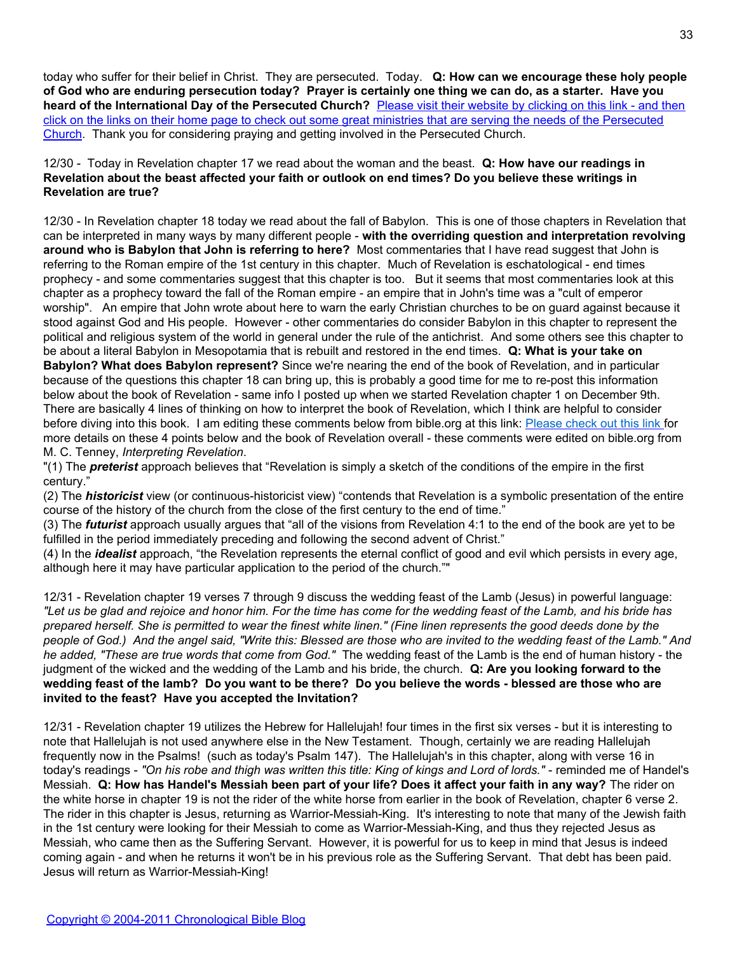today who suffer for their belief in Christ. They are persecuted. Today. **Q: How can we encourage these holy people of God who are enduring persecution today? Prayer is certainly one thing we can do, as a starter. Have you heard of the International Day of the Persecuted Church?** [Please visit their website by clicking on this link - and then](http://www.persecutedchurch.org/index.cfm) [click on the links on their home page to check out some great ministries that are serving the needs of the Persecuted](http://www.persecutedchurch.org/index.cfm) [Church](http://www.persecutedchurch.org/index.cfm). Thank you for considering praying and getting involved in the Persecuted Church.

12/30 - Today in Revelation chapter 17 we read about the woman and the beast. **Q: How have our readings in Revelation about the beast affected your faith or outlook on end times? Do you believe these writings in Revelation are true?**

12/30 - In Revelation chapter 18 today we read about the fall of Babylon. This is one of those chapters in Revelation that can be interpreted in many ways by many different people - **with the overriding question and interpretation revolving around who is Babylon that John is referring to here?** Most commentaries that I have read suggest that John is referring to the Roman empire of the 1st century in this chapter. Much of Revelation is eschatological - end times prophecy - and some commentaries suggest that this chapter is too. But it seems that most commentaries look at this chapter as a prophecy toward the fall of the Roman empire - an empire that in John's time was a "cult of emperor worship". An empire that John wrote about here to warn the early Christian churches to be on guard against because it stood against God and His people. However - other commentaries do consider Babylon in this chapter to represent the political and religious system of the world in general under the rule of the antichrist. And some others see this chapter to be about a literal Babylon in Mesopotamia that is rebuilt and restored in the end times. **Q: What is your take on Babylon? What does Babylon represent?** Since we're nearing the end of the book of Revelation, and in particular because of the questions this chapter 18 can bring up, this is probably a good time for me to re-post this information below about the book of Revelation - same info I posted up when we started Revelation chapter 1 on December 9th. There are basically 4 lines of thinking on how to interpret the book of Revelation, which I think are helpful to consider before diving into this book. I am editing these comments below from bible.org at this link: [Please check out this link](http://bible.org/page.php?page_id=1368) for more details on these 4 points below and the book of Revelation overall - these comments were edited on bible.org from M. C. Tenney, *Interpreting Revelation*.

"(1) The *preterist* approach believes that "Revelation is simply a sketch of the conditions of the empire in the first century."

(2) The *historicist* view (or continuous-historicist view) "contends that Revelation is a symbolic presentation of the entire course of the history of the church from the close of the first century to the end of time."

(3) The *futurist* approach usually argues that "all of the visions from Revelation 4:1 to the end of the book are yet to be fulfilled in the period immediately preceding and following the second advent of Christ."

(4) In the *idealist* approach, "the Revelation represents the eternal conflict of good and evil which persists in every age, although here it may have particular application to the period of the church.""

12/31 - Revelation chapter 19 verses 7 through 9 discuss the wedding feast of the Lamb (Jesus) in powerful language: *"Let us be glad and rejoice and honor him. For the time has come for the wedding feast of the Lamb, and his bride has prepared herself. She is permitted to wear the finest white linen." (Fine linen represents the good deeds done by the people of God.) And the angel said, "Write this: Blessed are those who are invited to the wedding feast of the Lamb." And he added, "These are true words that come from God."* The wedding feast of the Lamb is the end of human history - the judgment of the wicked and the wedding of the Lamb and his bride, the church. **Q: Are you looking forward to the wedding feast of the lamb? Do you want to be there? Do you believe the words - blessed are those who are invited to the feast? Have you accepted the Invitation?**

12/31 - Revelation chapter 19 utilizes the Hebrew for Hallelujah! four times in the first six verses - but it is interesting to note that Hallelujah is not used anywhere else in the New Testament. Though, certainly we are reading Hallelujah frequently now in the Psalms! (such as today's Psalm 147). The Hallelujah's in this chapter, along with verse 16 in today's readings - *"On his robe and thigh was written this title: King of kings and Lord of lords."* - reminded me of Handel's Messiah. **Q: How has Handel's Messiah been part of your life? Does it affect your faith in any way?** The rider on the white horse in chapter 19 is not the rider of the white horse from earlier in the book of Revelation, chapter 6 verse 2. The rider in this chapter is Jesus, returning as Warrior-Messiah-King. It's interesting to note that many of the Jewish faith in the 1st century were looking for their Messiah to come as Warrior-Messiah-King, and thus they rejected Jesus as Messiah, who came then as the Suffering Servant. However, it is powerful for us to keep in mind that Jesus is indeed coming again - and when he returns it won't be in his previous role as the Suffering Servant. That debt has been paid. Jesus will return as Warrior-Messiah-King!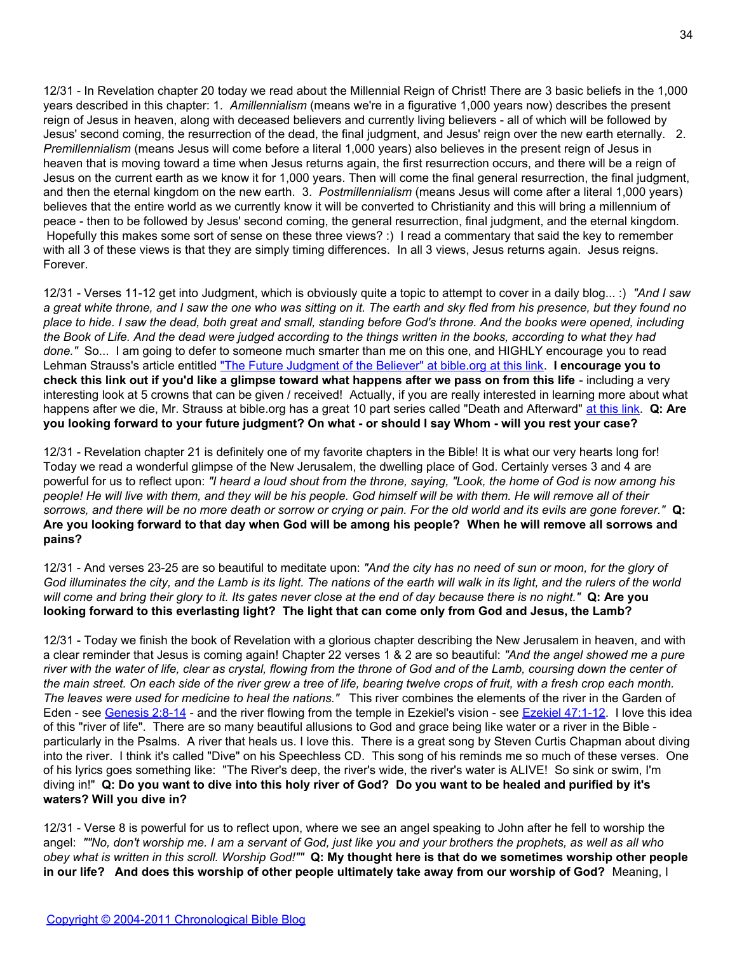12/31 - In Revelation chapter 20 today we read about the Millennial Reign of Christ! There are 3 basic beliefs in the 1,000 years described in this chapter: 1. *Amillennialism* (means we're in a figurative 1,000 years now) describes the present reign of Jesus in heaven, along with deceased believers and currently living believers - all of which will be followed by Jesus' second coming, the resurrection of the dead, the final judgment, and Jesus' reign over the new earth eternally. 2. *Premillennialism* (means Jesus will come before a literal 1,000 years) also believes in the present reign of Jesus in heaven that is moving toward a time when Jesus returns again, the first resurrection occurs, and there will be a reign of Jesus on the current earth as we know it for 1,000 years. Then will come the final general resurrection, the final judgment, and then the eternal kingdom on the new earth. 3. *Postmillennialism* (means Jesus will come after a literal 1,000 years) believes that the entire world as we currently know it will be converted to Christianity and this will bring a millennium of peace - then to be followed by Jesus' second coming, the general resurrection, final judgment, and the eternal kingdom. Hopefully this makes some sort of sense on these three views? :) I read a commentary that said the key to remember with all 3 of these views is that they are simply timing differences. In all 3 views, Jesus returns again. Jesus reigns. Forever.

12/31 - Verses 11-12 get into Judgment, which is obviously quite a topic to attempt to cover in a daily blog... :) *"And I saw a great white throne, and I saw the one who was sitting on it. The earth and sky fled from his presence, but they found no place to hide. I saw the dead, both great and small, standing before God's throne. And the books were opened, including the Book of Life. And the dead were judged according to the things written in the books, according to what they had done."* So... I am going to defer to someone much smarter than me on this one, and HIGHLY encourage you to read Lehman Strauss's article entitled ["The Future Judgment of the Believer" at bible.org at this link.](http://www.bible.org/page.php?page_id=918) **I encourage you to check this link out if you'd like a glimpse toward what happens after we pass on from this life** - including a very interesting look at 5 crowns that can be given / received! Actually, if you are really interested in learning more about what happens after we die, Mr. Strauss at bible.org has a great 10 part series called "Death and Afterward" [at this link.](http://www.bible.org/series.php?series_id=61) **Q: Are you looking forward to your future judgment? On what - or should I say Whom - will you rest your case?**

12/31 - Revelation chapter 21 is definitely one of my favorite chapters in the Bible! It is what our very hearts long for! Today we read a wonderful glimpse of the New Jerusalem, the dwelling place of God. Certainly verses 3 and 4 are powerful for us to reflect upon: *"I heard a loud shout from the throne, saying, "Look, the home of God is now among his people! He will live with them, and they will be his people. God himself will be with them. He will remove all of their sorrows, and there will be no more death or sorrow or crying or pain. For the old world and its evils are gone forever."* **Q: Are you looking forward to that day when God will be among his people? When he will remove all sorrows and pains?**

12/31 - And verses 23-25 are so beautiful to meditate upon: *"And the city has no need of sun or moon, for the glory of God illuminates the city, and the Lamb is its light. The nations of the earth will walk in its light, and the rulers of the world will come and bring their glory to it. Its gates never close at the end of day because there is no night."* **Q: Are you looking forward to this everlasting light? The light that can come only from God and Jesus, the Lamb?**

12/31 - Today we finish the book of Revelation with a glorious chapter describing the New Jerusalem in heaven, and with a clear reminder that Jesus is coming again! Chapter 22 verses 1 & 2 are so beautiful: *"And the angel showed me a pure river with the water of life, clear as crystal, flowing from the throne of God and of the Lamb, coursing down the center of the main street. On each side of the river grew a tree of life, bearing twelve crops of fruit, with a fresh crop each month. The leaves were used for medicine to heal the nations."* This river combines the elements of the river in the Garden of Eden - see [Genesis 2:8-14](http://www.biblegateway.com/passage/?search=Genesis%202:8-14) - and the river flowing from the temple in Ezekiel's vision - see [Ezekiel 47:1-12](http://www.biblegateway.com/passage/?search=Ezekiel%2047:1-12). I love this idea of this "river of life". There are so many beautiful allusions to God and grace being like water or a river in the Bible particularly in the Psalms. A river that heals us. I love this. There is a great song by Steven Curtis Chapman about diving into the river. I think it's called "Dive" on his Speechless CD. This song of his reminds me so much of these verses. One of his lyrics goes something like: "The River's deep, the river's wide, the river's water is ALIVE! So sink or swim, I'm diving in!" **Q: Do you want to dive into this holy river of God? Do you want to be healed and purified by it's waters? Will you dive in?**

12/31 - Verse 8 is powerful for us to reflect upon, where we see an angel speaking to John after he fell to worship the angel: *""No, don't worship me. I am a servant of God, just like you and your brothers the prophets, as well as all who obey what is written in this scroll. Worship God!""* **Q: My thought here is that do we sometimes worship other people in our life? And does this worship of other people ultimately take away from our worship of God?** Meaning, I